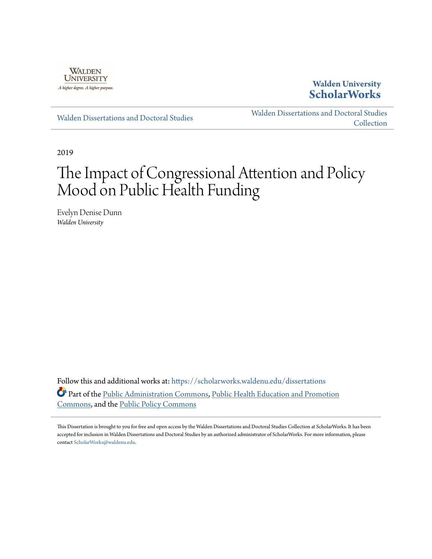

# **Walden University [ScholarWorks](https://scholarworks.waldenu.edu?utm_source=scholarworks.waldenu.edu%2Fdissertations%2F6552&utm_medium=PDF&utm_campaign=PDFCoverPages)**

[Walden Dissertations and Doctoral Studies](https://scholarworks.waldenu.edu/dissertations?utm_source=scholarworks.waldenu.edu%2Fdissertations%2F6552&utm_medium=PDF&utm_campaign=PDFCoverPages)

[Walden Dissertations and Doctoral Studies](https://scholarworks.waldenu.edu/dissanddoc?utm_source=scholarworks.waldenu.edu%2Fdissertations%2F6552&utm_medium=PDF&utm_campaign=PDFCoverPages) [Collection](https://scholarworks.waldenu.edu/dissanddoc?utm_source=scholarworks.waldenu.edu%2Fdissertations%2F6552&utm_medium=PDF&utm_campaign=PDFCoverPages)

2019

# The Impact of Congressional Attention and Policy Mood on Public Health Funding

Evelyn Denise Dunn *Walden University*

Follow this and additional works at: [https://scholarworks.waldenu.edu/dissertations](https://scholarworks.waldenu.edu/dissertations?utm_source=scholarworks.waldenu.edu%2Fdissertations%2F6552&utm_medium=PDF&utm_campaign=PDFCoverPages) Part of the [Public Administration Commons](http://network.bepress.com/hgg/discipline/398?utm_source=scholarworks.waldenu.edu%2Fdissertations%2F6552&utm_medium=PDF&utm_campaign=PDFCoverPages), [Public Health Education and Promotion](http://network.bepress.com/hgg/discipline/743?utm_source=scholarworks.waldenu.edu%2Fdissertations%2F6552&utm_medium=PDF&utm_campaign=PDFCoverPages) [Commons,](http://network.bepress.com/hgg/discipline/743?utm_source=scholarworks.waldenu.edu%2Fdissertations%2F6552&utm_medium=PDF&utm_campaign=PDFCoverPages) and the [Public Policy Commons](http://network.bepress.com/hgg/discipline/400?utm_source=scholarworks.waldenu.edu%2Fdissertations%2F6552&utm_medium=PDF&utm_campaign=PDFCoverPages)

This Dissertation is brought to you for free and open access by the Walden Dissertations and Doctoral Studies Collection at ScholarWorks. It has been accepted for inclusion in Walden Dissertations and Doctoral Studies by an authorized administrator of ScholarWorks. For more information, please contact [ScholarWorks@waldenu.edu](mailto:ScholarWorks@waldenu.edu).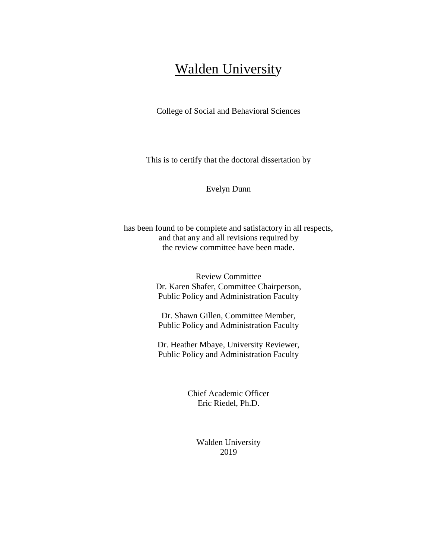# **Walden University**

College of Social and Behavioral Sciences

This is to certify that the doctoral dissertation by

Evelyn Dunn

has been found to be complete and satisfactory in all respects, and that any and all revisions required by the review committee have been made.

> Review Committee Dr. Karen Shafer, Committee Chairperson, Public Policy and Administration Faculty

Dr. Shawn Gillen, Committee Member, Public Policy and Administration Faculty

Dr. Heather Mbaye, University Reviewer, Public Policy and Administration Faculty

> Chief Academic Officer Eric Riedel, Ph.D.

> > Walden University 2019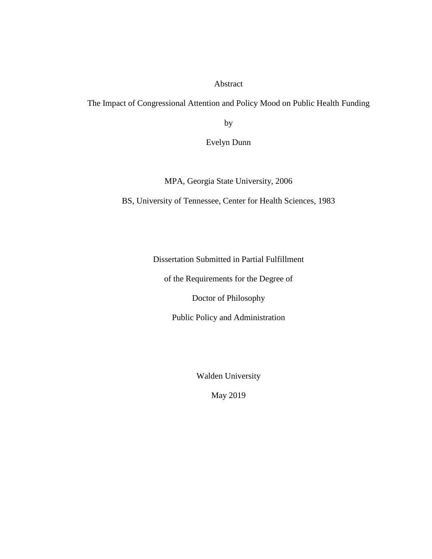# Abstract

The Impact of Congressional Attention and Policy Mood on Public Health Funding

by

Evelyn Dunn

MPA, Georgia State University, 2006

BS, University of Tennessee, Center for Health Sciences, 1983

Dissertation Submitted in Partial Fulfillment

of the Requirements for the Degree of

Doctor of Philosophy

Public Policy and Administration

Walden University

May 2019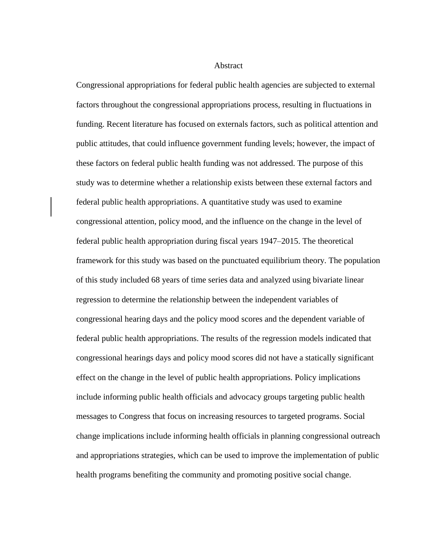Abstract

<span id="page-3-0"></span>Congressional appropriations for federal public health agencies are subjected to external factors throughout the congressional appropriations process, resulting in fluctuations in funding. Recent literature has focused on externals factors, such as political attention and public attitudes, that could influence government funding levels; however, the impact of these factors on federal public health funding was not addressed. The purpose of this study was to determine whether a relationship exists between these external factors and federal public health appropriations. A quantitative study was used to examine congressional attention, policy mood, and the influence on the change in the level of federal public health appropriation during fiscal years 1947–2015. The theoretical framework for this study was based on the punctuated equilibrium theory. The population of this study included 68 years of time series data and analyzed using bivariate linear regression to determine the relationship between the independent variables of congressional hearing days and the policy mood scores and the dependent variable of federal public health appropriations. The results of the regression models indicated that congressional hearings days and policy mood scores did not have a statically significant effect on the change in the level of public health appropriations. Policy implications include informing public health officials and advocacy groups targeting public health messages to Congress that focus on increasing resources to targeted programs. Social change implications include informing health officials in planning congressional outreach and appropriations strategies, which can be used to improve the implementation of public health programs benefiting the community and promoting positive social change.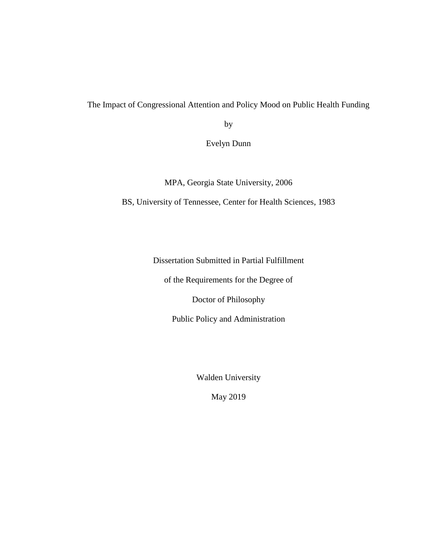The Impact of Congressional Attention and Policy Mood on Public Health Funding

by

Evelyn Dunn

MPA, Georgia State University, 2006

BS, University of Tennessee, Center for Health Sciences, 1983

Dissertation Submitted in Partial Fulfillment

of the Requirements for the Degree of

Doctor of Philosophy

Public Policy and Administration

Walden University

May 2019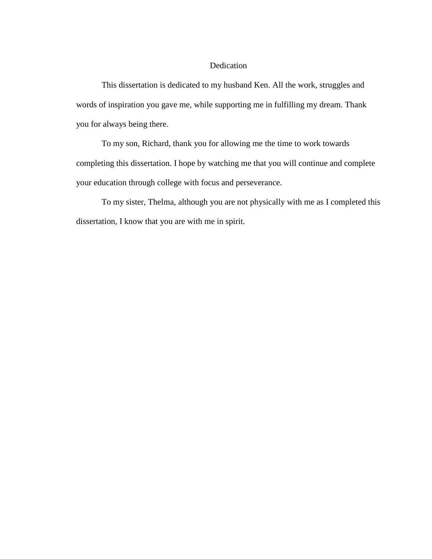# Dedication

This dissertation is dedicated to my husband Ken. All the work, struggles and words of inspiration you gave me, while supporting me in fulfilling my dream. Thank you for always being there.

To my son, Richard, thank you for allowing me the time to work towards completing this dissertation. I hope by watching me that you will continue and complete your education through college with focus and perseverance.

To my sister, Thelma, although you are not physically with me as I completed this dissertation, I know that you are with me in spirit.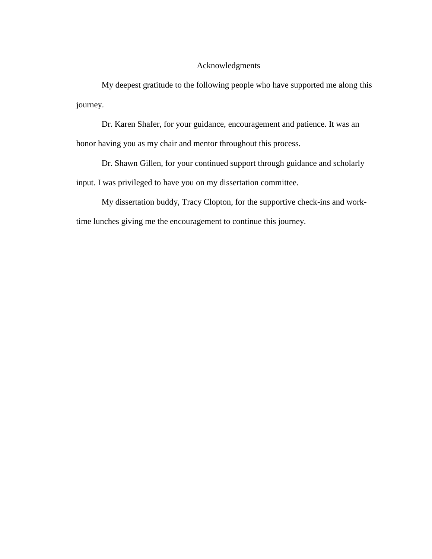# Acknowledgments

My deepest gratitude to the following people who have supported me along this journey.

Dr. Karen Shafer, for your guidance, encouragement and patience. It was an honor having you as my chair and mentor throughout this process.

Dr. Shawn Gillen, for your continued support through guidance and scholarly input. I was privileged to have you on my dissertation committee.

My dissertation buddy, Tracy Clopton, for the supportive check-ins and worktime lunches giving me the encouragement to continue this journey.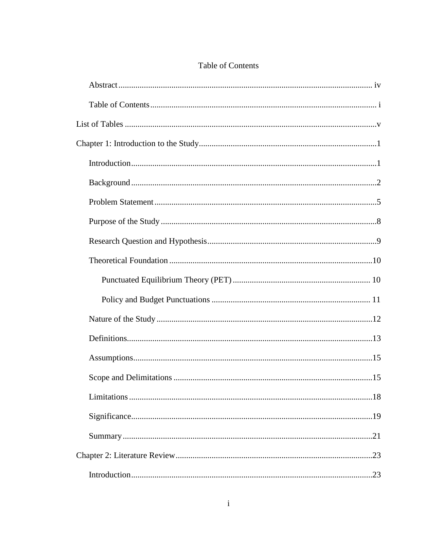<span id="page-7-0"></span>

| with the contract of the contract of the contract of the contract of the contract of the contract of the contract of |
|----------------------------------------------------------------------------------------------------------------------|
|                                                                                                                      |
|                                                                                                                      |
|                                                                                                                      |
|                                                                                                                      |

# Table of Contents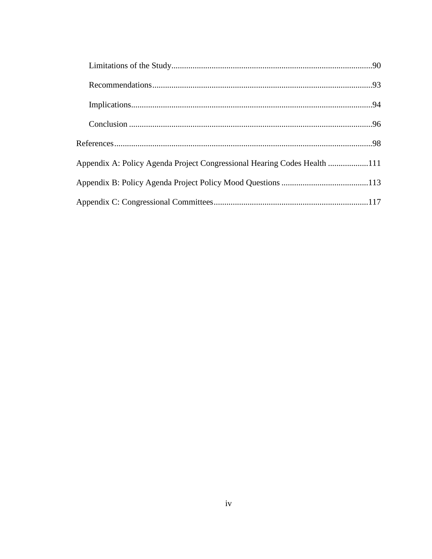| Appendix A: Policy Agenda Project Congressional Hearing Codes Health 111 |  |
|--------------------------------------------------------------------------|--|
|                                                                          |  |
|                                                                          |  |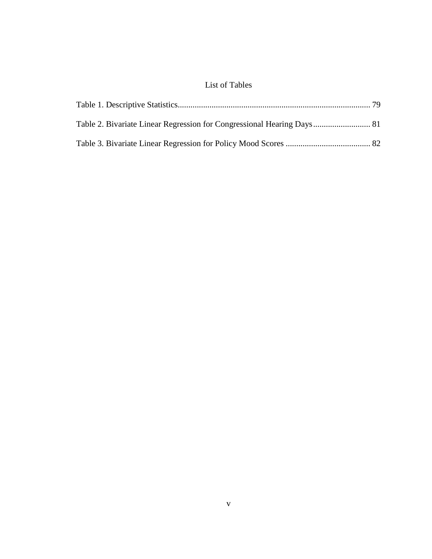# List of Tables

<span id="page-11-0"></span>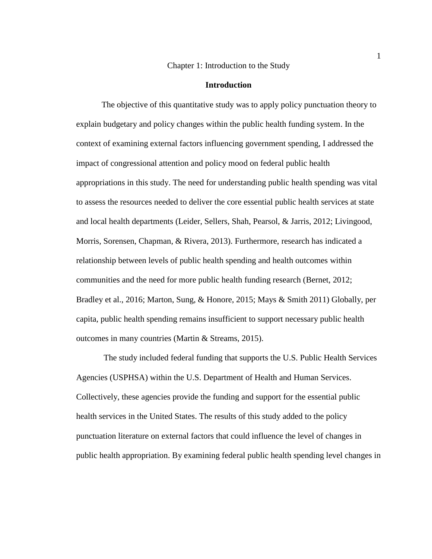### Chapter 1: Introduction to the Study

#### **Introduction**

<span id="page-12-1"></span><span id="page-12-0"></span>The objective of this quantitative study was to apply policy punctuation theory to explain budgetary and policy changes within the public health funding system. In the context of examining external factors influencing government spending, I addressed the impact of congressional attention and policy mood on federal public health appropriations in this study. The need for understanding public health spending was vital to assess the resources needed to deliver the core essential public health services at state and local health departments (Leider, Sellers, Shah, Pearsol, & Jarris, 2012; Livingood, Morris, Sorensen, Chapman, & Rivera, 2013). Furthermore, research has indicated a relationship between levels of public health spending and health outcomes within communities and the need for more public health funding research (Bernet, 2012; Bradley et al., 2016; Marton, Sung, & Honore, 2015; Mays & Smith 2011) Globally, per capita, public health spending remains insufficient to support necessary public health outcomes in many countries (Martin & Streams, 2015).

The study included federal funding that supports the U.S. Public Health Services Agencies (USPHSA) within the U.S. Department of Health and Human Services. Collectively, these agencies provide the funding and support for the essential public health services in the United States. The results of this study added to the policy punctuation literature on external factors that could influence the level of changes in public health appropriation. By examining federal public health spending level changes in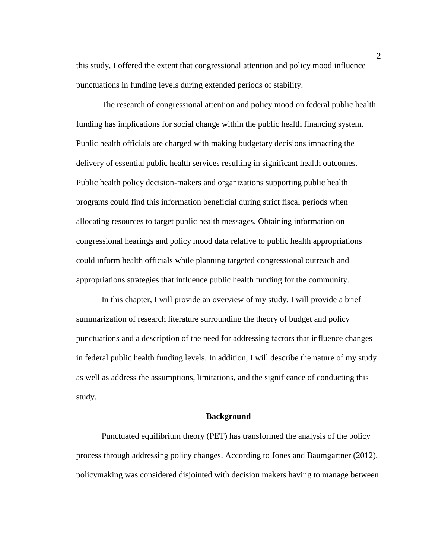this study, I offered the extent that congressional attention and policy mood influence punctuations in funding levels during extended periods of stability.

The research of congressional attention and policy mood on federal public health funding has implications for social change within the public health financing system. Public health officials are charged with making budgetary decisions impacting the delivery of essential public health services resulting in significant health outcomes. Public health policy decision-makers and organizations supporting public health programs could find this information beneficial during strict fiscal periods when allocating resources to target public health messages. Obtaining information on congressional hearings and policy mood data relative to public health appropriations could inform health officials while planning targeted congressional outreach and appropriations strategies that influence public health funding for the community.

In this chapter, I will provide an overview of my study. I will provide a brief summarization of research literature surrounding the theory of budget and policy punctuations and a description of the need for addressing factors that influence changes in federal public health funding levels. In addition, I will describe the nature of my study as well as address the assumptions, limitations, and the significance of conducting this study.

# **Background**

<span id="page-13-0"></span>Punctuated equilibrium theory (PET) has transformed the analysis of the policy process through addressing policy changes. According to Jones and Baumgartner (2012), policymaking was considered disjointed with decision makers having to manage between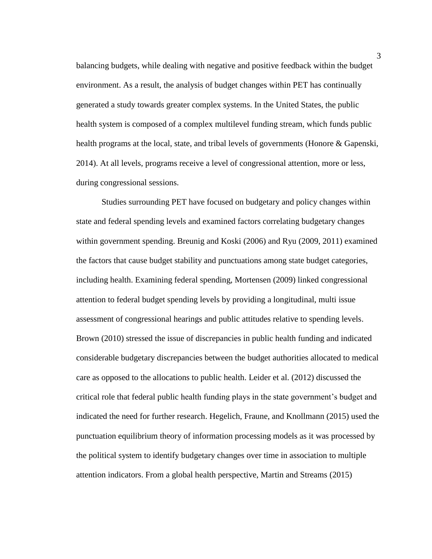balancing budgets, while dealing with negative and positive feedback within the budget environment. As a result, the analysis of budget changes within PET has continually generated a study towards greater complex systems. In the United States, the public health system is composed of a complex multilevel funding stream, which funds public health programs at the local, state, and tribal levels of governments (Honore & Gapenski, 2014). At all levels, programs receive a level of congressional attention, more or less, during congressional sessions.

Studies surrounding PET have focused on budgetary and policy changes within state and federal spending levels and examined factors correlating budgetary changes within government spending. Breunig and Koski (2006) and Ryu (2009, 2011) examined the factors that cause budget stability and punctuations among state budget categories, including health. Examining federal spending, Mortensen (2009) linked congressional attention to federal budget spending levels by providing a longitudinal, multi issue assessment of congressional hearings and public attitudes relative to spending levels. Brown (2010) stressed the issue of discrepancies in public health funding and indicated considerable budgetary discrepancies between the budget authorities allocated to medical care as opposed to the allocations to public health. Leider et al. (2012) discussed the critical role that federal public health funding plays in the state government's budget and indicated the need for further research. Hegelich, Fraune, and Knollmann (2015) used the punctuation equilibrium theory of information processing models as it was processed by the political system to identify budgetary changes over time in association to multiple attention indicators. From a global health perspective, Martin and Streams (2015)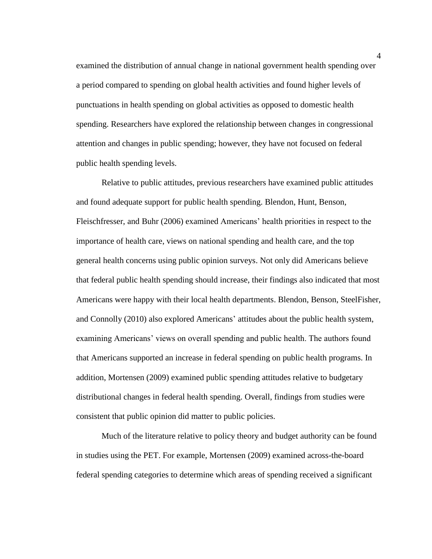examined the distribution of annual change in national government health spending over a period compared to spending on global health activities and found higher levels of punctuations in health spending on global activities as opposed to domestic health spending. Researchers have explored the relationship between changes in congressional attention and changes in public spending; however, they have not focused on federal public health spending levels.

Relative to public attitudes, previous researchers have examined public attitudes and found adequate support for public health spending. Blendon, Hunt, Benson, Fleischfresser, and Buhr (2006) examined Americans' health priorities in respect to the importance of health care, views on national spending and health care, and the top general health concerns using public opinion surveys. Not only did Americans believe that federal public health spending should increase, their findings also indicated that most Americans were happy with their local health departments. Blendon, Benson, SteelFisher, and Connolly (2010) also explored Americans' attitudes about the public health system, examining Americans' views on overall spending and public health. The authors found that Americans supported an increase in federal spending on public health programs. In addition, Mortensen (2009) examined public spending attitudes relative to budgetary distributional changes in federal health spending. Overall, findings from studies were consistent that public opinion did matter to public policies.

Much of the literature relative to policy theory and budget authority can be found in studies using the PET. For example, Mortensen (2009) examined across-the-board federal spending categories to determine which areas of spending received a significant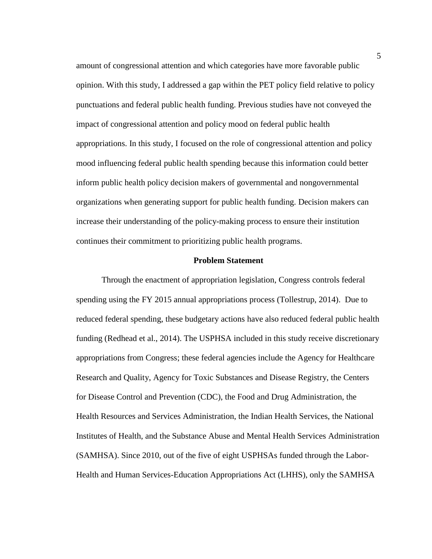amount of congressional attention and which categories have more favorable public opinion. With this study, I addressed a gap within the PET policy field relative to policy punctuations and federal public health funding. Previous studies have not conveyed the impact of congressional attention and policy mood on federal public health appropriations. In this study, I focused on the role of congressional attention and policy mood influencing federal public health spending because this information could better inform public health policy decision makers of governmental and nongovernmental organizations when generating support for public health funding. Decision makers can increase their understanding of the policy-making process to ensure their institution continues their commitment to prioritizing public health programs.

# **Problem Statement**

<span id="page-16-0"></span>Through the enactment of appropriation legislation, Congress controls federal spending using the FY 2015 annual appropriations process (Tollestrup, 2014). Due to reduced federal spending, these budgetary actions have also reduced federal public health funding (Redhead et al., 2014). The USPHSA included in this study receive discretionary appropriations from Congress; these federal agencies include the Agency for Healthcare Research and Quality, Agency for Toxic Substances and Disease Registry, the Centers for Disease Control and Prevention (CDC), the Food and Drug Administration, the Health Resources and Services Administration, the Indian Health Services, the National Institutes of Health, and the Substance Abuse and Mental Health Services Administration (SAMHSA). Since 2010, out of the five of eight USPHSAs funded through the Labor-Health and Human Services-Education Appropriations Act (LHHS), only the SAMHSA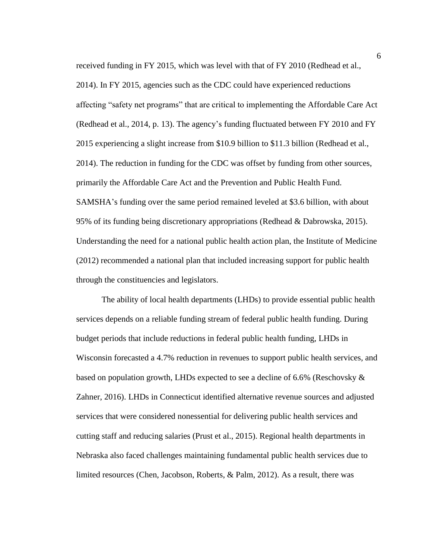received funding in FY 2015, which was level with that of FY 2010 (Redhead et al., 2014). In FY 2015, agencies such as the CDC could have experienced reductions affecting "safety net programs" that are critical to implementing the Affordable Care Act (Redhead et al., 2014, p. 13). The agency's funding fluctuated between FY 2010 and FY 2015 experiencing a slight increase from \$10.9 billion to \$11.3 billion (Redhead et al., 2014). The reduction in funding for the CDC was offset by funding from other sources, primarily the Affordable Care Act and the Prevention and Public Health Fund. SAMSHA's funding over the same period remained leveled at \$3.6 billion, with about 95% of its funding being discretionary appropriations (Redhead & Dabrowska, 2015). Understanding the need for a national public health action plan, the Institute of Medicine (2012) recommended a national plan that included increasing support for public health through the constituencies and legislators.

The ability of local health departments (LHDs) to provide essential public health services depends on a reliable funding stream of federal public health funding. During budget periods that include reductions in federal public health funding, LHDs in Wisconsin forecasted a 4.7% reduction in revenues to support public health services, and based on population growth, LHDs expected to see a decline of 6.6% (Reschovsky & Zahner, 2016). LHDs in Connecticut identified alternative revenue sources and adjusted services that were considered nonessential for delivering public health services and cutting staff and reducing salaries (Prust et al., 2015). Regional health departments in Nebraska also faced challenges maintaining fundamental public health services due to limited resources (Chen, Jacobson, Roberts, & Palm, 2012). As a result, there was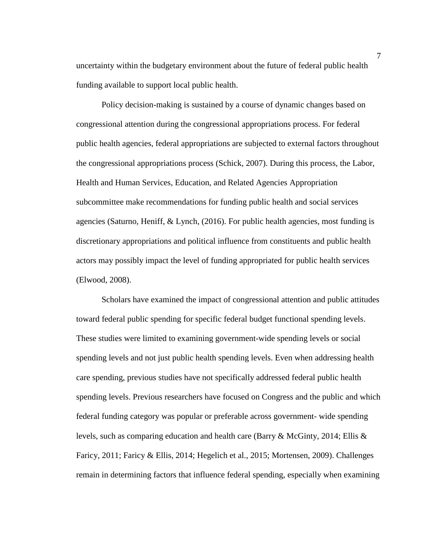uncertainty within the budgetary environment about the future of federal public health funding available to support local public health.

Policy decision-making is sustained by a course of dynamic changes based on congressional attention during the congressional appropriations process. For federal public health agencies, federal appropriations are subjected to external factors throughout the congressional appropriations process (Schick, 2007). During this process, the Labor, Health and Human Services, Education, and Related Agencies Appropriation subcommittee make recommendations for funding public health and social services agencies (Saturno, Heniff, & Lynch, (2016). For public health agencies, most funding is discretionary appropriations and political influence from constituents and public health actors may possibly impact the level of funding appropriated for public health services (Elwood, 2008).

Scholars have examined the impact of congressional attention and public attitudes toward federal public spending for specific federal budget functional spending levels. These studies were limited to examining government-wide spending levels or social spending levels and not just public health spending levels. Even when addressing health care spending, previous studies have not specifically addressed federal public health spending levels. Previous researchers have focused on Congress and the public and which federal funding category was popular or preferable across government- wide spending levels, such as comparing education and health care (Barry & McGinty, 2014; Ellis & Faricy, 2011; Faricy & Ellis, 2014; Hegelich et al., 2015; Mortensen, 2009). Challenges remain in determining factors that influence federal spending, especially when examining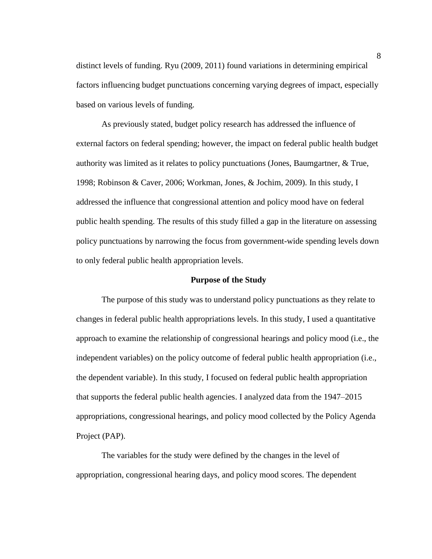distinct levels of funding. Ryu (2009, 2011) found variations in determining empirical factors influencing budget punctuations concerning varying degrees of impact, especially based on various levels of funding.

As previously stated, budget policy research has addressed the influence of external factors on federal spending; however, the impact on federal public health budget authority was limited as it relates to policy punctuations (Jones, Baumgartner, & True, 1998; Robinson & Caver, 2006; Workman, Jones, & Jochim, 2009). In this study, I addressed the influence that congressional attention and policy mood have on federal public health spending. The results of this study filled a gap in the literature on assessing policy punctuations by narrowing the focus from government-wide spending levels down to only federal public health appropriation levels.

#### **Purpose of the Study**

<span id="page-19-0"></span>The purpose of this study was to understand policy punctuations as they relate to changes in federal public health appropriations levels. In this study, I used a quantitative approach to examine the relationship of congressional hearings and policy mood (i.e., the independent variables) on the policy outcome of federal public health appropriation (i.e., the dependent variable). In this study, I focused on federal public health appropriation that supports the federal public health agencies. I analyzed data from the 1947–2015 appropriations, congressional hearings, and policy mood collected by the Policy Agenda Project (PAP).

The variables for the study were defined by the changes in the level of appropriation, congressional hearing days, and policy mood scores. The dependent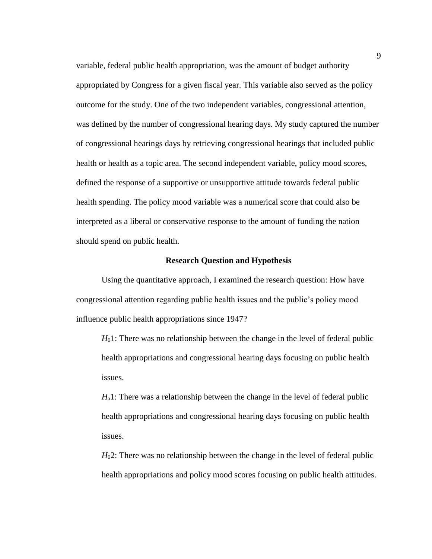variable, federal public health appropriation, was the amount of budget authority appropriated by Congress for a given fiscal year. This variable also served as the policy outcome for the study. One of the two independent variables, congressional attention, was defined by the number of congressional hearing days. My study captured the number of congressional hearings days by retrieving congressional hearings that included public health or health as a topic area. The second independent variable, policy mood scores, defined the response of a supportive or unsupportive attitude towards federal public health spending. The policy mood variable was a numerical score that could also be interpreted as a liberal or conservative response to the amount of funding the nation should spend on public health.

# **Research Question and Hypothesis**

<span id="page-20-0"></span>Using the quantitative approach, I examined the research question: How have congressional attention regarding public health issues and the public's policy mood influence public health appropriations since 1947?

*H*<sub>0</sub>1: There was no relationship between the change in the level of federal public health appropriations and congressional hearing days focusing on public health issues.

*H*a1: There was a relationship between the change in the level of federal public health appropriations and congressional hearing days focusing on public health issues.

*H*<sub>0</sub>2: There was no relationship between the change in the level of federal public health appropriations and policy mood scores focusing on public health attitudes.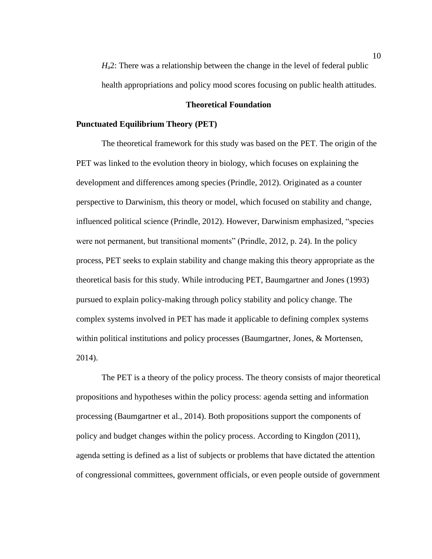*H*<sub>a</sub>2: There was a relationship between the change in the level of federal public health appropriations and policy mood scores focusing on public health attitudes.

# **Theoretical Foundation**

# <span id="page-21-1"></span><span id="page-21-0"></span>**Punctuated Equilibrium Theory (PET)**

The theoretical framework for this study was based on the PET. The origin of the PET was linked to the evolution theory in biology, which focuses on explaining the development and differences among species (Prindle, 2012). Originated as a counter perspective to Darwinism, this theory or model, which focused on stability and change, influenced political science (Prindle, 2012). However, Darwinism emphasized, "species were not permanent, but transitional moments" (Prindle, 2012, p. 24). In the policy process, PET seeks to explain stability and change making this theory appropriate as the theoretical basis for this study. While introducing PET, Baumgartner and Jones (1993) pursued to explain policy-making through policy stability and policy change. The complex systems involved in PET has made it applicable to defining complex systems within political institutions and policy processes (Baumgartner, Jones, & Mortensen, 2014).

The PET is a theory of the policy process. The theory consists of major theoretical propositions and hypotheses within the policy process: agenda setting and information processing (Baumgartner et al., 2014). Both propositions support the components of policy and budget changes within the policy process. According to Kingdon (2011), agenda setting is defined as a list of subjects or problems that have dictated the attention of congressional committees, government officials, or even people outside of government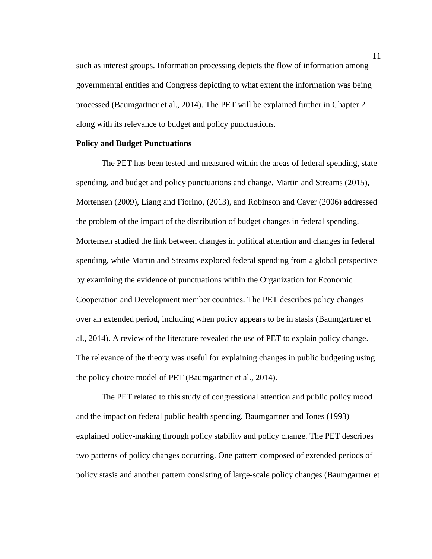such as interest groups. Information processing depicts the flow of information among governmental entities and Congress depicting to what extent the information was being processed (Baumgartner et al., 2014). The PET will be explained further in Chapter 2 along with its relevance to budget and policy punctuations.

# <span id="page-22-0"></span>**Policy and Budget Punctuations**

The PET has been tested and measured within the areas of federal spending, state spending, and budget and policy punctuations and change. Martin and Streams (2015), Mortensen (2009), Liang and Fiorino, (2013), and Robinson and Caver (2006) addressed the problem of the impact of the distribution of budget changes in federal spending. Mortensen studied the link between changes in political attention and changes in federal spending, while Martin and Streams explored federal spending from a global perspective by examining the evidence of punctuations within the Organization for Economic Cooperation and Development member countries. The PET describes policy changes over an extended period, including when policy appears to be in stasis (Baumgartner et al., 2014). A review of the literature revealed the use of PET to explain policy change. The relevance of the theory was useful for explaining changes in public budgeting using the policy choice model of PET (Baumgartner et al., 2014).

The PET related to this study of congressional attention and public policy mood and the impact on federal public health spending. Baumgartner and Jones (1993) explained policy-making through policy stability and policy change. The PET describes two patterns of policy changes occurring. One pattern composed of extended periods of policy stasis and another pattern consisting of large-scale policy changes (Baumgartner et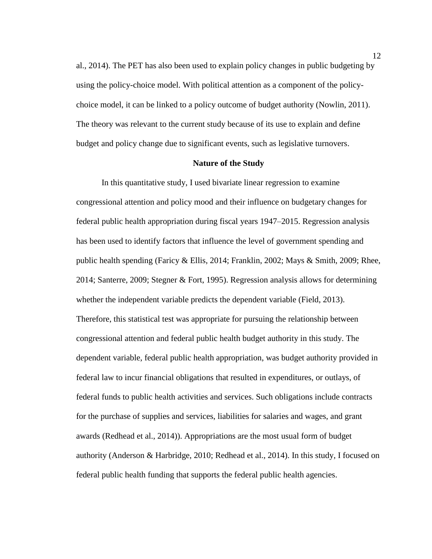al., 2014). The PET has also been used to explain policy changes in public budgeting by using the policy-choice model. With political attention as a component of the policychoice model, it can be linked to a policy outcome of budget authority (Nowlin, 2011). The theory was relevant to the current study because of its use to explain and define budget and policy change due to significant events, such as legislative turnovers.

# **Nature of the Study**

<span id="page-23-0"></span>In this quantitative study, I used bivariate linear regression to examine congressional attention and policy mood and their influence on budgetary changes for federal public health appropriation during fiscal years 1947–2015. Regression analysis has been used to identify factors that influence the level of government spending and public health spending (Faricy & Ellis, 2014; Franklin, 2002; Mays & Smith, 2009; Rhee, 2014; Santerre, 2009; Stegner & Fort, 1995). Regression analysis allows for determining whether the independent variable predicts the dependent variable (Field, 2013). Therefore, this statistical test was appropriate for pursuing the relationship between congressional attention and federal public health budget authority in this study. The dependent variable, federal public health appropriation, was budget authority provided in federal law to incur financial obligations that resulted in expenditures, or outlays, of federal funds to public health activities and services. Such obligations include contracts for the purchase of supplies and services, liabilities for salaries and wages, and grant awards (Redhead et al., 2014)). Appropriations are the most usual form of budget authority (Anderson & Harbridge, 2010; Redhead et al., 2014). In this study, I focused on federal public health funding that supports the federal public health agencies.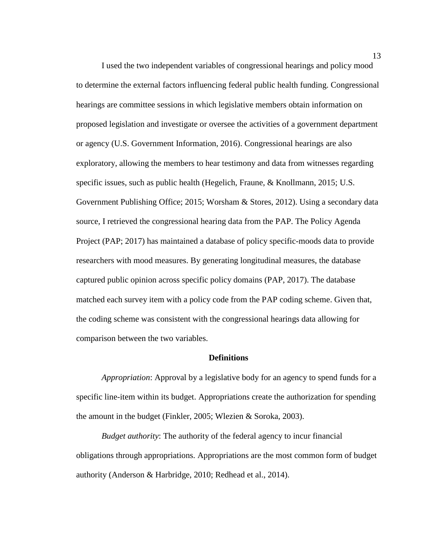I used the two independent variables of congressional hearings and policy mood to determine the external factors influencing federal public health funding. Congressional hearings are committee sessions in which legislative members obtain information on proposed legislation and investigate or oversee the activities of a government department or agency (U.S. Government Information, 2016). Congressional hearings are also exploratory, allowing the members to hear testimony and data from witnesses regarding specific issues, such as public health (Hegelich, Fraune, & Knollmann, 2015; U.S. Government Publishing Office; 2015; Worsham & Stores, 2012). Using a secondary data source, I retrieved the congressional hearing data from the PAP. The Policy Agenda Project (PAP; 2017) has maintained a database of policy specific-moods data to provide researchers with mood measures. By generating longitudinal measures, the database captured public opinion across specific policy domains (PAP, 2017). The database matched each survey item with a policy code from the PAP coding scheme. Given that, the coding scheme was consistent with the congressional hearings data allowing for comparison between the two variables.

# **Definitions**

<span id="page-24-0"></span>*Appropriation*: Approval by a legislative body for an agency to spend funds for a specific line-item within its budget. Appropriations create the authorization for spending the amount in the budget (Finkler, 2005; Wlezien & Soroka, 2003).

*Budget authority*: The authority of the federal agency to incur financial obligations through appropriations. Appropriations are the most common form of budget authority (Anderson & Harbridge, 2010; Redhead et al., 2014).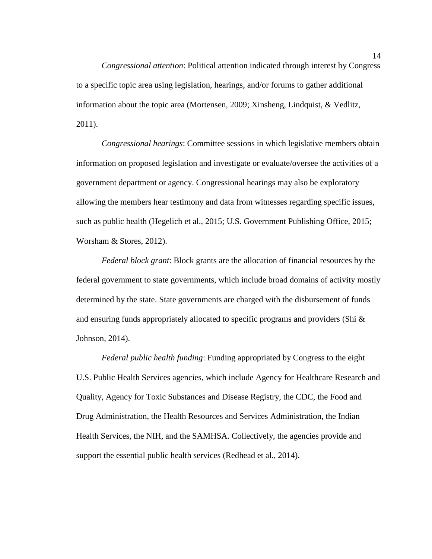*Congressional attention*: Political attention indicated through interest by Congress to a specific topic area using legislation, hearings, and/or forums to gather additional information about the topic area (Mortensen, 2009; Xinsheng, Lindquist, & Vedlitz, 2011).

*Congressional hearings*: Committee sessions in which legislative members obtain information on proposed legislation and investigate or evaluate/oversee the activities of a government department or agency. Congressional hearings may also be exploratory allowing the members hear testimony and data from witnesses regarding specific issues, such as public health (Hegelich et al., 2015; U.S. Government Publishing Office, 2015; Worsham & Stores, 2012).

*Federal block grant*: Block grants are the allocation of financial resources by the federal government to state governments, which include broad domains of activity mostly determined by the state. State governments are charged with the disbursement of funds and ensuring funds appropriately allocated to specific programs and providers (Shi  $\&$ Johnson, 2014).

*Federal public health funding*: Funding appropriated by Congress to the eight U.S. Public Health Services agencies, which include Agency for Healthcare Research and Quality, Agency for Toxic Substances and Disease Registry, the CDC, the Food and Drug Administration, the Health Resources and Services Administration, the Indian Health Services, the NIH, and the SAMHSA. Collectively, the agencies provide and support the essential public health services (Redhead et al., 2014).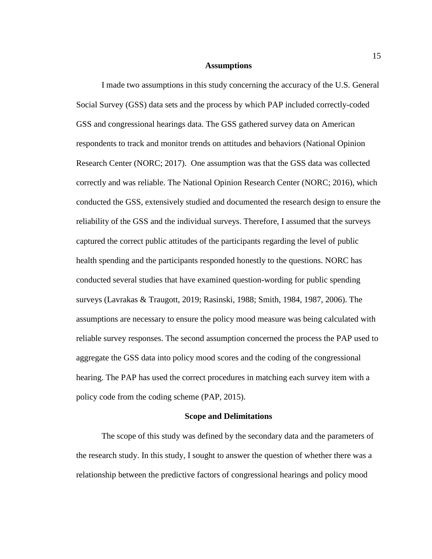#### **Assumptions**

<span id="page-26-0"></span>I made two assumptions in this study concerning the accuracy of the U.S. General Social Survey (GSS) data sets and the process by which PAP included correctly-coded GSS and congressional hearings data. The GSS gathered survey data on American respondents to track and monitor trends on attitudes and behaviors (National Opinion Research Center (NORC; 2017). One assumption was that the GSS data was collected correctly and was reliable. The National Opinion Research Center (NORC; 2016), which conducted the GSS, extensively studied and documented the research design to ensure the reliability of the GSS and the individual surveys. Therefore, I assumed that the surveys captured the correct public attitudes of the participants regarding the level of public health spending and the participants responded honestly to the questions. NORC has conducted several studies that have examined question-wording for public spending surveys (Lavrakas & Traugott, 2019; Rasinski, 1988; Smith, 1984, 1987, 2006). The assumptions are necessary to ensure the policy mood measure was being calculated with reliable survey responses. The second assumption concerned the process the PAP used to aggregate the GSS data into policy mood scores and the coding of the congressional hearing. The PAP has used the correct procedures in matching each survey item with a policy code from the coding scheme (PAP, 2015).

# **Scope and Delimitations**

<span id="page-26-1"></span>The scope of this study was defined by the secondary data and the parameters of the research study. In this study, I sought to answer the question of whether there was a relationship between the predictive factors of congressional hearings and policy mood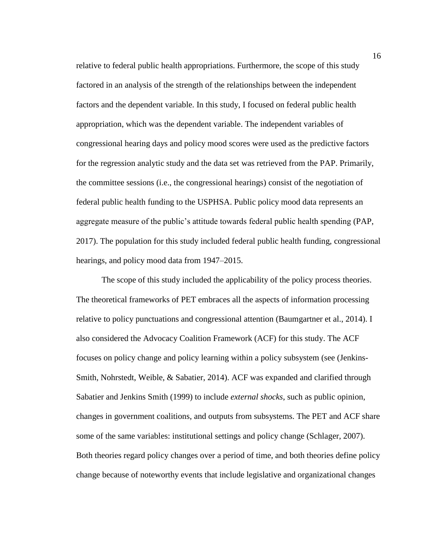relative to federal public health appropriations. Furthermore, the scope of this study factored in an analysis of the strength of the relationships between the independent factors and the dependent variable. In this study, I focused on federal public health appropriation, which was the dependent variable. The independent variables of congressional hearing days and policy mood scores were used as the predictive factors for the regression analytic study and the data set was retrieved from the PAP. Primarily, the committee sessions (i.e., the congressional hearings) consist of the negotiation of federal public health funding to the USPHSA. Public policy mood data represents an aggregate measure of the public's attitude towards federal public health spending (PAP, 2017). The population for this study included federal public health funding, congressional hearings, and policy mood data from 1947–2015.

The scope of this study included the applicability of the policy process theories. The theoretical frameworks of PET embraces all the aspects of information processing relative to policy punctuations and congressional attention (Baumgartner et al., 2014). I also considered the Advocacy Coalition Framework (ACF) for this study. The ACF focuses on policy change and policy learning within a policy subsystem (see (Jenkins-Smith, Nohrstedt, Weible, & Sabatier, 2014). ACF was expanded and clarified through Sabatier and Jenkins Smith (1999) to include *external shocks*, such as public opinion, changes in government coalitions, and outputs from subsystems. The PET and ACF share some of the same variables: institutional settings and policy change (Schlager, 2007). Both theories regard policy changes over a period of time, and both theories define policy change because of noteworthy events that include legislative and organizational changes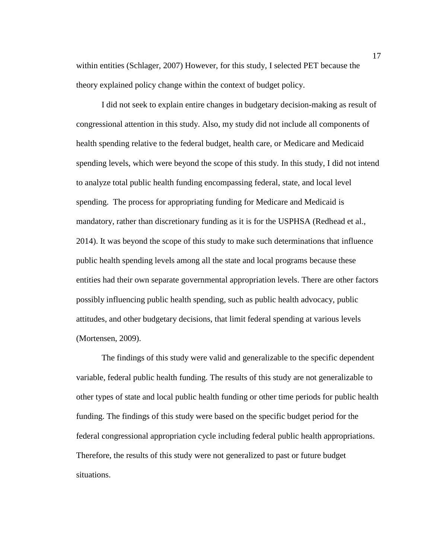within entities (Schlager, 2007) However, for this study, I selected PET because the theory explained policy change within the context of budget policy.

I did not seek to explain entire changes in budgetary decision-making as result of congressional attention in this study. Also, my study did not include all components of health spending relative to the federal budget, health care, or Medicare and Medicaid spending levels, which were beyond the scope of this study. In this study, I did not intend to analyze total public health funding encompassing federal, state, and local level spending. The process for appropriating funding for Medicare and Medicaid is mandatory, rather than discretionary funding as it is for the USPHSA (Redhead et al., 2014). It was beyond the scope of this study to make such determinations that influence public health spending levels among all the state and local programs because these entities had their own separate governmental appropriation levels. There are other factors possibly influencing public health spending, such as public health advocacy, public attitudes, and other budgetary decisions, that limit federal spending at various levels (Mortensen, 2009).

The findings of this study were valid and generalizable to the specific dependent variable, federal public health funding. The results of this study are not generalizable to other types of state and local public health funding or other time periods for public health funding. The findings of this study were based on the specific budget period for the federal congressional appropriation cycle including federal public health appropriations. Therefore, the results of this study were not generalized to past or future budget situations.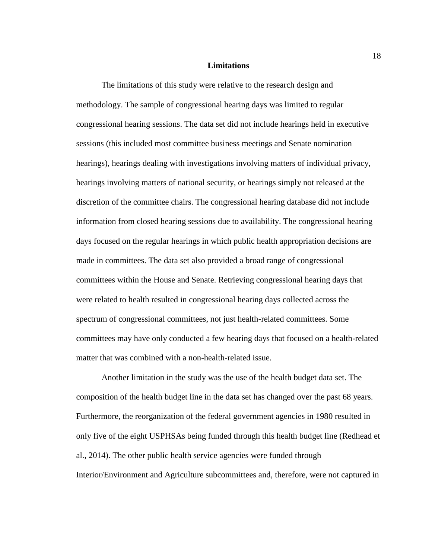#### **Limitations**

<span id="page-29-0"></span>The limitations of this study were relative to the research design and methodology. The sample of congressional hearing days was limited to regular congressional hearing sessions. The data set did not include hearings held in executive sessions (this included most committee business meetings and Senate nomination hearings), hearings dealing with investigations involving matters of individual privacy, hearings involving matters of national security, or hearings simply not released at the discretion of the committee chairs. The congressional hearing database did not include information from closed hearing sessions due to availability. The congressional hearing days focused on the regular hearings in which public health appropriation decisions are made in committees. The data set also provided a broad range of congressional committees within the House and Senate. Retrieving congressional hearing days that were related to health resulted in congressional hearing days collected across the spectrum of congressional committees, not just health-related committees. Some committees may have only conducted a few hearing days that focused on a health-related matter that was combined with a non-health-related issue.

Another limitation in the study was the use of the health budget data set. The composition of the health budget line in the data set has changed over the past 68 years. Furthermore, the reorganization of the federal government agencies in 1980 resulted in only five of the eight USPHSAs being funded through this health budget line (Redhead et al., 2014). The other public health service agencies were funded through Interior/Environment and Agriculture subcommittees and, therefore, were not captured in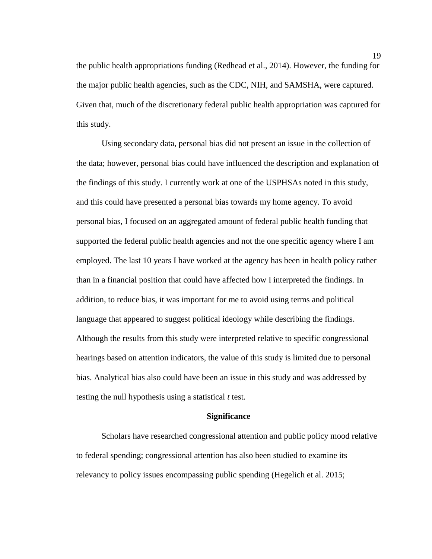the public health appropriations funding (Redhead et al., 2014). However, the funding for the major public health agencies, such as the CDC, NIH, and SAMSHA, were captured. Given that, much of the discretionary federal public health appropriation was captured for this study.

Using secondary data, personal bias did not present an issue in the collection of the data; however, personal bias could have influenced the description and explanation of the findings of this study. I currently work at one of the USPHSAs noted in this study, and this could have presented a personal bias towards my home agency. To avoid personal bias, I focused on an aggregated amount of federal public health funding that supported the federal public health agencies and not the one specific agency where I am employed. The last 10 years I have worked at the agency has been in health policy rather than in a financial position that could have affected how I interpreted the findings. In addition, to reduce bias, it was important for me to avoid using terms and political language that appeared to suggest political ideology while describing the findings. Although the results from this study were interpreted relative to specific congressional hearings based on attention indicators, the value of this study is limited due to personal bias. Analytical bias also could have been an issue in this study and was addressed by testing the null hypothesis using a statistical *t* test.

# **Significance**

<span id="page-30-0"></span>Scholars have researched congressional attention and public policy mood relative to federal spending; congressional attention has also been studied to examine its relevancy to policy issues encompassing public spending (Hegelich et al. 2015;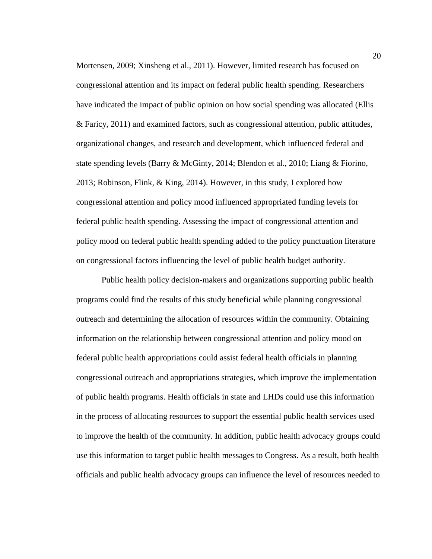Mortensen, 2009; Xinsheng et al., 2011). However, limited research has focused on congressional attention and its impact on federal public health spending. Researchers have indicated the impact of public opinion on how social spending was allocated (Ellis & Faricy, 2011) and examined factors, such as congressional attention, public attitudes, organizational changes, and research and development, which influenced federal and state spending levels (Barry & McGinty, 2014; Blendon et al., 2010; Liang & Fiorino, 2013; Robinson, Flink, & King, 2014). However, in this study, I explored how congressional attention and policy mood influenced appropriated funding levels for federal public health spending. Assessing the impact of congressional attention and policy mood on federal public health spending added to the policy punctuation literature on congressional factors influencing the level of public health budget authority.

Public health policy decision-makers and organizations supporting public health programs could find the results of this study beneficial while planning congressional outreach and determining the allocation of resources within the community. Obtaining information on the relationship between congressional attention and policy mood on federal public health appropriations could assist federal health officials in planning congressional outreach and appropriations strategies, which improve the implementation of public health programs. Health officials in state and LHDs could use this information in the process of allocating resources to support the essential public health services used to improve the health of the community. In addition, public health advocacy groups could use this information to target public health messages to Congress. As a result, both health officials and public health advocacy groups can influence the level of resources needed to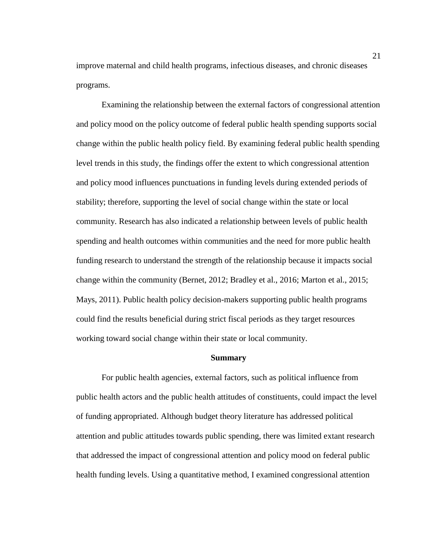improve maternal and child health programs, infectious diseases, and chronic diseases programs.

Examining the relationship between the external factors of congressional attention and policy mood on the policy outcome of federal public health spending supports social change within the public health policy field. By examining federal public health spending level trends in this study, the findings offer the extent to which congressional attention and policy mood influences punctuations in funding levels during extended periods of stability; therefore, supporting the level of social change within the state or local community. Research has also indicated a relationship between levels of public health spending and health outcomes within communities and the need for more public health funding research to understand the strength of the relationship because it impacts social change within the community (Bernet, 2012; Bradley et al., 2016; Marton et al., 2015; Mays, 2011). Public health policy decision-makers supporting public health programs could find the results beneficial during strict fiscal periods as they target resources working toward social change within their state or local community.

#### **Summary**

<span id="page-32-0"></span>For public health agencies, external factors, such as political influence from public health actors and the public health attitudes of constituents, could impact the level of funding appropriated. Although budget theory literature has addressed political attention and public attitudes towards public spending, there was limited extant research that addressed the impact of congressional attention and policy mood on federal public health funding levels. Using a quantitative method, I examined congressional attention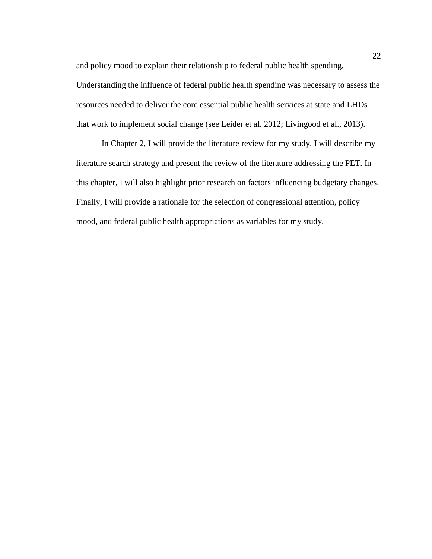and policy mood to explain their relationship to federal public health spending. Understanding the influence of federal public health spending was necessary to assess the resources needed to deliver the core essential public health services at state and LHDs that work to implement social change (see Leider et al. 2012; Livingood et al., 2013).

In Chapter 2, I will provide the literature review for my study. I will describe my literature search strategy and present the review of the literature addressing the PET. In this chapter, I will also highlight prior research on factors influencing budgetary changes. Finally, I will provide a rationale for the selection of congressional attention, policy mood, and federal public health appropriations as variables for my study.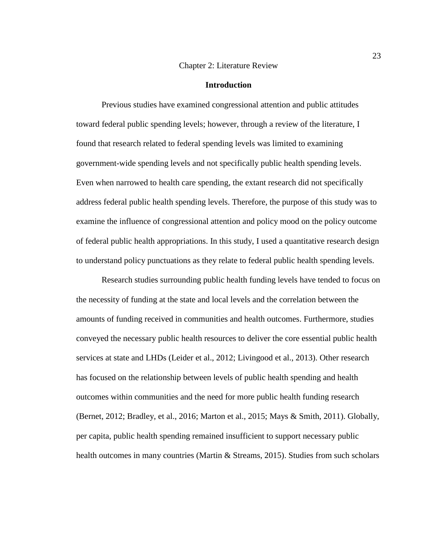#### Chapter 2: Literature Review

#### **Introduction**

<span id="page-34-1"></span><span id="page-34-0"></span>Previous studies have examined congressional attention and public attitudes toward federal public spending levels; however, through a review of the literature, I found that research related to federal spending levels was limited to examining government-wide spending levels and not specifically public health spending levels. Even when narrowed to health care spending, the extant research did not specifically address federal public health spending levels. Therefore, the purpose of this study was to examine the influence of congressional attention and policy mood on the policy outcome of federal public health appropriations. In this study, I used a quantitative research design to understand policy punctuations as they relate to federal public health spending levels.

Research studies surrounding public health funding levels have tended to focus on the necessity of funding at the state and local levels and the correlation between the amounts of funding received in communities and health outcomes. Furthermore, studies conveyed the necessary public health resources to deliver the core essential public health services at state and LHDs (Leider et al., 2012; Livingood et al., 2013). Other research has focused on the relationship between levels of public health spending and health outcomes within communities and the need for more public health funding research (Bernet, 2012; Bradley, et al., 2016; Marton et al., 2015; Mays & Smith, 2011). Globally, per capita, public health spending remained insufficient to support necessary public health outcomes in many countries (Martin & Streams, 2015). Studies from such scholars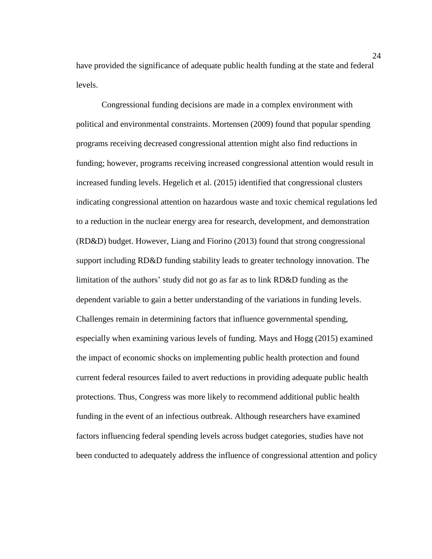have provided the significance of adequate public health funding at the state and federal levels.

Congressional funding decisions are made in a complex environment with political and environmental constraints. Mortensen (2009) found that popular spending programs receiving decreased congressional attention might also find reductions in funding; however, programs receiving increased congressional attention would result in increased funding levels. Hegelich et al. (2015) identified that congressional clusters indicating congressional attention on hazardous waste and toxic chemical regulations led to a reduction in the nuclear energy area for research, development, and demonstration (RD&D) budget. However, Liang and Fiorino (2013) found that strong congressional support including RD&D funding stability leads to greater technology innovation. The limitation of the authors' study did not go as far as to link RD&D funding as the dependent variable to gain a better understanding of the variations in funding levels. Challenges remain in determining factors that influence governmental spending, especially when examining various levels of funding. Mays and Hogg (2015) examined the impact of economic shocks on implementing public health protection and found current federal resources failed to avert reductions in providing adequate public health protections. Thus, Congress was more likely to recommend additional public health funding in the event of an infectious outbreak. Although researchers have examined factors influencing federal spending levels across budget categories, studies have not been conducted to adequately address the influence of congressional attention and policy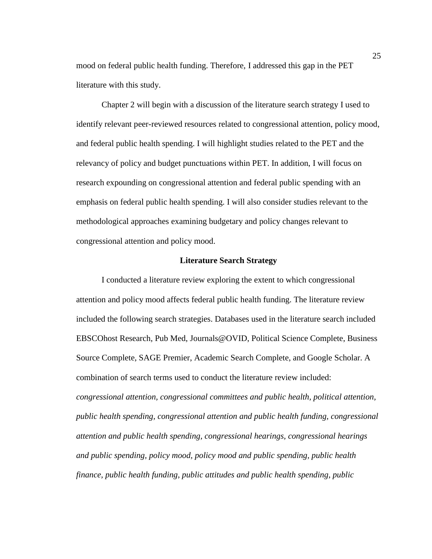mood on federal public health funding. Therefore, I addressed this gap in the PET literature with this study.

Chapter 2 will begin with a discussion of the literature search strategy I used to identify relevant peer-reviewed resources related to congressional attention, policy mood, and federal public health spending. I will highlight studies related to the PET and the relevancy of policy and budget punctuations within PET. In addition, I will focus on research expounding on congressional attention and federal public spending with an emphasis on federal public health spending. I will also consider studies relevant to the methodological approaches examining budgetary and policy changes relevant to congressional attention and policy mood.

### **Literature Search Strategy**

I conducted a literature review exploring the extent to which congressional attention and policy mood affects federal public health funding. The literature review included the following search strategies. Databases used in the literature search included EBSCOhost Research, Pub Med, Journals@OVID, Political Science Complete, Business Source Complete, SAGE Premier, Academic Search Complete, and Google Scholar. A combination of search terms used to conduct the literature review included: *congressional attention, congressional committees and public health, political attention, public health spending, congressional attention and public health funding, congressional attention and public health spending, congressional hearings, congressional hearings and public spending, policy mood, policy mood and public spending, public health finance, public health funding, public attitudes and public health spending, public*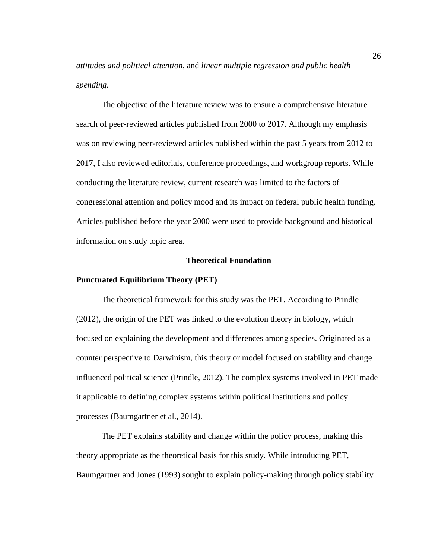*attitudes and political attention,* and *linear multiple regression and public health spending.*

The objective of the literature review was to ensure a comprehensive literature search of peer-reviewed articles published from 2000 to 2017. Although my emphasis was on reviewing peer-reviewed articles published within the past 5 years from 2012 to 2017, I also reviewed editorials, conference proceedings, and workgroup reports. While conducting the literature review, current research was limited to the factors of congressional attention and policy mood and its impact on federal public health funding. Articles published before the year 2000 were used to provide background and historical information on study topic area.

# **Theoretical Foundation**

### **Punctuated Equilibrium Theory (PET)**

The theoretical framework for this study was the PET. According to Prindle (2012), the origin of the PET was linked to the evolution theory in biology, which focused on explaining the development and differences among species. Originated as a counter perspective to Darwinism, this theory or model focused on stability and change influenced political science (Prindle, 2012). The complex systems involved in PET made it applicable to defining complex systems within political institutions and policy processes (Baumgartner et al., 2014).

The PET explains stability and change within the policy process, making this theory appropriate as the theoretical basis for this study. While introducing PET, Baumgartner and Jones (1993) sought to explain policy-making through policy stability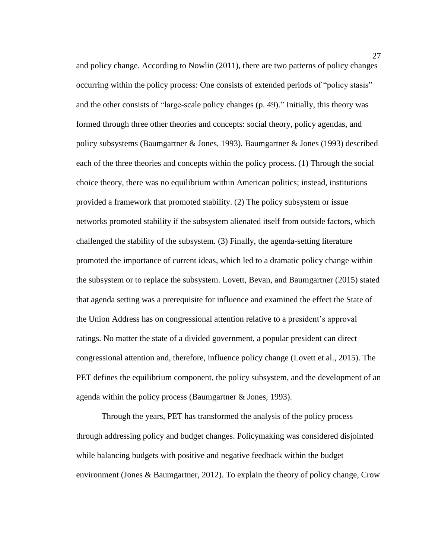and policy change. According to Nowlin (2011), there are two patterns of policy changes occurring within the policy process: One consists of extended periods of "policy stasis" and the other consists of "large-scale policy changes (p. 49)." Initially, this theory was formed through three other theories and concepts: social theory, policy agendas, and policy subsystems (Baumgartner & Jones, 1993). Baumgartner & Jones (1993) described each of the three theories and concepts within the policy process. (1) Through the social choice theory, there was no equilibrium within American politics; instead, institutions provided a framework that promoted stability. (2) The policy subsystem or issue networks promoted stability if the subsystem alienated itself from outside factors, which challenged the stability of the subsystem. (3) Finally, the agenda-setting literature promoted the importance of current ideas, which led to a dramatic policy change within the subsystem or to replace the subsystem. Lovett, Bevan, and Baumgartner (2015) stated that agenda setting was a prerequisite for influence and examined the effect the State of the Union Address has on congressional attention relative to a president's approval ratings. No matter the state of a divided government, a popular president can direct congressional attention and, therefore, influence policy change (Lovett et al., 2015). The PET defines the equilibrium component, the policy subsystem, and the development of an agenda within the policy process (Baumgartner & Jones, 1993).

Through the years, PET has transformed the analysis of the policy process through addressing policy and budget changes. Policymaking was considered disjointed while balancing budgets with positive and negative feedback within the budget environment (Jones & Baumgartner, 2012). To explain the theory of policy change, Crow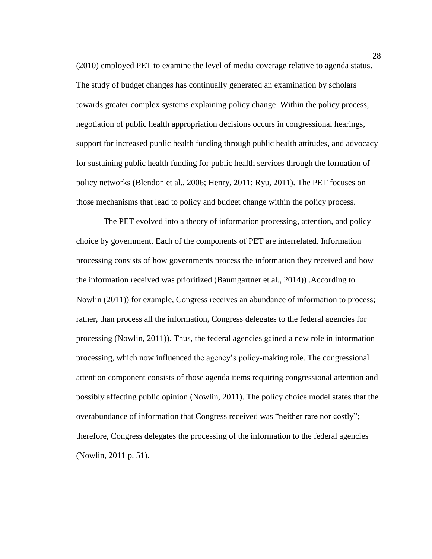(2010) employed PET to examine the level of media coverage relative to agenda status. The study of budget changes has continually generated an examination by scholars towards greater complex systems explaining policy change. Within the policy process, negotiation of public health appropriation decisions occurs in congressional hearings, support for increased public health funding through public health attitudes, and advocacy for sustaining public health funding for public health services through the formation of policy networks (Blendon et al., 2006; Henry, 2011; Ryu, 2011). The PET focuses on those mechanisms that lead to policy and budget change within the policy process.

The PET evolved into a theory of information processing, attention, and policy choice by government. Each of the components of PET are interrelated. Information processing consists of how governments process the information they received and how the information received was prioritized (Baumgartner et al., 2014)) .According to Nowlin (2011)) for example, Congress receives an abundance of information to process; rather, than process all the information, Congress delegates to the federal agencies for processing (Nowlin, 2011)). Thus, the federal agencies gained a new role in information processing, which now influenced the agency's policy-making role. The congressional attention component consists of those agenda items requiring congressional attention and possibly affecting public opinion (Nowlin, 2011). The policy choice model states that the overabundance of information that Congress received was "neither rare nor costly"; therefore, Congress delegates the processing of the information to the federal agencies (Nowlin, 2011 p. 51).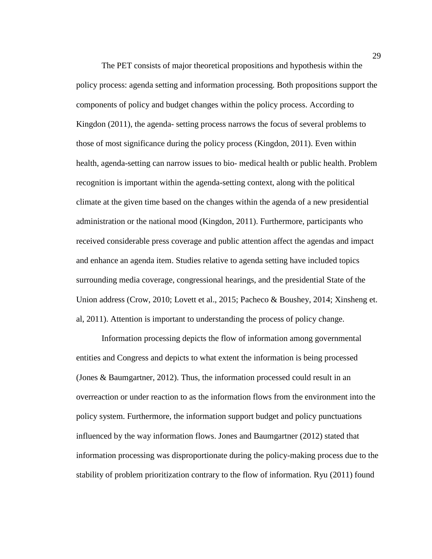The PET consists of major theoretical propositions and hypothesis within the policy process: agenda setting and information processing. Both propositions support the components of policy and budget changes within the policy process. According to Kingdon (2011), the agenda- setting process narrows the focus of several problems to those of most significance during the policy process (Kingdon, 2011). Even within health, agenda-setting can narrow issues to bio- medical health or public health. Problem recognition is important within the agenda-setting context, along with the political climate at the given time based on the changes within the agenda of a new presidential administration or the national mood (Kingdon, 2011). Furthermore, participants who received considerable press coverage and public attention affect the agendas and impact and enhance an agenda item. Studies relative to agenda setting have included topics surrounding media coverage, congressional hearings, and the presidential State of the Union address (Crow, 2010; Lovett et al., 2015; Pacheco & Boushey, 2014; Xinsheng et. al, 2011). Attention is important to understanding the process of policy change.

Information processing depicts the flow of information among governmental entities and Congress and depicts to what extent the information is being processed (Jones & Baumgartner, 2012). Thus, the information processed could result in an overreaction or under reaction to as the information flows from the environment into the policy system. Furthermore, the information support budget and policy punctuations influenced by the way information flows. Jones and Baumgartner (2012) stated that information processing was disproportionate during the policy-making process due to the stability of problem prioritization contrary to the flow of information. Ryu (2011) found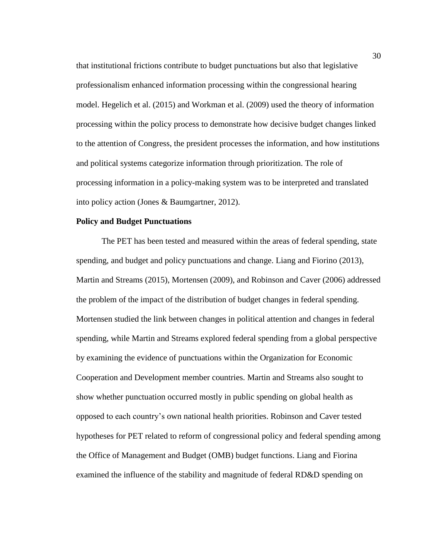that institutional frictions contribute to budget punctuations but also that legislative professionalism enhanced information processing within the congressional hearing model. Hegelich et al. (2015) and Workman et al. (2009) used the theory of information processing within the policy process to demonstrate how decisive budget changes linked to the attention of Congress, the president processes the information, and how institutions and political systems categorize information through prioritization. The role of processing information in a policy-making system was to be interpreted and translated into policy action (Jones & Baumgartner, 2012).

# **Policy and Budget Punctuations**

The PET has been tested and measured within the areas of federal spending, state spending, and budget and policy punctuations and change. Liang and Fiorino (2013), Martin and Streams (2015), Mortensen (2009), and Robinson and Caver (2006) addressed the problem of the impact of the distribution of budget changes in federal spending. Mortensen studied the link between changes in political attention and changes in federal spending, while Martin and Streams explored federal spending from a global perspective by examining the evidence of punctuations within the Organization for Economic Cooperation and Development member countries. Martin and Streams also sought to show whether punctuation occurred mostly in public spending on global health as opposed to each country's own national health priorities. Robinson and Caver tested hypotheses for PET related to reform of congressional policy and federal spending among the Office of Management and Budget (OMB) budget functions. Liang and Fiorina examined the influence of the stability and magnitude of federal RD&D spending on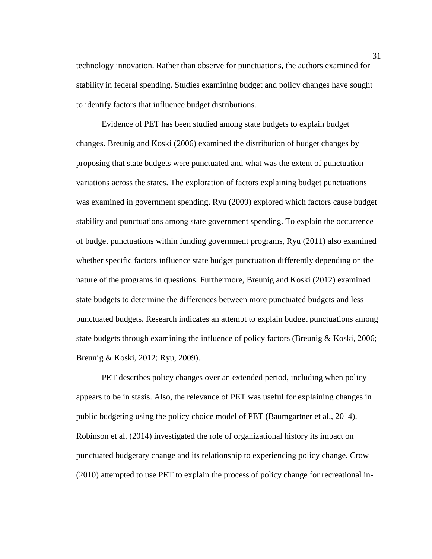technology innovation. Rather than observe for punctuations, the authors examined for stability in federal spending. Studies examining budget and policy changes have sought to identify factors that influence budget distributions.

Evidence of PET has been studied among state budgets to explain budget changes. Breunig and Koski (2006) examined the distribution of budget changes by proposing that state budgets were punctuated and what was the extent of punctuation variations across the states. The exploration of factors explaining budget punctuations was examined in government spending. Ryu (2009) explored which factors cause budget stability and punctuations among state government spending. To explain the occurrence of budget punctuations within funding government programs, Ryu (2011) also examined whether specific factors influence state budget punctuation differently depending on the nature of the programs in questions. Furthermore, Breunig and Koski (2012) examined state budgets to determine the differences between more punctuated budgets and less punctuated budgets. Research indicates an attempt to explain budget punctuations among state budgets through examining the influence of policy factors (Breunig & Koski, 2006; Breunig & Koski, 2012; Ryu, 2009).

PET describes policy changes over an extended period, including when policy appears to be in stasis. Also, the relevance of PET was useful for explaining changes in public budgeting using the policy choice model of PET (Baumgartner et al., 2014). Robinson et al. (2014) investigated the role of organizational history its impact on punctuated budgetary change and its relationship to experiencing policy change. Crow (2010) attempted to use PET to explain the process of policy change for recreational in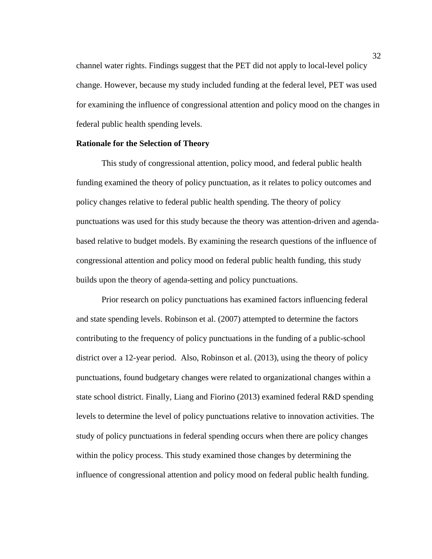channel water rights. Findings suggest that the PET did not apply to local-level policy change. However, because my study included funding at the federal level, PET was used for examining the influence of congressional attention and policy mood on the changes in federal public health spending levels.

### **Rationale for the Selection of Theory**

This study of congressional attention, policy mood, and federal public health funding examined the theory of policy punctuation, as it relates to policy outcomes and policy changes relative to federal public health spending. The theory of policy punctuations was used for this study because the theory was attention-driven and agendabased relative to budget models. By examining the research questions of the influence of congressional attention and policy mood on federal public health funding, this study builds upon the theory of agenda-setting and policy punctuations.

Prior research on policy punctuations has examined factors influencing federal and state spending levels. Robinson et al. (2007) attempted to determine the factors contributing to the frequency of policy punctuations in the funding of a public-school district over a 12-year period. Also, Robinson et al. (2013), using the theory of policy punctuations, found budgetary changes were related to organizational changes within a state school district. Finally, Liang and Fiorino (2013) examined federal R&D spending levels to determine the level of policy punctuations relative to innovation activities. The study of policy punctuations in federal spending occurs when there are policy changes within the policy process. This study examined those changes by determining the influence of congressional attention and policy mood on federal public health funding.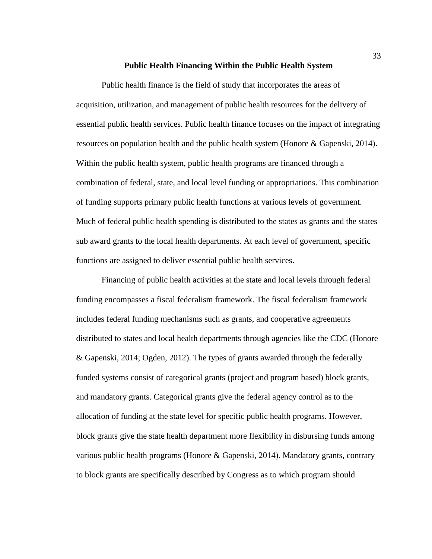#### **Public Health Financing Within the Public Health System**

Public health finance is the field of study that incorporates the areas of acquisition, utilization, and management of public health resources for the delivery of essential public health services. Public health finance focuses on the impact of integrating resources on population health and the public health system (Honore & Gapenski, 2014). Within the public health system, public health programs are financed through a combination of federal, state, and local level funding or appropriations. This combination of funding supports primary public health functions at various levels of government. Much of federal public health spending is distributed to the states as grants and the states sub award grants to the local health departments. At each level of government, specific functions are assigned to deliver essential public health services.

Financing of public health activities at the state and local levels through federal funding encompasses a fiscal federalism framework. The fiscal federalism framework includes federal funding mechanisms such as grants, and cooperative agreements distributed to states and local health departments through agencies like the CDC (Honore & Gapenski, 2014; Ogden, 2012). The types of grants awarded through the federally funded systems consist of categorical grants (project and program based) block grants, and mandatory grants. Categorical grants give the federal agency control as to the allocation of funding at the state level for specific public health programs. However, block grants give the state health department more flexibility in disbursing funds among various public health programs (Honore & Gapenski, 2014). Mandatory grants, contrary to block grants are specifically described by Congress as to which program should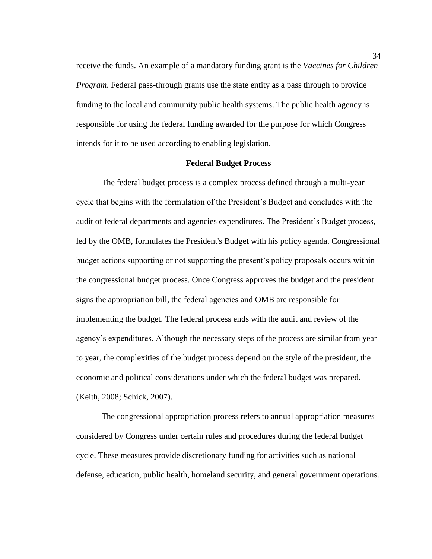receive the funds. An example of a mandatory funding grant is the *Vaccines for Children Program*. Federal pass-through grants use the state entity as a pass through to provide funding to the local and community public health systems. The public health agency is responsible for using the federal funding awarded for the purpose for which Congress intends for it to be used according to enabling legislation.

# **Federal Budget Process**

The federal budget process is a complex process defined through a multi-year cycle that begins with the formulation of the President's Budget and concludes with the audit of federal departments and agencies expenditures. The President's Budget process, led by the OMB, formulates the President's Budget with his policy agenda. Congressional budget actions supporting or not supporting the present's policy proposals occurs within the congressional budget process. Once Congress approves the budget and the president signs the appropriation bill, the federal agencies and OMB are responsible for implementing the budget. The federal process ends with the audit and review of the agency's expenditures. Although the necessary steps of the process are similar from year to year, the complexities of the budget process depend on the style of the president, the economic and political considerations under which the federal budget was prepared. (Keith, 2008; Schick, 2007).

The congressional appropriation process refers to annual appropriation measures considered by Congress under certain rules and procedures during the federal budget cycle. These measures provide discretionary funding for activities such as national defense, education, public health, homeland security, and general government operations.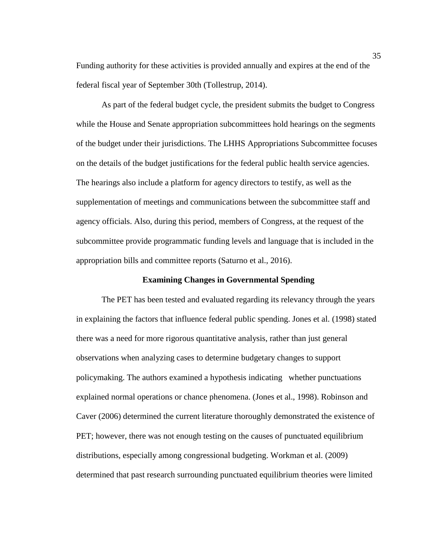Funding authority for these activities is provided annually and expires at the end of the federal fiscal year of September 30th (Tollestrup, 2014).

As part of the federal budget cycle, the president submits the budget to Congress while the House and Senate appropriation subcommittees hold hearings on the segments of the budget under their jurisdictions. The LHHS Appropriations Subcommittee focuses on the details of the budget justifications for the federal public health service agencies. The hearings also include a platform for agency directors to testify, as well as the supplementation of meetings and communications between the subcommittee staff and agency officials. Also, during this period, members of Congress, at the request of the subcommittee provide programmatic funding levels and language that is included in the appropriation bills and committee reports (Saturno et al., 2016).

#### **Examining Changes in Governmental Spending**

The PET has been tested and evaluated regarding its relevancy through the years in explaining the factors that influence federal public spending. Jones et al. (1998) stated there was a need for more rigorous quantitative analysis, rather than just general observations when analyzing cases to determine budgetary changes to support policymaking. The authors examined a hypothesis indicating whether punctuations explained normal operations or chance phenomena. (Jones et al., 1998). Robinson and Caver (2006) determined the current literature thoroughly demonstrated the existence of PET; however, there was not enough testing on the causes of punctuated equilibrium distributions, especially among congressional budgeting. Workman et al. (2009) determined that past research surrounding punctuated equilibrium theories were limited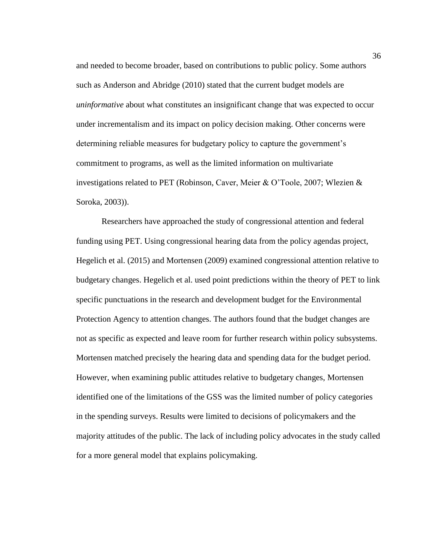and needed to become broader, based on contributions to public policy. Some authors such as Anderson and Abridge (2010) stated that the current budget models are *uninformative* about what constitutes an insignificant change that was expected to occur under incrementalism and its impact on policy decision making. Other concerns were determining reliable measures for budgetary policy to capture the government's commitment to programs, as well as the limited information on multivariate investigations related to PET (Robinson, Caver, Meier & O'Toole, 2007; Wlezien & Soroka, 2003)).

Researchers have approached the study of congressional attention and federal funding using PET. Using congressional hearing data from the policy agendas project, Hegelich et al. (2015) and Mortensen (2009) examined congressional attention relative to budgetary changes. Hegelich et al. used point predictions within the theory of PET to link specific punctuations in the research and development budget for the Environmental Protection Agency to attention changes. The authors found that the budget changes are not as specific as expected and leave room for further research within policy subsystems. Mortensen matched precisely the hearing data and spending data for the budget period. However, when examining public attitudes relative to budgetary changes, Mortensen identified one of the limitations of the GSS was the limited number of policy categories in the spending surveys. Results were limited to decisions of policymakers and the majority attitudes of the public. The lack of including policy advocates in the study called for a more general model that explains policymaking.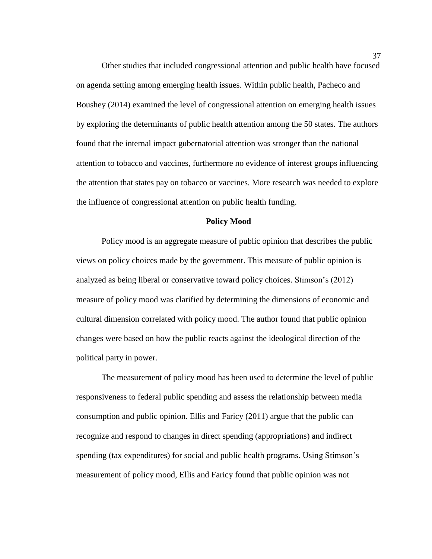Other studies that included congressional attention and public health have focused on agenda setting among emerging health issues. Within public health, Pacheco and Boushey (2014) examined the level of congressional attention on emerging health issues by exploring the determinants of public health attention among the 50 states. The authors found that the internal impact gubernatorial attention was stronger than the national attention to tobacco and vaccines, furthermore no evidence of interest groups influencing the attention that states pay on tobacco or vaccines. More research was needed to explore the influence of congressional attention on public health funding.

### **Policy Mood**

Policy mood is an aggregate measure of public opinion that describes the public views on policy choices made by the government. This measure of public opinion is analyzed as being liberal or conservative toward policy choices. Stimson's (2012) measure of policy mood was clarified by determining the dimensions of economic and cultural dimension correlated with policy mood. The author found that public opinion changes were based on how the public reacts against the ideological direction of the political party in power.

The measurement of policy mood has been used to determine the level of public responsiveness to federal public spending and assess the relationship between media consumption and public opinion. Ellis and Faricy (2011) argue that the public can recognize and respond to changes in direct spending (appropriations) and indirect spending (tax expenditures) for social and public health programs. Using Stimson's measurement of policy mood, Ellis and Faricy found that public opinion was not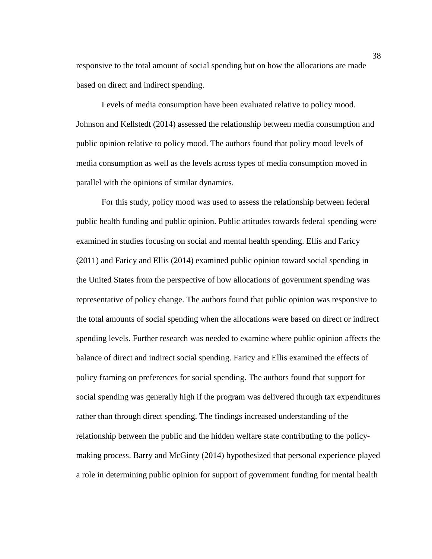responsive to the total amount of social spending but on how the allocations are made based on direct and indirect spending.

Levels of media consumption have been evaluated relative to policy mood. Johnson and Kellstedt (2014) assessed the relationship between media consumption and public opinion relative to policy mood. The authors found that policy mood levels of media consumption as well as the levels across types of media consumption moved in parallel with the opinions of similar dynamics.

For this study, policy mood was used to assess the relationship between federal public health funding and public opinion. Public attitudes towards federal spending were examined in studies focusing on social and mental health spending. Ellis and Faricy (2011) and Faricy and Ellis (2014) examined public opinion toward social spending in the United States from the perspective of how allocations of government spending was representative of policy change. The authors found that public opinion was responsive to the total amounts of social spending when the allocations were based on direct or indirect spending levels. Further research was needed to examine where public opinion affects the balance of direct and indirect social spending. Faricy and Ellis examined the effects of policy framing on preferences for social spending. The authors found that support for social spending was generally high if the program was delivered through tax expenditures rather than through direct spending. The findings increased understanding of the relationship between the public and the hidden welfare state contributing to the policymaking process. Barry and McGinty (2014) hypothesized that personal experience played a role in determining public opinion for support of government funding for mental health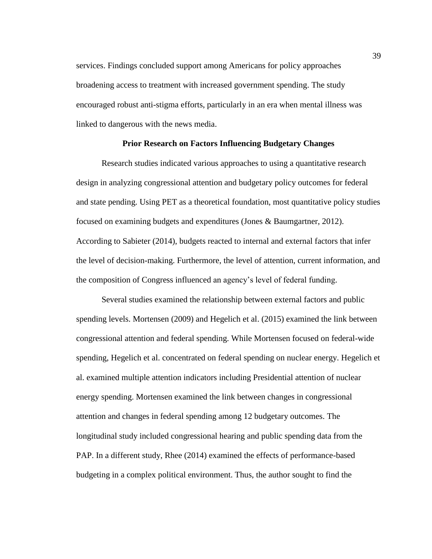services. Findings concluded support among Americans for policy approaches broadening access to treatment with increased government spending. The study encouraged robust anti-stigma efforts, particularly in an era when mental illness was linked to dangerous with the news media.

### **Prior Research on Factors Influencing Budgetary Changes**

Research studies indicated various approaches to using a quantitative research design in analyzing congressional attention and budgetary policy outcomes for federal and state pending. Using PET as a theoretical foundation, most quantitative policy studies focused on examining budgets and expenditures (Jones & Baumgartner, 2012). According to Sabieter (2014), budgets reacted to internal and external factors that infer the level of decision-making. Furthermore, the level of attention, current information, and the composition of Congress influenced an agency's level of federal funding.

Several studies examined the relationship between external factors and public spending levels. Mortensen (2009) and Hegelich et al. (2015) examined the link between congressional attention and federal spending. While Mortensen focused on federal-wide spending, Hegelich et al. concentrated on federal spending on nuclear energy. Hegelich et al. examined multiple attention indicators including Presidential attention of nuclear energy spending. Mortensen examined the link between changes in congressional attention and changes in federal spending among 12 budgetary outcomes. The longitudinal study included congressional hearing and public spending data from the PAP. In a different study, Rhee (2014) examined the effects of performance-based budgeting in a complex political environment. Thus, the author sought to find the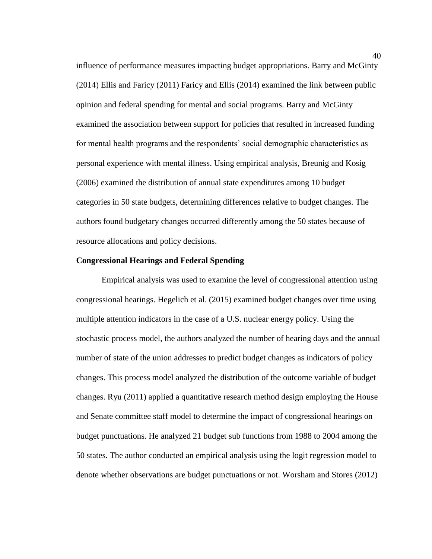influence of performance measures impacting budget appropriations. Barry and McGinty (2014) Ellis and Faricy (2011) Faricy and Ellis (2014) examined the link between public opinion and federal spending for mental and social programs. Barry and McGinty examined the association between support for policies that resulted in increased funding for mental health programs and the respondents' social demographic characteristics as personal experience with mental illness. Using empirical analysis, Breunig and Kosig (2006) examined the distribution of annual state expenditures among 10 budget categories in 50 state budgets, determining differences relative to budget changes. The authors found budgetary changes occurred differently among the 50 states because of resource allocations and policy decisions.

# **Congressional Hearings and Federal Spending**

Empirical analysis was used to examine the level of congressional attention using congressional hearings. Hegelich et al. (2015) examined budget changes over time using multiple attention indicators in the case of a U.S. nuclear energy policy. Using the stochastic process model, the authors analyzed the number of hearing days and the annual number of state of the union addresses to predict budget changes as indicators of policy changes. This process model analyzed the distribution of the outcome variable of budget changes. Ryu (2011) applied a quantitative research method design employing the House and Senate committee staff model to determine the impact of congressional hearings on budget punctuations. He analyzed 21 budget sub functions from 1988 to 2004 among the 50 states. The author conducted an empirical analysis using the logit regression model to denote whether observations are budget punctuations or not. Worsham and Stores (2012)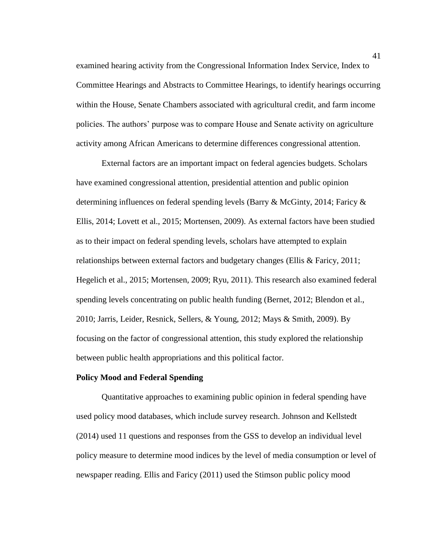examined hearing activity from the Congressional Information Index Service, Index to Committee Hearings and Abstracts to Committee Hearings, to identify hearings occurring within the House, Senate Chambers associated with agricultural credit, and farm income policies. The authors' purpose was to compare House and Senate activity on agriculture activity among African Americans to determine differences congressional attention.

External factors are an important impact on federal agencies budgets. Scholars have examined congressional attention, presidential attention and public opinion determining influences on federal spending levels (Barry & McGinty, 2014; Faricy  $\&$ Ellis, 2014; Lovett et al., 2015; Mortensen, 2009). As external factors have been studied as to their impact on federal spending levels, scholars have attempted to explain relationships between external factors and budgetary changes (Ellis & Faricy, 2011; Hegelich et al., 2015; Mortensen, 2009; Ryu, 2011). This research also examined federal spending levels concentrating on public health funding (Bernet, 2012; Blendon et al., 2010; Jarris, Leider, Resnick, Sellers, & Young, 2012; Mays & Smith, 2009). By focusing on the factor of congressional attention, this study explored the relationship between public health appropriations and this political factor.

# **Policy Mood and Federal Spending**

Quantitative approaches to examining public opinion in federal spending have used policy mood databases, which include survey research. Johnson and Kellstedt (2014) used 11 questions and responses from the GSS to develop an individual level policy measure to determine mood indices by the level of media consumption or level of newspaper reading. Ellis and Faricy (2011) used the Stimson public policy mood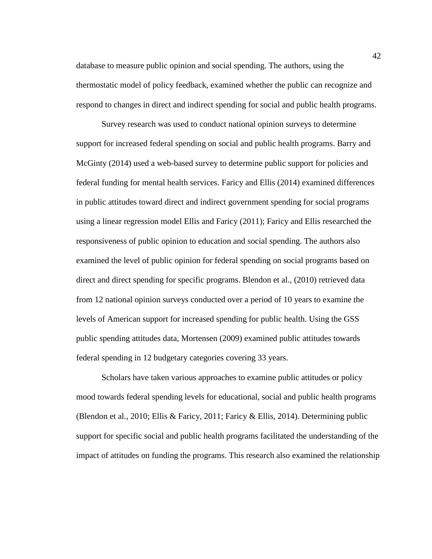database to measure public opinion and social spending. The authors, using the thermostatic model of policy feedback, examined whether the public can recognize and respond to changes in direct and indirect spending for social and public health programs.

Survey research was used to conduct national opinion surveys to determine support for increased federal spending on social and public health programs. Barry and McGinty (2014) used a web-based survey to determine public support for policies and federal funding for mental health services. Faricy and Ellis (2014) examined differences in public attitudes toward direct and indirect government spending for social programs using a linear regression model Ellis and Faricy (2011); Faricy and Ellis researched the responsiveness of public opinion to education and social spending. The authors also examined the level of public opinion for federal spending on social programs based on direct and direct spending for specific programs. Blendon et al., (2010) retrieved data from 12 national opinion surveys conducted over a period of 10 years to examine the levels of American support for increased spending for public health. Using the GSS public spending attitudes data, Mortensen (2009) examined public attitudes towards federal spending in 12 budgetary categories covering 33 years.

Scholars have taken various approaches to examine public attitudes or policy mood towards federal spending levels for educational, social and public health programs (Blendon et al., 2010; Ellis & Faricy, 2011; Faricy & Ellis, 2014). Determining public support for specific social and public health programs facilitated the understanding of the impact of attitudes on funding the programs. This research also examined the relationship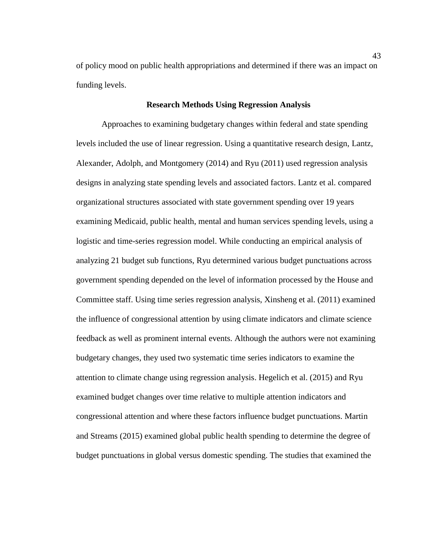of policy mood on public health appropriations and determined if there was an impact on funding levels.

### **Research Methods Using Regression Analysis**

Approaches to examining budgetary changes within federal and state spending levels included the use of linear regression. Using a quantitative research design, Lantz, Alexander, Adolph, and Montgomery (2014) and Ryu (2011) used regression analysis designs in analyzing state spending levels and associated factors. Lantz et al. compared organizational structures associated with state government spending over 19 years examining Medicaid, public health, mental and human services spending levels, using a logistic and time-series regression model. While conducting an empirical analysis of analyzing 21 budget sub functions, Ryu determined various budget punctuations across government spending depended on the level of information processed by the House and Committee staff. Using time series regression analysis, Xinsheng et al. (2011) examined the influence of congressional attention by using climate indicators and climate science feedback as well as prominent internal events. Although the authors were not examining budgetary changes, they used two systematic time series indicators to examine the attention to climate change using regression analysis. Hegelich et al. (2015) and Ryu examined budget changes over time relative to multiple attention indicators and congressional attention and where these factors influence budget punctuations. Martin and Streams (2015) examined global public health spending to determine the degree of budget punctuations in global versus domestic spending. The studies that examined the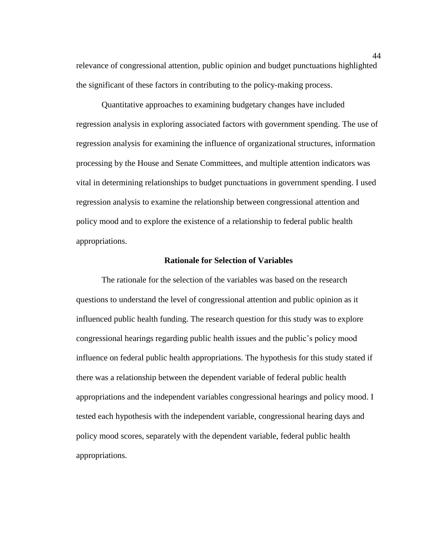relevance of congressional attention, public opinion and budget punctuations highlighted the significant of these factors in contributing to the policy-making process.

Quantitative approaches to examining budgetary changes have included regression analysis in exploring associated factors with government spending. The use of regression analysis for examining the influence of organizational structures, information processing by the House and Senate Committees, and multiple attention indicators was vital in determining relationships to budget punctuations in government spending. I used regression analysis to examine the relationship between congressional attention and policy mood and to explore the existence of a relationship to federal public health appropriations.

# **Rationale for Selection of Variables**

The rationale for the selection of the variables was based on the research questions to understand the level of congressional attention and public opinion as it influenced public health funding. The research question for this study was to explore congressional hearings regarding public health issues and the public's policy mood influence on federal public health appropriations. The hypothesis for this study stated if there was a relationship between the dependent variable of federal public health appropriations and the independent variables congressional hearings and policy mood. I tested each hypothesis with the independent variable, congressional hearing days and policy mood scores, separately with the dependent variable, federal public health appropriations.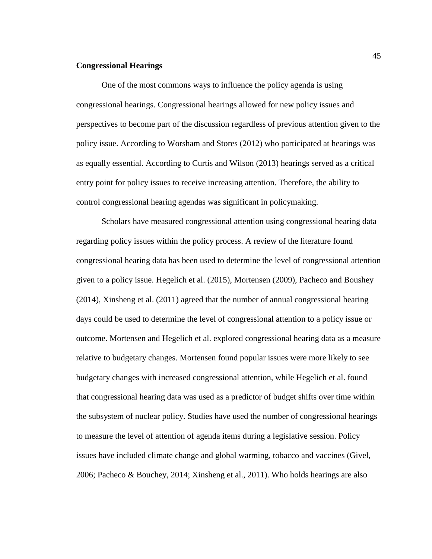# **Congressional Hearings**

One of the most commons ways to influence the policy agenda is using congressional hearings. Congressional hearings allowed for new policy issues and perspectives to become part of the discussion regardless of previous attention given to the policy issue. According to Worsham and Stores (2012) who participated at hearings was as equally essential. According to Curtis and Wilson (2013) hearings served as a critical entry point for policy issues to receive increasing attention. Therefore, the ability to control congressional hearing agendas was significant in policymaking.

Scholars have measured congressional attention using congressional hearing data regarding policy issues within the policy process. A review of the literature found congressional hearing data has been used to determine the level of congressional attention given to a policy issue. Hegelich et al. (2015), Mortensen (2009), Pacheco and Boushey (2014), Xinsheng et al. (2011) agreed that the number of annual congressional hearing days could be used to determine the level of congressional attention to a policy issue or outcome. Mortensen and Hegelich et al. explored congressional hearing data as a measure relative to budgetary changes. Mortensen found popular issues were more likely to see budgetary changes with increased congressional attention, while Hegelich et al. found that congressional hearing data was used as a predictor of budget shifts over time within the subsystem of nuclear policy. Studies have used the number of congressional hearings to measure the level of attention of agenda items during a legislative session. Policy issues have included climate change and global warming, tobacco and vaccines (Givel, 2006; Pacheco & Bouchey, 2014; Xinsheng et al., 2011). Who holds hearings are also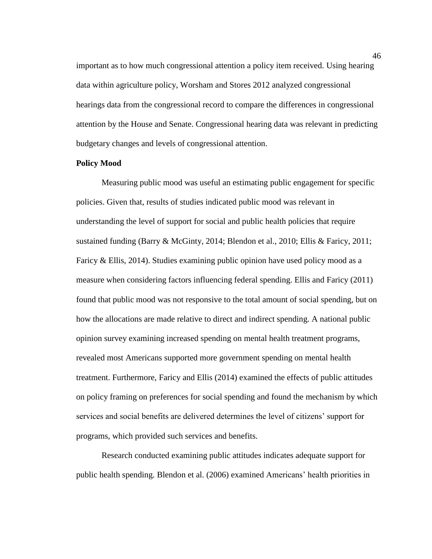important as to how much congressional attention a policy item received. Using hearing data within agriculture policy, Worsham and Stores 2012 analyzed congressional hearings data from the congressional record to compare the differences in congressional attention by the House and Senate. Congressional hearing data was relevant in predicting budgetary changes and levels of congressional attention.

# **Policy Mood**

Measuring public mood was useful an estimating public engagement for specific policies. Given that, results of studies indicated public mood was relevant in understanding the level of support for social and public health policies that require sustained funding (Barry & McGinty, 2014; Blendon et al., 2010; Ellis & Faricy, 2011; Faricy & Ellis, 2014). Studies examining public opinion have used policy mood as a measure when considering factors influencing federal spending. Ellis and Faricy (2011) found that public mood was not responsive to the total amount of social spending, but on how the allocations are made relative to direct and indirect spending. A national public opinion survey examining increased spending on mental health treatment programs, revealed most Americans supported more government spending on mental health treatment. Furthermore, Faricy and Ellis (2014) examined the effects of public attitudes on policy framing on preferences for social spending and found the mechanism by which services and social benefits are delivered determines the level of citizens' support for programs, which provided such services and benefits.

Research conducted examining public attitudes indicates adequate support for public health spending. Blendon et al. (2006) examined Americans' health priorities in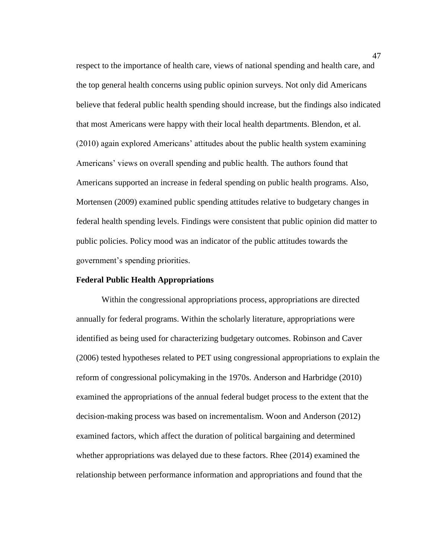respect to the importance of health care, views of national spending and health care, and the top general health concerns using public opinion surveys. Not only did Americans believe that federal public health spending should increase, but the findings also indicated that most Americans were happy with their local health departments. Blendon, et al. (2010) again explored Americans' attitudes about the public health system examining Americans' views on overall spending and public health. The authors found that Americans supported an increase in federal spending on public health programs. Also, Mortensen (2009) examined public spending attitudes relative to budgetary changes in federal health spending levels. Findings were consistent that public opinion did matter to public policies. Policy mood was an indicator of the public attitudes towards the government's spending priorities.

### **Federal Public Health Appropriations**

Within the congressional appropriations process, appropriations are directed annually for federal programs. Within the scholarly literature, appropriations were identified as being used for characterizing budgetary outcomes. Robinson and Caver (2006) tested hypotheses related to PET using congressional appropriations to explain the reform of congressional policymaking in the 1970s. Anderson and Harbridge (2010) examined the appropriations of the annual federal budget process to the extent that the decision-making process was based on incrementalism. Woon and Anderson (2012) examined factors, which affect the duration of political bargaining and determined whether appropriations was delayed due to these factors. Rhee (2014) examined the relationship between performance information and appropriations and found that the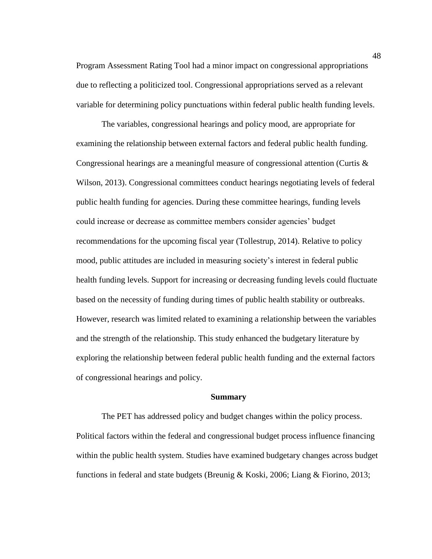Program Assessment Rating Tool had a minor impact on congressional appropriations due to reflecting a politicized tool. Congressional appropriations served as a relevant variable for determining policy punctuations within federal public health funding levels.

The variables, congressional hearings and policy mood, are appropriate for examining the relationship between external factors and federal public health funding. Congressional hearings are a meaningful measure of congressional attention (Curtis & Wilson, 2013). Congressional committees conduct hearings negotiating levels of federal public health funding for agencies. During these committee hearings, funding levels could increase or decrease as committee members consider agencies' budget recommendations for the upcoming fiscal year (Tollestrup, 2014). Relative to policy mood, public attitudes are included in measuring society's interest in federal public health funding levels. Support for increasing or decreasing funding levels could fluctuate based on the necessity of funding during times of public health stability or outbreaks. However, research was limited related to examining a relationship between the variables and the strength of the relationship. This study enhanced the budgetary literature by exploring the relationship between federal public health funding and the external factors of congressional hearings and policy.

#### **Summary**

The PET has addressed policy and budget changes within the policy process. Political factors within the federal and congressional budget process influence financing within the public health system. Studies have examined budgetary changes across budget functions in federal and state budgets (Breunig & Koski, 2006; Liang & Fiorino, 2013;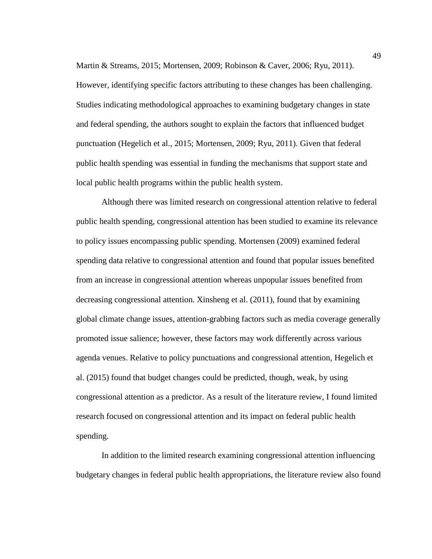Martin & Streams, 2015; Mortensen, 2009; Robinson & Caver, 2006; Ryu, 2011). However, identifying specific factors attributing to these changes has been challenging. Studies indicating methodological approaches to examining budgetary changes in state and federal spending, the authors sought to explain the factors that influenced budget punctuation (Hegelich et al., 2015; Mortensen, 2009; Ryu, 2011). Given that federal public health spending was essential in funding the mechanisms that support state and local public health programs within the public health system.

Although there was limited research on congressional attention relative to federal public health spending, congressional attention has been studied to examine its relevance to policy issues encompassing public spending. Mortensen (2009) examined federal spending data relative to congressional attention and found that popular issues benefited from an increase in congressional attention whereas unpopular issues benefited from decreasing congressional attention. Xinsheng et al. (2011), found that by examining global climate change issues, attention-grabbing factors such as media coverage generally promoted issue salience; however, these factors may work differently across various agenda venues. Relative to policy punctuations and congressional attention, Hegelich et al. (2015) found that budget changes could be predicted, though, weak, by using congressional attention as a predictor. As a result of the literature review, I found limited research focused on congressional attention and its impact on federal public health spending.

In addition to the limited research examining congressional attention influencing budgetary changes in federal public health appropriations, the literature review also found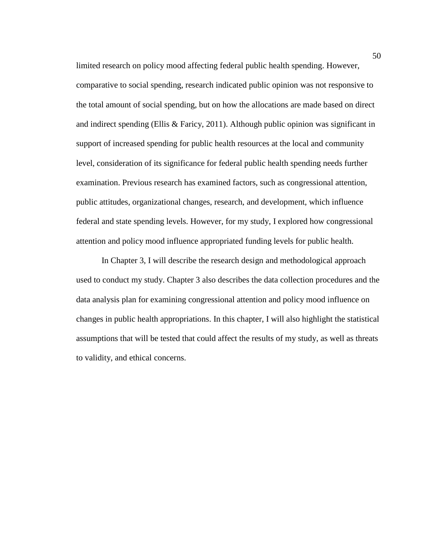limited research on policy mood affecting federal public health spending. However, comparative to social spending, research indicated public opinion was not responsive to the total amount of social spending, but on how the allocations are made based on direct and indirect spending (Ellis & Faricy, 2011). Although public opinion was significant in support of increased spending for public health resources at the local and community level, consideration of its significance for federal public health spending needs further examination. Previous research has examined factors, such as congressional attention, public attitudes, organizational changes, research, and development, which influence federal and state spending levels. However, for my study, I explored how congressional attention and policy mood influence appropriated funding levels for public health.

In Chapter 3, I will describe the research design and methodological approach used to conduct my study. Chapter 3 also describes the data collection procedures and the data analysis plan for examining congressional attention and policy mood influence on changes in public health appropriations. In this chapter, I will also highlight the statistical assumptions that will be tested that could affect the results of my study, as well as threats to validity, and ethical concerns.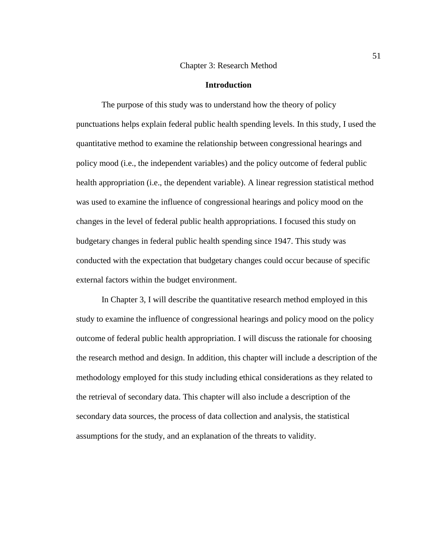#### Chapter 3: Research Method

#### **Introduction**

The purpose of this study was to understand how the theory of policy punctuations helps explain federal public health spending levels. In this study, I used the quantitative method to examine the relationship between congressional hearings and policy mood (i.e., the independent variables) and the policy outcome of federal public health appropriation (i.e., the dependent variable). A linear regression statistical method was used to examine the influence of congressional hearings and policy mood on the changes in the level of federal public health appropriations. I focused this study on budgetary changes in federal public health spending since 1947. This study was conducted with the expectation that budgetary changes could occur because of specific external factors within the budget environment.

In Chapter 3, I will describe the quantitative research method employed in this study to examine the influence of congressional hearings and policy mood on the policy outcome of federal public health appropriation. I will discuss the rationale for choosing the research method and design. In addition, this chapter will include a description of the methodology employed for this study including ethical considerations as they related to the retrieval of secondary data. This chapter will also include a description of the secondary data sources, the process of data collection and analysis, the statistical assumptions for the study, and an explanation of the threats to validity.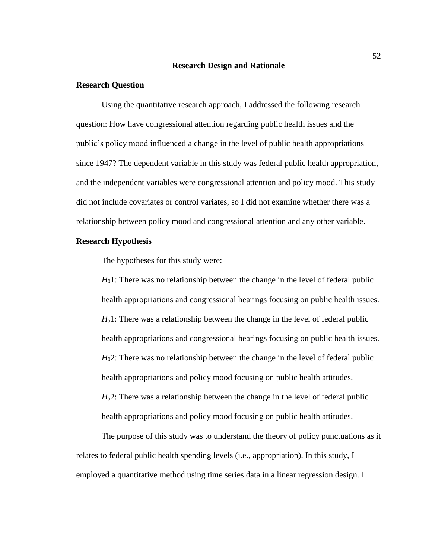#### **Research Design and Rationale**

# **Research Question**

Using the quantitative research approach, I addressed the following research question: How have congressional attention regarding public health issues and the public's policy mood influenced a change in the level of public health appropriations since 1947? The dependent variable in this study was federal public health appropriation, and the independent variables were congressional attention and policy mood. This study did not include covariates or control variates, so I did not examine whether there was a relationship between policy mood and congressional attention and any other variable.

# **Research Hypothesis**

The hypotheses for this study were:

*H*<sub>0</sub>1: There was no relationship between the change in the level of federal public health appropriations and congressional hearings focusing on public health issues. *H*<sub>a</sub>1: There was a relationship between the change in the level of federal public health appropriations and congressional hearings focusing on public health issues. *H*02: There was no relationship between the change in the level of federal public health appropriations and policy mood focusing on public health attitudes. *H*<sub>a</sub>2: There was a relationship between the change in the level of federal public health appropriations and policy mood focusing on public health attitudes.

The purpose of this study was to understand the theory of policy punctuations as it relates to federal public health spending levels (i.e., appropriation). In this study, I employed a quantitative method using time series data in a linear regression design. I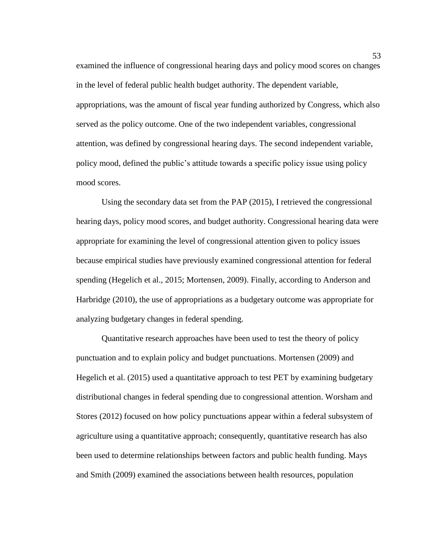examined the influence of congressional hearing days and policy mood scores on changes in the level of federal public health budget authority. The dependent variable, appropriations, was the amount of fiscal year funding authorized by Congress, which also served as the policy outcome. One of the two independent variables, congressional attention, was defined by congressional hearing days. The second independent variable, policy mood, defined the public's attitude towards a specific policy issue using policy mood scores.

Using the secondary data set from the PAP (2015), I retrieved the congressional hearing days, policy mood scores, and budget authority. Congressional hearing data were appropriate for examining the level of congressional attention given to policy issues because empirical studies have previously examined congressional attention for federal spending (Hegelich et al., 2015; Mortensen, 2009). Finally, according to Anderson and Harbridge (2010), the use of appropriations as a budgetary outcome was appropriate for analyzing budgetary changes in federal spending.

Quantitative research approaches have been used to test the theory of policy punctuation and to explain policy and budget punctuations. Mortensen (2009) and Hegelich et al. (2015) used a quantitative approach to test PET by examining budgetary distributional changes in federal spending due to congressional attention. Worsham and Stores (2012) focused on how policy punctuations appear within a federal subsystem of agriculture using a quantitative approach; consequently, quantitative research has also been used to determine relationships between factors and public health funding. Mays and Smith (2009) examined the associations between health resources, population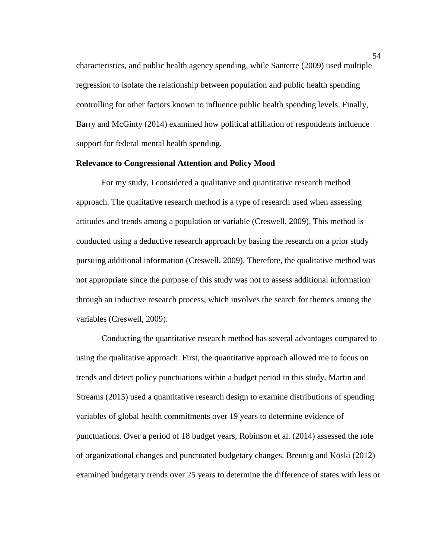characteristics, and public health agency spending, while Santerre (2009) used multiple regression to isolate the relationship between population and public health spending controlling for other factors known to influence public health spending levels. Finally, Barry and McGinty (2014) examined how political affiliation of respondents influence support for federal mental health spending.

### **Relevance to Congressional Attention and Policy Mood**

For my study, I considered a qualitative and quantitative research method approach. The qualitative research method is a type of research used when assessing attitudes and trends among a population or variable (Creswell, 2009). This method is conducted using a deductive research approach by basing the research on a prior study pursuing additional information (Creswell, 2009). Therefore, the qualitative method was not appropriate since the purpose of this study was not to assess additional information through an inductive research process, which involves the search for themes among the variables (Creswell, 2009).

Conducting the quantitative research method has several advantages compared to using the qualitative approach. First, the quantitative approach allowed me to focus on trends and detect policy punctuations within a budget period in this study. Martin and Streams (2015) used a quantitative research design to examine distributions of spending variables of global health commitments over 19 years to determine evidence of punctuations. Over a period of 18 budget years, Robinson et al. (2014) assessed the role of organizational changes and punctuated budgetary changes. Breunig and Koski (2012) examined budgetary trends over 25 years to determine the difference of states with less or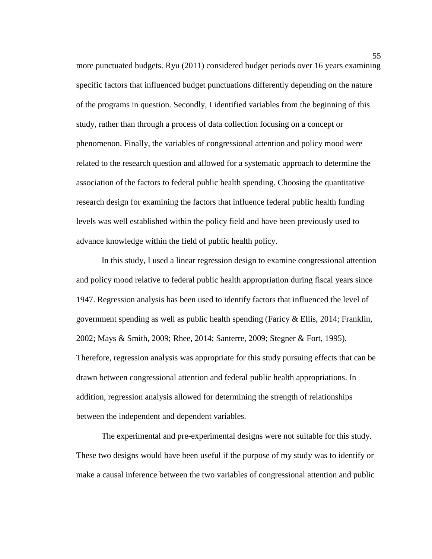more punctuated budgets. Ryu (2011) considered budget periods over 16 years examining specific factors that influenced budget punctuations differently depending on the nature of the programs in question. Secondly, I identified variables from the beginning of this study, rather than through a process of data collection focusing on a concept or phenomenon. Finally, the variables of congressional attention and policy mood were related to the research question and allowed for a systematic approach to determine the association of the factors to federal public health spending. Choosing the quantitative research design for examining the factors that influence federal public health funding levels was well established within the policy field and have been previously used to advance knowledge within the field of public health policy.

In this study, I used a linear regression design to examine congressional attention and policy mood relative to federal public health appropriation during fiscal years since 1947. Regression analysis has been used to identify factors that influenced the level of government spending as well as public health spending (Faricy & Ellis, 2014; Franklin, 2002; Mays & Smith, 2009; Rhee, 2014; Santerre, 2009; Stegner & Fort, 1995). Therefore, regression analysis was appropriate for this study pursuing effects that can be drawn between congressional attention and federal public health appropriations. In addition, regression analysis allowed for determining the strength of relationships between the independent and dependent variables.

The experimental and pre-experimental designs were not suitable for this study. These two designs would have been useful if the purpose of my study was to identify or make a causal inference between the two variables of congressional attention and public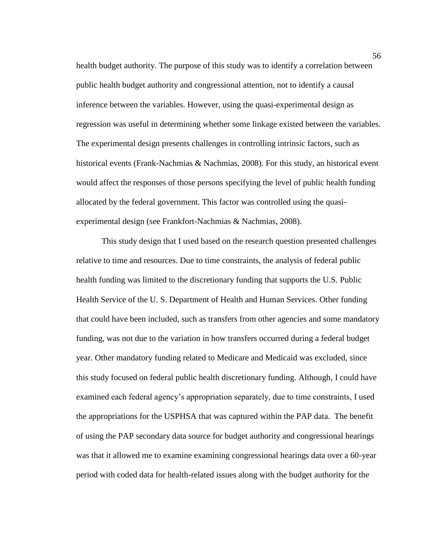health budget authority. The purpose of this study was to identify a correlation between public health budget authority and congressional attention, not to identify a causal inference between the variables. However, using the quasi-experimental design as regression was useful in determining whether some linkage existed between the variables. The experimental design presents challenges in controlling intrinsic factors, such as historical events (Frank-Nachmias & Nachmias, 2008). For this study, an historical event would affect the responses of those persons specifying the level of public health funding allocated by the federal government. This factor was controlled using the quasiexperimental design (see Frankfort-Nachmias & Nachmias, 2008).

This study design that I used based on the research question presented challenges relative to time and resources. Due to time constraints, the analysis of federal public health funding was limited to the discretionary funding that supports the U.S. Public Health Service of the U. S. Department of Health and Human Services. Other funding that could have been included, such as transfers from other agencies and some mandatory funding, was not due to the variation in how transfers occurred during a federal budget year. Other mandatory funding related to Medicare and Medicaid was excluded, since this study focused on federal public health discretionary funding. Although, I could have examined each federal agency's appropriation separately, due to time constraints, I used the appropriations for the USPHSA that was captured within the PAP data. The benefit of using the PAP secondary data source for budget authority and congressional hearings was that it allowed me to examine examining congressional hearings data over a 60-year period with coded data for health-related issues along with the budget authority for the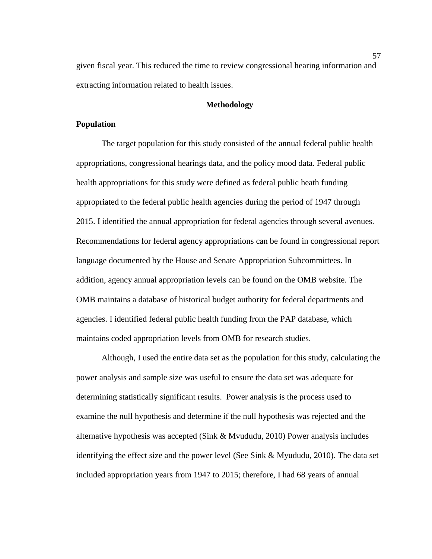given fiscal year. This reduced the time to review congressional hearing information and extracting information related to health issues.

# **Methodology**

# **Population**

The target population for this study consisted of the annual federal public health appropriations, congressional hearings data, and the policy mood data. Federal public health appropriations for this study were defined as federal public heath funding appropriated to the federal public health agencies during the period of 1947 through 2015. I identified the annual appropriation for federal agencies through several avenues. Recommendations for federal agency appropriations can be found in congressional report language documented by the House and Senate Appropriation Subcommittees. In addition, agency annual appropriation levels can be found on the OMB website. The OMB maintains a database of historical budget authority for federal departments and agencies. I identified federal public health funding from the PAP database, which maintains coded appropriation levels from OMB for research studies.

Although, I used the entire data set as the population for this study, calculating the power analysis and sample size was useful to ensure the data set was adequate for determining statistically significant results. Power analysis is the process used to examine the null hypothesis and determine if the null hypothesis was rejected and the alternative hypothesis was accepted (Sink & Mvududu, 2010) Power analysis includes identifying the effect size and the power level (See Sink & Myududu, 2010). The data set included appropriation years from 1947 to 2015; therefore, I had 68 years of annual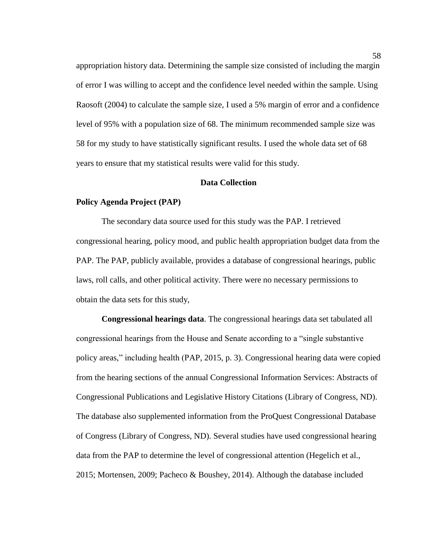appropriation history data. Determining the sample size consisted of including the margin of error I was willing to accept and the confidence level needed within the sample. Using Raosoft (2004) to calculate the sample size, I used a 5% margin of error and a confidence level of 95% with a population size of 68. The minimum recommended sample size was 58 for my study to have statistically significant results. I used the whole data set of 68 years to ensure that my statistical results were valid for this study.

### **Data Collection**

#### **Policy Agenda Project (PAP)**

The secondary data source used for this study was the PAP. I retrieved congressional hearing, policy mood, and public health appropriation budget data from the PAP. The PAP, publicly available, provides a database of congressional hearings, public laws, roll calls, and other political activity. There were no necessary permissions to obtain the data sets for this study,

**Congressional hearings data**. The congressional hearings data set tabulated all congressional hearings from the House and Senate according to a "single substantive policy areas," including health (PAP, 2015, p. 3). Congressional hearing data were copied from the hearing sections of the annual Congressional Information Services: Abstracts of Congressional Publications and Legislative History Citations (Library of Congress, ND). The database also supplemented information from the ProQuest Congressional Database of Congress (Library of Congress, ND). Several studies have used congressional hearing data from the PAP to determine the level of congressional attention (Hegelich et al., 2015; Mortensen, 2009; Pacheco & Boushey, 2014). Although the database included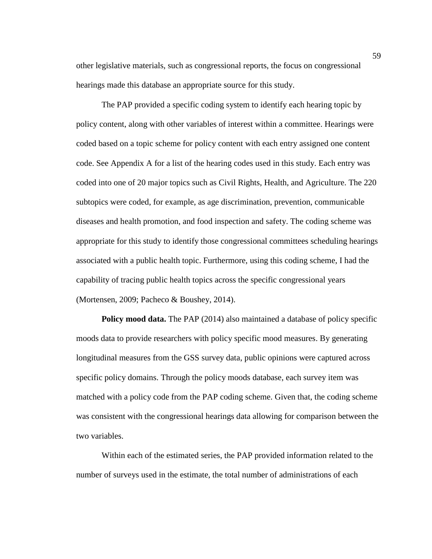other legislative materials, such as congressional reports, the focus on congressional hearings made this database an appropriate source for this study.

The PAP provided a specific coding system to identify each hearing topic by policy content, along with other variables of interest within a committee. Hearings were coded based on a topic scheme for policy content with each entry assigned one content code. See Appendix A for a list of the hearing codes used in this study. Each entry was coded into one of 20 major topics such as Civil Rights, Health, and Agriculture. The 220 subtopics were coded, for example, as age discrimination, prevention, communicable diseases and health promotion, and food inspection and safety. The coding scheme was appropriate for this study to identify those congressional committees scheduling hearings associated with a public health topic. Furthermore, using this coding scheme, I had the capability of tracing public health topics across the specific congressional years (Mortensen, 2009; Pacheco & Boushey, 2014).

**Policy mood data.** The PAP (2014) also maintained a database of policy specific moods data to provide researchers with policy specific mood measures. By generating longitudinal measures from the GSS survey data, public opinions were captured across specific policy domains. Through the policy moods database, each survey item was matched with a policy code from the PAP coding scheme. Given that, the coding scheme was consistent with the congressional hearings data allowing for comparison between the two variables.

Within each of the estimated series, the PAP provided information related to the number of surveys used in the estimate, the total number of administrations of each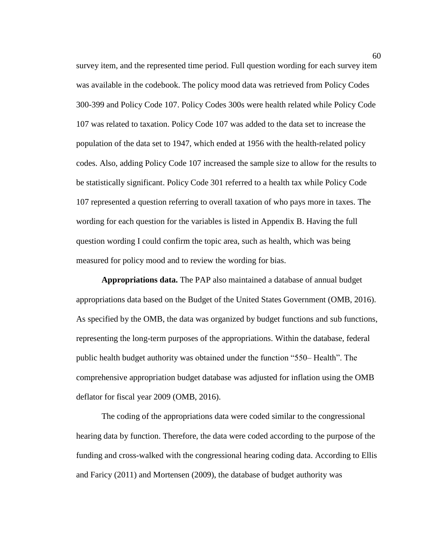survey item, and the represented time period. Full question wording for each survey item was available in the codebook. The policy mood data was retrieved from Policy Codes 300-399 and Policy Code 107. Policy Codes 300s were health related while Policy Code 107 was related to taxation. Policy Code 107 was added to the data set to increase the population of the data set to 1947, which ended at 1956 with the health-related policy codes. Also, adding Policy Code 107 increased the sample size to allow for the results to be statistically significant. Policy Code 301 referred to a health tax while Policy Code 107 represented a question referring to overall taxation of who pays more in taxes. The wording for each question for the variables is listed in Appendix B. Having the full question wording I could confirm the topic area, such as health, which was being measured for policy mood and to review the wording for bias.

**Appropriations data.** The PAP also maintained a database of annual budget appropriations data based on the Budget of the United States Government (OMB, 2016). As specified by the OMB, the data was organized by budget functions and sub functions, representing the long-term purposes of the appropriations. Within the database, federal public health budget authority was obtained under the function "550– Health". The comprehensive appropriation budget database was adjusted for inflation using the OMB deflator for fiscal year 2009 (OMB, 2016).

The coding of the appropriations data were coded similar to the congressional hearing data by function. Therefore, the data were coded according to the purpose of the funding and cross-walked with the congressional hearing coding data. According to Ellis and Faricy (2011) and Mortensen (2009), the database of budget authority was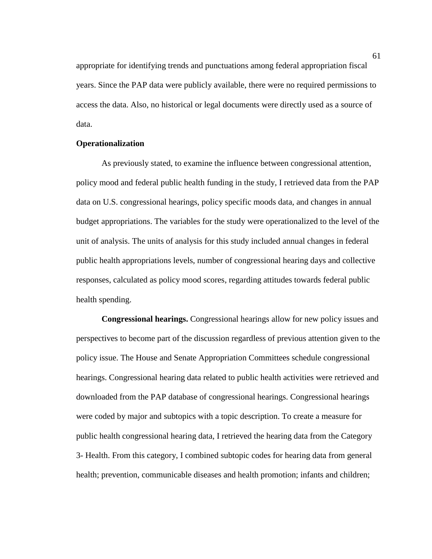appropriate for identifying trends and punctuations among federal appropriation fiscal years. Since the PAP data were publicly available, there were no required permissions to access the data. Also, no historical or legal documents were directly used as a source of data.

### **Operationalization**

As previously stated, to examine the influence between congressional attention, policy mood and federal public health funding in the study, I retrieved data from the PAP data on U.S. congressional hearings, policy specific moods data, and changes in annual budget appropriations. The variables for the study were operationalized to the level of the unit of analysis. The units of analysis for this study included annual changes in federal public health appropriations levels, number of congressional hearing days and collective responses, calculated as policy mood scores, regarding attitudes towards federal public health spending.

**Congressional hearings.** Congressional hearings allow for new policy issues and perspectives to become part of the discussion regardless of previous attention given to the policy issue. The House and Senate Appropriation Committees schedule congressional hearings. Congressional hearing data related to public health activities were retrieved and downloaded from the PAP database of congressional hearings. Congressional hearings were coded by major and subtopics with a topic description. To create a measure for public health congressional hearing data, I retrieved the hearing data from the Category 3- Health. From this category, I combined subtopic codes for hearing data from general health; prevention, communicable diseases and health promotion; infants and children;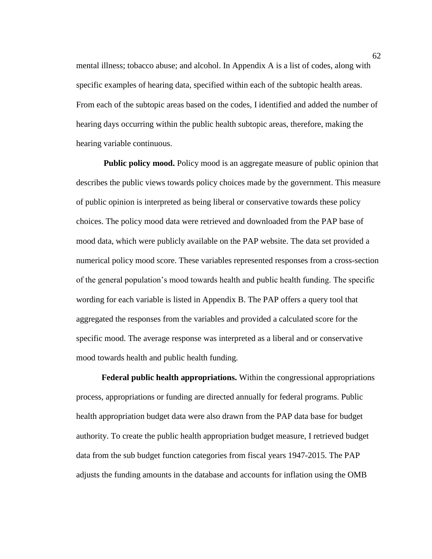mental illness; tobacco abuse; and alcohol. In Appendix A is a list of codes, along with specific examples of hearing data, specified within each of the subtopic health areas. From each of the subtopic areas based on the codes, I identified and added the number of hearing days occurring within the public health subtopic areas, therefore, making the hearing variable continuous.

**Public policy mood.** Policy mood is an aggregate measure of public opinion that describes the public views towards policy choices made by the government. This measure of public opinion is interpreted as being liberal or conservative towards these policy choices. The policy mood data were retrieved and downloaded from the PAP base of mood data, which were publicly available on the PAP website. The data set provided a numerical policy mood score. These variables represented responses from a cross-section of the general population's mood towards health and public health funding. The specific wording for each variable is listed in Appendix B. The PAP offers a query tool that aggregated the responses from the variables and provided a calculated score for the specific mood. The average response was interpreted as a liberal and or conservative mood towards health and public health funding.

**Federal public health appropriations.** Within the congressional appropriations process, appropriations or funding are directed annually for federal programs. Public health appropriation budget data were also drawn from the PAP data base for budget authority. To create the public health appropriation budget measure, I retrieved budget data from the sub budget function categories from fiscal years 1947-2015. The PAP adjusts the funding amounts in the database and accounts for inflation using the OMB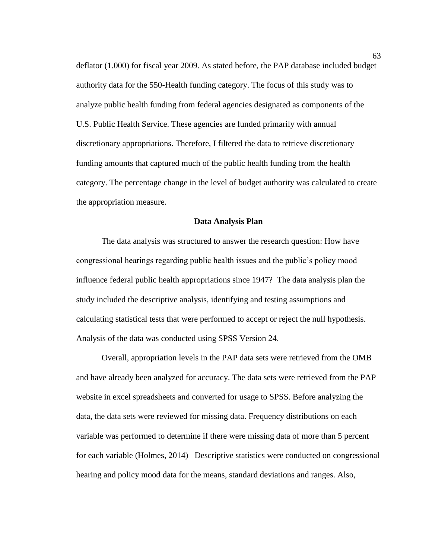deflator (1.000) for fiscal year 2009. As stated before, the PAP database included budget authority data for the 550-Health funding category. The focus of this study was to analyze public health funding from federal agencies designated as components of the U.S. Public Health Service. These agencies are funded primarily with annual discretionary appropriations. Therefore, I filtered the data to retrieve discretionary funding amounts that captured much of the public health funding from the health category. The percentage change in the level of budget authority was calculated to create the appropriation measure.

# **Data Analysis Plan**

The data analysis was structured to answer the research question: How have congressional hearings regarding public health issues and the public's policy mood influence federal public health appropriations since 1947? The data analysis plan the study included the descriptive analysis, identifying and testing assumptions and calculating statistical tests that were performed to accept or reject the null hypothesis. Analysis of the data was conducted using SPSS Version 24.

Overall, appropriation levels in the PAP data sets were retrieved from the OMB and have already been analyzed for accuracy. The data sets were retrieved from the PAP website in excel spreadsheets and converted for usage to SPSS. Before analyzing the data, the data sets were reviewed for missing data. Frequency distributions on each variable was performed to determine if there were missing data of more than 5 percent for each variable (Holmes, 2014) Descriptive statistics were conducted on congressional hearing and policy mood data for the means, standard deviations and ranges. Also,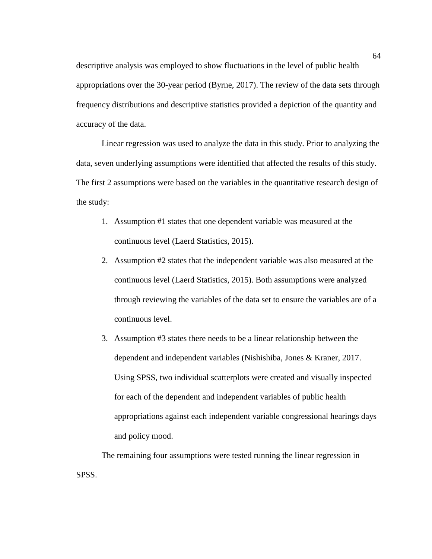descriptive analysis was employed to show fluctuations in the level of public health appropriations over the 30-year period (Byrne, 2017). The review of the data sets through frequency distributions and descriptive statistics provided a depiction of the quantity and accuracy of the data.

Linear regression was used to analyze the data in this study. Prior to analyzing the data, seven underlying assumptions were identified that affected the results of this study. The first 2 assumptions were based on the variables in the quantitative research design of the study:

- 1. Assumption #1 states that one dependent variable was measured at the continuous level (Laerd Statistics, 2015).
- 2. Assumption #2 states that the independent variable was also measured at the continuous level (Laerd Statistics, 2015). Both assumptions were analyzed through reviewing the variables of the data set to ensure the variables are of a continuous level.
- 3. Assumption #3 states there needs to be a linear relationship between the dependent and independent variables (Nishishiba, Jones & Kraner, 2017. Using SPSS, two individual scatterplots were created and visually inspected for each of the dependent and independent variables of public health appropriations against each independent variable congressional hearings days and policy mood.

The remaining four assumptions were tested running the linear regression in SPSS.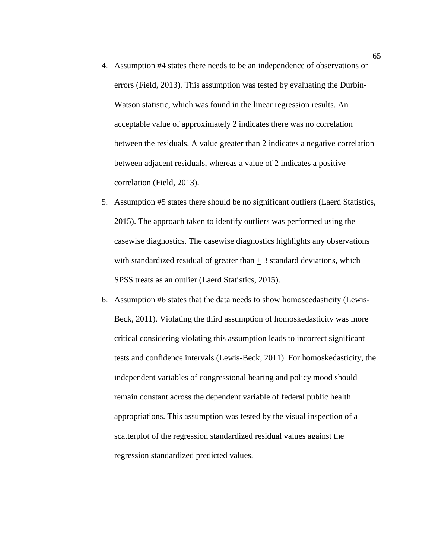- 4. Assumption #4 states there needs to be an independence of observations or errors (Field, 2013). This assumption was tested by evaluating the Durbin-Watson statistic, which was found in the linear regression results. An acceptable value of approximately 2 indicates there was no correlation between the residuals. A value greater than 2 indicates a negative correlation between adjacent residuals, whereas a value of 2 indicates a positive correlation (Field, 2013).
- 5. Assumption #5 states there should be no significant outliers (Laerd Statistics, 2015). The approach taken to identify outliers was performed using the casewise diagnostics. The casewise diagnostics highlights any observations with standardized residual of greater than  $+3$  standard deviations, which SPSS treats as an outlier (Laerd Statistics, 2015).
- 6. Assumption #6 states that the data needs to show homoscedasticity (Lewis-Beck, 2011). Violating the third assumption of homoskedasticity was more critical considering violating this assumption leads to incorrect significant tests and confidence intervals (Lewis-Beck, 2011). For homoskedasticity, the independent variables of congressional hearing and policy mood should remain constant across the dependent variable of federal public health appropriations. This assumption was tested by the visual inspection of a scatterplot of the regression standardized residual values against the regression standardized predicted values.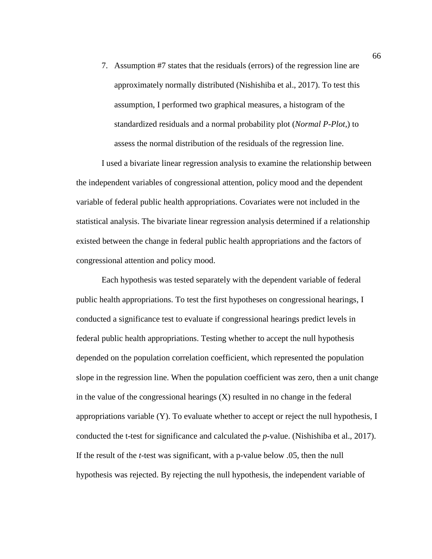7. Assumption #7 states that the residuals (errors) of the regression line are approximately normally distributed (Nishishiba et al., 2017). To test this assumption, I performed two graphical measures, a histogram of the standardized residuals and a normal probability plot (*Normal P-Plot*,) to assess the normal distribution of the residuals of the regression line.

I used a bivariate linear regression analysis to examine the relationship between the independent variables of congressional attention, policy mood and the dependent variable of federal public health appropriations. Covariates were not included in the statistical analysis. The bivariate linear regression analysis determined if a relationship existed between the change in federal public health appropriations and the factors of congressional attention and policy mood.

Each hypothesis was tested separately with the dependent variable of federal public health appropriations. To test the first hypotheses on congressional hearings, I conducted a significance test to evaluate if congressional hearings predict levels in federal public health appropriations. Testing whether to accept the null hypothesis depended on the population correlation coefficient, which represented the population slope in the regression line. When the population coefficient was zero, then a unit change in the value of the congressional hearings  $(X)$  resulted in no change in the federal appropriations variable (Y). To evaluate whether to accept or reject the null hypothesis, I conducted the t-test for significance and calculated the *p*-value. (Nishishiba et al., 2017). If the result of the *t*-test was significant, with a p-value below .05, then the null hypothesis was rejected. By rejecting the null hypothesis, the independent variable of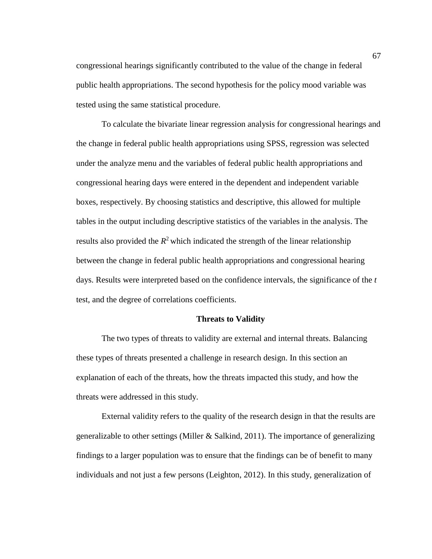congressional hearings significantly contributed to the value of the change in federal public health appropriations. The second hypothesis for the policy mood variable was tested using the same statistical procedure.

To calculate the bivariate linear regression analysis for congressional hearings and the change in federal public health appropriations using SPSS, regression was selected under the analyze menu and the variables of federal public health appropriations and congressional hearing days were entered in the dependent and independent variable boxes, respectively. By choosing statistics and descriptive, this allowed for multiple tables in the output including descriptive statistics of the variables in the analysis. The results also provided the  $R^2$  which indicated the strength of the linear relationship between the change in federal public health appropriations and congressional hearing days. Results were interpreted based on the confidence intervals, the significance of the *t*  test, and the degree of correlations coefficients.

# **Threats to Validity**

The two types of threats to validity are external and internal threats. Balancing these types of threats presented a challenge in research design. In this section an explanation of each of the threats, how the threats impacted this study, and how the threats were addressed in this study.

External validity refers to the quality of the research design in that the results are generalizable to other settings (Miller & Salkind, 2011). The importance of generalizing findings to a larger population was to ensure that the findings can be of benefit to many individuals and not just a few persons (Leighton, 2012). In this study, generalization of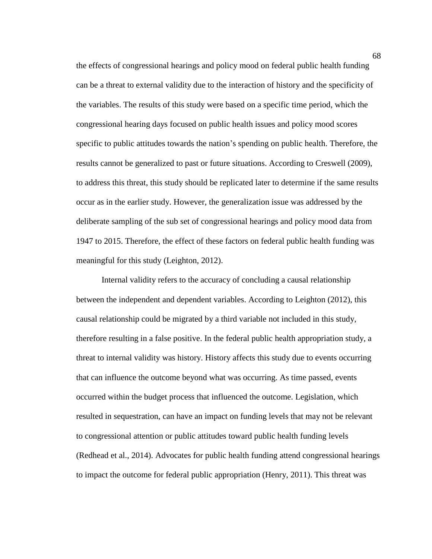the effects of congressional hearings and policy mood on federal public health funding can be a threat to external validity due to the interaction of history and the specificity of the variables. The results of this study were based on a specific time period, which the congressional hearing days focused on public health issues and policy mood scores specific to public attitudes towards the nation's spending on public health. Therefore, the results cannot be generalized to past or future situations. According to Creswell (2009), to address this threat, this study should be replicated later to determine if the same results occur as in the earlier study. However, the generalization issue was addressed by the deliberate sampling of the sub set of congressional hearings and policy mood data from 1947 to 2015. Therefore, the effect of these factors on federal public health funding was meaningful for this study (Leighton, 2012).

Internal validity refers to the accuracy of concluding a causal relationship between the independent and dependent variables. According to Leighton (2012), this causal relationship could be migrated by a third variable not included in this study, therefore resulting in a false positive. In the federal public health appropriation study, a threat to internal validity was history. History affects this study due to events occurring that can influence the outcome beyond what was occurring. As time passed, events occurred within the budget process that influenced the outcome. Legislation, which resulted in sequestration, can have an impact on funding levels that may not be relevant to congressional attention or public attitudes toward public health funding levels (Redhead et al., 2014). Advocates for public health funding attend congressional hearings to impact the outcome for federal public appropriation (Henry, 2011). This threat was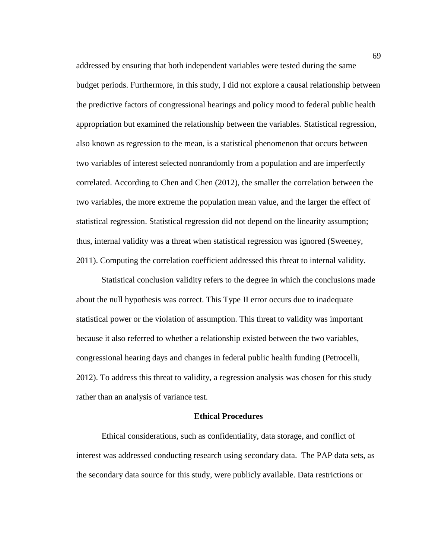addressed by ensuring that both independent variables were tested during the same budget periods. Furthermore, in this study, I did not explore a causal relationship between the predictive factors of congressional hearings and policy mood to federal public health appropriation but examined the relationship between the variables. Statistical regression, also known as regression to the mean, is a statistical phenomenon that occurs between two variables of interest selected nonrandomly from a population and are imperfectly correlated. According to Chen and Chen (2012), the smaller the correlation between the two variables, the more extreme the population mean value, and the larger the effect of statistical regression. Statistical regression did not depend on the linearity assumption; thus, internal validity was a threat when statistical regression was ignored (Sweeney, 2011). Computing the correlation coefficient addressed this threat to internal validity.

Statistical conclusion validity refers to the degree in which the conclusions made about the null hypothesis was correct. This Type II error occurs due to inadequate statistical power or the violation of assumption. This threat to validity was important because it also referred to whether a relationship existed between the two variables, congressional hearing days and changes in federal public health funding (Petrocelli, 2012). To address this threat to validity, a regression analysis was chosen for this study rather than an analysis of variance test.

### **Ethical Procedures**

Ethical considerations, such as confidentiality, data storage, and conflict of interest was addressed conducting research using secondary data. The PAP data sets, as the secondary data source for this study, were publicly available. Data restrictions or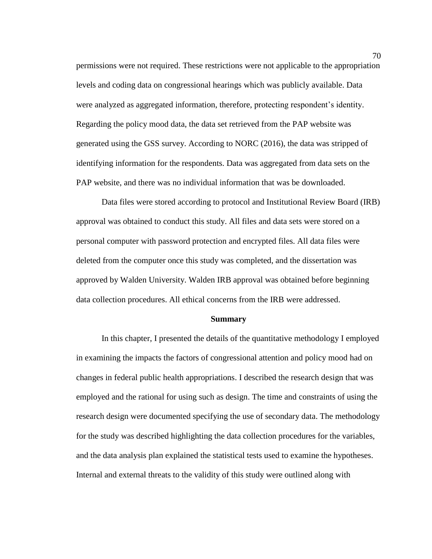permissions were not required. These restrictions were not applicable to the appropriation levels and coding data on congressional hearings which was publicly available. Data were analyzed as aggregated information, therefore, protecting respondent's identity. Regarding the policy mood data, the data set retrieved from the PAP website was generated using the GSS survey. According to NORC (2016), the data was stripped of identifying information for the respondents. Data was aggregated from data sets on the PAP website, and there was no individual information that was be downloaded.

Data files were stored according to protocol and Institutional Review Board (IRB) approval was obtained to conduct this study. All files and data sets were stored on a personal computer with password protection and encrypted files. All data files were deleted from the computer once this study was completed, and the dissertation was approved by Walden University. Walden IRB approval was obtained before beginning data collection procedures. All ethical concerns from the IRB were addressed.

#### **Summary**

In this chapter, I presented the details of the quantitative methodology I employed in examining the impacts the factors of congressional attention and policy mood had on changes in federal public health appropriations. I described the research design that was employed and the rational for using such as design. The time and constraints of using the research design were documented specifying the use of secondary data. The methodology for the study was described highlighting the data collection procedures for the variables, and the data analysis plan explained the statistical tests used to examine the hypotheses. Internal and external threats to the validity of this study were outlined along with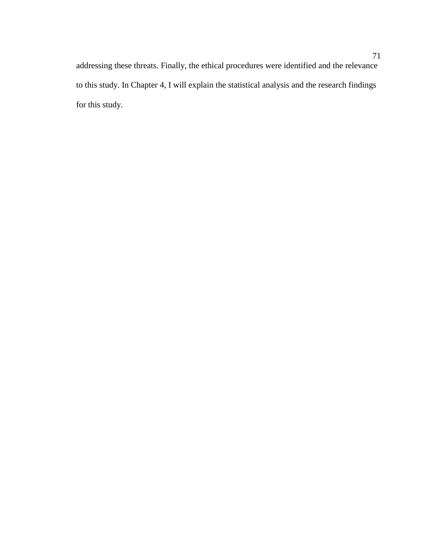addressing these threats. Finally, the ethical procedures were identified and the relevance to this study. In Chapter 4, I will explain the statistical analysis and the research findings for this study.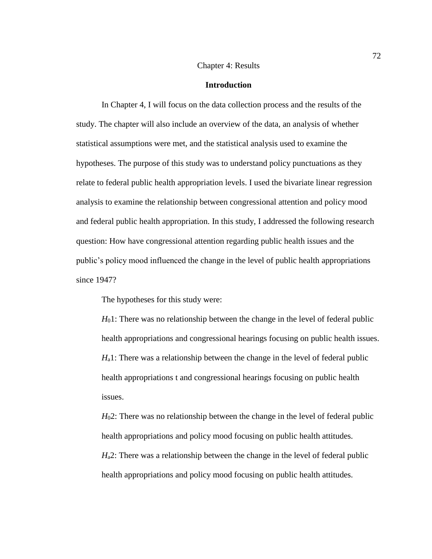### Chapter 4: Results

#### **Introduction**

In Chapter 4, I will focus on the data collection process and the results of the study. The chapter will also include an overview of the data, an analysis of whether statistical assumptions were met, and the statistical analysis used to examine the hypotheses. The purpose of this study was to understand policy punctuations as they relate to federal public health appropriation levels. I used the bivariate linear regression analysis to examine the relationship between congressional attention and policy mood and federal public health appropriation. In this study, I addressed the following research question: How have congressional attention regarding public health issues and the public's policy mood influenced the change in the level of public health appropriations since 1947?

The hypotheses for this study were:

*H*01: There was no relationship between the change in the level of federal public health appropriations and congressional hearings focusing on public health issues. *H*<sub>a</sub>1: There was a relationship between the change in the level of federal public health appropriations t and congressional hearings focusing on public health issues.

*H*<sub>0</sub>2: There was no relationship between the change in the level of federal public health appropriations and policy mood focusing on public health attitudes. *H*<sub>a</sub>2: There was a relationship between the change in the level of federal public health appropriations and policy mood focusing on public health attitudes.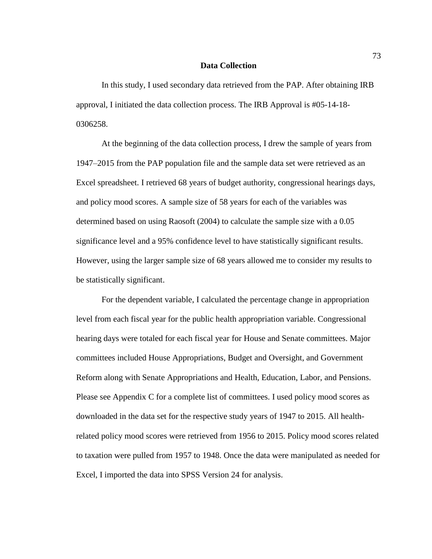### **Data Collection**

In this study, I used secondary data retrieved from the PAP. After obtaining IRB approval, I initiated the data collection process. The IRB Approval is #05-14-18- 0306258.

At the beginning of the data collection process, I drew the sample of years from 1947–2015 from the PAP population file and the sample data set were retrieved as an Excel spreadsheet. I retrieved 68 years of budget authority, congressional hearings days, and policy mood scores. A sample size of 58 years for each of the variables was determined based on using Raosoft (2004) to calculate the sample size with a 0.05 significance level and a 95% confidence level to have statistically significant results. However, using the larger sample size of 68 years allowed me to consider my results to be statistically significant.

For the dependent variable, I calculated the percentage change in appropriation level from each fiscal year for the public health appropriation variable. Congressional hearing days were totaled for each fiscal year for House and Senate committees. Major committees included House Appropriations, Budget and Oversight, and Government Reform along with Senate Appropriations and Health, Education, Labor, and Pensions. Please see Appendix C for a complete list of committees. I used policy mood scores as downloaded in the data set for the respective study years of 1947 to 2015. All healthrelated policy mood scores were retrieved from 1956 to 2015. Policy mood scores related to taxation were pulled from 1957 to 1948. Once the data were manipulated as needed for Excel, I imported the data into SPSS Version 24 for analysis.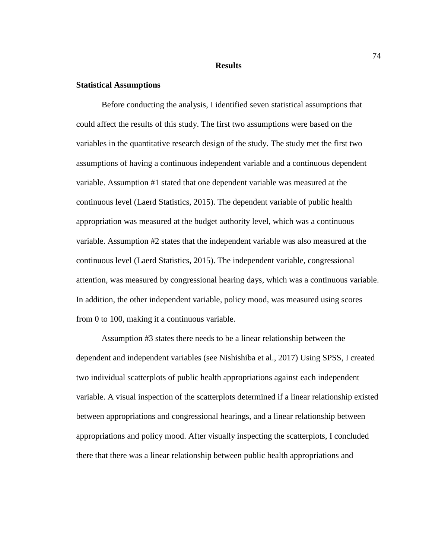#### **Results**

#### **Statistical Assumptions**

Before conducting the analysis, I identified seven statistical assumptions that could affect the results of this study. The first two assumptions were based on the variables in the quantitative research design of the study. The study met the first two assumptions of having a continuous independent variable and a continuous dependent variable. Assumption #1 stated that one dependent variable was measured at the continuous level (Laerd Statistics, 2015). The dependent variable of public health appropriation was measured at the budget authority level, which was a continuous variable. Assumption #2 states that the independent variable was also measured at the continuous level (Laerd Statistics, 2015). The independent variable, congressional attention, was measured by congressional hearing days, which was a continuous variable. In addition, the other independent variable, policy mood, was measured using scores from 0 to 100, making it a continuous variable.

Assumption #3 states there needs to be a linear relationship between the dependent and independent variables (see Nishishiba et al., 2017) Using SPSS, I created two individual scatterplots of public health appropriations against each independent variable. A visual inspection of the scatterplots determined if a linear relationship existed between appropriations and congressional hearings, and a linear relationship between appropriations and policy mood. After visually inspecting the scatterplots, I concluded there that there was a linear relationship between public health appropriations and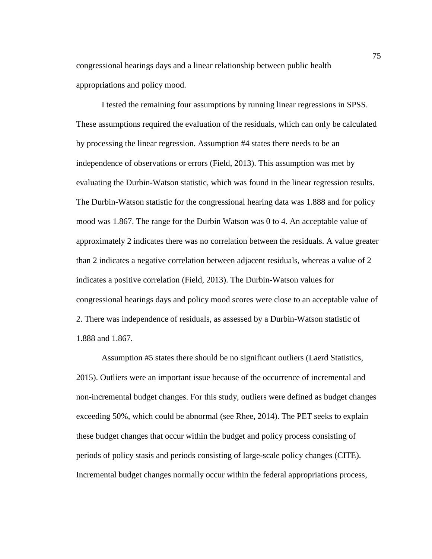congressional hearings days and a linear relationship between public health appropriations and policy mood.

I tested the remaining four assumptions by running linear regressions in SPSS. These assumptions required the evaluation of the residuals, which can only be calculated by processing the linear regression. Assumption #4 states there needs to be an independence of observations or errors (Field, 2013). This assumption was met by evaluating the Durbin-Watson statistic, which was found in the linear regression results. The Durbin-Watson statistic for the congressional hearing data was 1.888 and for policy mood was 1.867. The range for the Durbin Watson was 0 to 4. An acceptable value of approximately 2 indicates there was no correlation between the residuals. A value greater than 2 indicates a negative correlation between adjacent residuals, whereas a value of 2 indicates a positive correlation (Field, 2013). The Durbin-Watson values for congressional hearings days and policy mood scores were close to an acceptable value of 2. There was independence of residuals, as assessed by a Durbin-Watson statistic of 1.888 and 1.867.

Assumption #5 states there should be no significant outliers (Laerd Statistics, 2015). Outliers were an important issue because of the occurrence of incremental and non-incremental budget changes. For this study, outliers were defined as budget changes exceeding 50%, which could be abnormal (see Rhee, 2014). The PET seeks to explain these budget changes that occur within the budget and policy process consisting of periods of policy stasis and periods consisting of large-scale policy changes (CITE). Incremental budget changes normally occur within the federal appropriations process,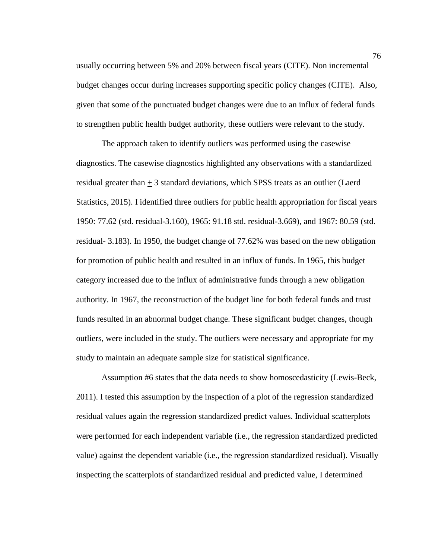usually occurring between 5% and 20% between fiscal years (CITE). Non incremental budget changes occur during increases supporting specific policy changes (CITE). Also, given that some of the punctuated budget changes were due to an influx of federal funds to strengthen public health budget authority, these outliers were relevant to the study.

The approach taken to identify outliers was performed using the casewise diagnostics. The casewise diagnostics highlighted any observations with a standardized residual greater than + 3 standard deviations, which SPSS treats as an outlier (Laerd Statistics, 2015). I identified three outliers for public health appropriation for fiscal years 1950: 77.62 (std. residual-3.160), 1965: 91.18 std. residual-3.669), and 1967: 80.59 (std. residual- 3.183). In 1950, the budget change of 77.62% was based on the new obligation for promotion of public health and resulted in an influx of funds. In 1965, this budget category increased due to the influx of administrative funds through a new obligation authority. In 1967, the reconstruction of the budget line for both federal funds and trust funds resulted in an abnormal budget change. These significant budget changes, though outliers, were included in the study. The outliers were necessary and appropriate for my study to maintain an adequate sample size for statistical significance.

Assumption #6 states that the data needs to show homoscedasticity (Lewis-Beck, 2011). I tested this assumption by the inspection of a plot of the regression standardized residual values again the regression standardized predict values. Individual scatterplots were performed for each independent variable (i.e., the regression standardized predicted value) against the dependent variable (i.e., the regression standardized residual). Visually inspecting the scatterplots of standardized residual and predicted value, I determined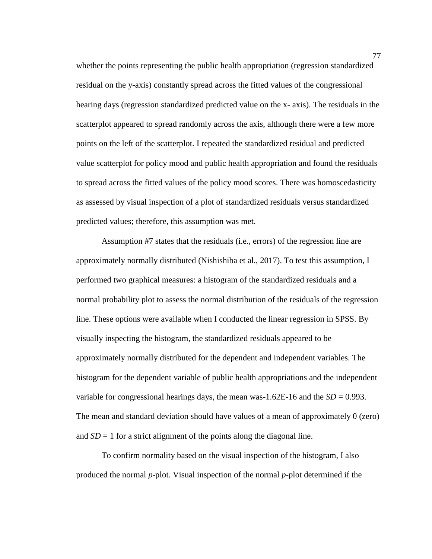whether the points representing the public health appropriation (regression standardized residual on the y-axis) constantly spread across the fitted values of the congressional hearing days (regression standardized predicted value on the x- axis). The residuals in the scatterplot appeared to spread randomly across the axis, although there were a few more points on the left of the scatterplot. I repeated the standardized residual and predicted value scatterplot for policy mood and public health appropriation and found the residuals to spread across the fitted values of the policy mood scores. There was homoscedasticity as assessed by visual inspection of a plot of standardized residuals versus standardized predicted values; therefore, this assumption was met.

Assumption #7 states that the residuals (i.e., errors) of the regression line are approximately normally distributed (Nishishiba et al., 2017). To test this assumption, I performed two graphical measures: a histogram of the standardized residuals and a normal probability plot to assess the normal distribution of the residuals of the regression line. These options were available when I conducted the linear regression in SPSS. By visually inspecting the histogram, the standardized residuals appeared to be approximately normally distributed for the dependent and independent variables. The histogram for the dependent variable of public health appropriations and the independent variable for congressional hearings days, the mean was-1.62E-16 and the  $SD = 0.993$ . The mean and standard deviation should have values of a mean of approximately 0 (zero) and  $SD = 1$  for a strict alignment of the points along the diagonal line.

To confirm normality based on the visual inspection of the histogram, I also produced the normal *p*-plot. Visual inspection of the normal *p*-plot determined if the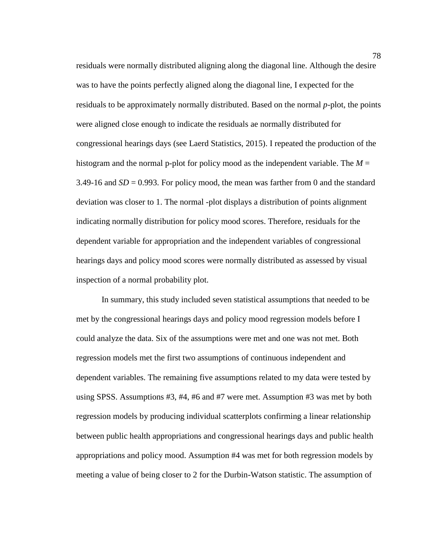residuals were normally distributed aligning along the diagonal line. Although the desire was to have the points perfectly aligned along the diagonal line, I expected for the residuals to be approximately normally distributed. Based on the normal *p*-plot*,* the points were aligned close enough to indicate the residuals ae normally distributed for congressional hearings days (see Laerd Statistics, 2015). I repeated the production of the histogram and the normal p-plot for policy mood as the independent variable. The  $M =$ 3.49-16 and  $SD = 0.993$ . For policy mood, the mean was farther from 0 and the standard deviation was closer to 1. The normal -plot displays a distribution of points alignment indicating normally distribution for policy mood scores. Therefore, residuals for the dependent variable for appropriation and the independent variables of congressional hearings days and policy mood scores were normally distributed as assessed by visual inspection of a normal probability plot.

In summary, this study included seven statistical assumptions that needed to be met by the congressional hearings days and policy mood regression models before I could analyze the data. Six of the assumptions were met and one was not met. Both regression models met the first two assumptions of continuous independent and dependent variables. The remaining five assumptions related to my data were tested by using SPSS. Assumptions #3, #4, #6 and #7 were met. Assumption #3 was met by both regression models by producing individual scatterplots confirming a linear relationship between public health appropriations and congressional hearings days and public health appropriations and policy mood. Assumption #4 was met for both regression models by meeting a value of being closer to 2 for the Durbin-Watson statistic. The assumption of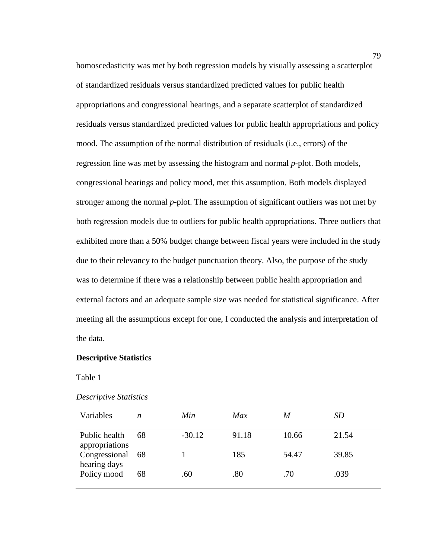homoscedasticity was met by both regression models by visually assessing a scatterplot of standardized residuals versus standardized predicted values for public health appropriations and congressional hearings, and a separate scatterplot of standardized residuals versus standardized predicted values for public health appropriations and policy mood. The assumption of the normal distribution of residuals (i.e., errors) of the regression line was met by assessing the histogram and normal *p*-plot. Both models, congressional hearings and policy mood, met this assumption. Both models displayed stronger among the normal *p*-plot. The assumption of significant outliers was not met by both regression models due to outliers for public health appropriations. Three outliers that exhibited more than a 50% budget change between fiscal years were included in the study due to their relevancy to the budget punctuation theory. Also, the purpose of the study was to determine if there was a relationship between public health appropriation and external factors and an adequate sample size was needed for statistical significance. After meeting all the assumptions except for one, I conducted the analysis and interpretation of the data.

### **Descriptive Statistics**

Table 1

| <b>Descriptive Statistics</b> |  |
|-------------------------------|--|
|-------------------------------|--|

| Variables                       | n  | Min      | Max   | M     | <i>SD</i> |
|---------------------------------|----|----------|-------|-------|-----------|
| Public health<br>appropriations | 68 | $-30.12$ | 91.18 | 10.66 | 21.54     |
| Congressional<br>hearing days   | 68 |          | 185   | 54.47 | 39.85     |
| Policy mood                     | 68 | .60      | .80   | .70   | .039      |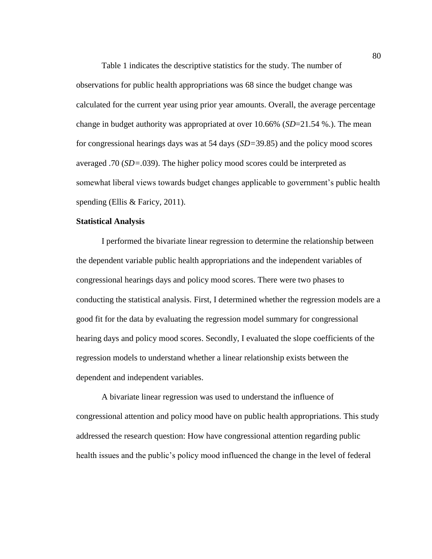Table 1 indicates the descriptive statistics for the study. The number of observations for public health appropriations was 68 since the budget change was calculated for the current year using prior year amounts. Overall, the average percentage change in budget authority was appropriated at over 10.66% (*SD*=21.54 %.). The mean for congressional hearings days was at 54 days (*SD=*39.85) and the policy mood scores averaged .70 (*SD=.*039). The higher policy mood scores could be interpreted as somewhat liberal views towards budget changes applicable to government's public health spending (Ellis & Faricy, 2011).

# **Statistical Analysis**

I performed the bivariate linear regression to determine the relationship between the dependent variable public health appropriations and the independent variables of congressional hearings days and policy mood scores. There were two phases to conducting the statistical analysis. First, I determined whether the regression models are a good fit for the data by evaluating the regression model summary for congressional hearing days and policy mood scores. Secondly, I evaluated the slope coefficients of the regression models to understand whether a linear relationship exists between the dependent and independent variables.

A bivariate linear regression was used to understand the influence of congressional attention and policy mood have on public health appropriations. This study addressed the research question: How have congressional attention regarding public health issues and the public's policy mood influenced the change in the level of federal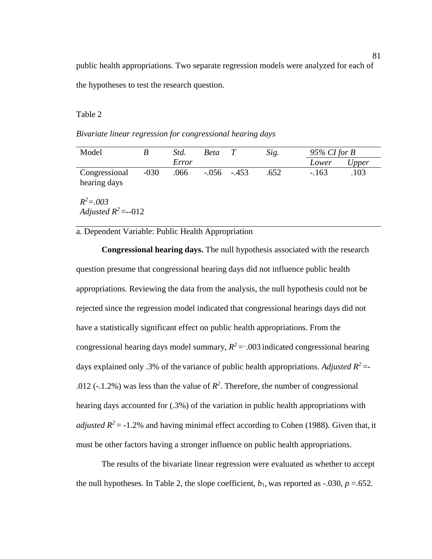public health appropriations. Two separate regression models were analyzed for each of the hypotheses to test the research question.

Table 2

*Bivariate linear regression for congressional hearing days*

| Model                         |        | Std.  | <i>Beta</i> |          | Sig. | $95\%$ CI for B |       |
|-------------------------------|--------|-------|-------------|----------|------|-----------------|-------|
|                               |        | Error |             |          |      | Lower           | Upper |
| Congressional<br>hearing days | $-030$ | .066  | -.056       | $-0.453$ | .652 | $-163$          | .103  |

 $R^2 = .003$ *Adjusted*  $R^2 = -012$ 

a. Dependent Variable: Public Health Appropriation

**Congressional hearing days.** The null hypothesis associated with the research question presume that congressional hearing days did not influence public health appropriations. Reviewing the data from the analysis, the null hypothesis could not be rejected since the regression model indicated that congressional hearings days did not have a statistically significant effect on public health appropriations. From the congressional hearing days model summary,  $R^2$  = .003 indicated congressional hearing days explained only .3% of the variance of public health appropriations. *Adjusted*  $R^2$  =-.012 (-.1.2%) was less than the value of  $R^2$ . Therefore, the number of congressional hearing days accounted for (.3%) of the variation in public health appropriations with *adjusted*  $R^2$  = -1.2% and having minimal effect according to Cohen (1988). Given that, it must be other factors having a stronger influence on public health appropriations.

The results of the bivariate linear regression were evaluated as whether to accept the null hypotheses. In Table 2, the slope coefficient,  $b_1$ , was reported as -.030,  $p = .652$ .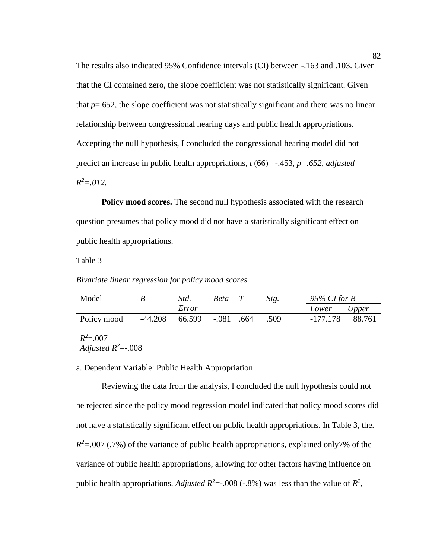The results also indicated 95% Confidence intervals (CI) between -.163 and .103. Given that the CI contained zero, the slope coefficient was not statistically significant. Given that  $p=0.652$ , the slope coefficient was not statistically significant and there was no linear relationship between congressional hearing days and public health appropriations. Accepting the null hypothesis, I concluded the congressional hearing model did not predict an increase in public health appropriations, *t* (66) =-.453*, p=.652, adjusted R <sup>2</sup>=.012.*

**Policy mood scores.** The second null hypothesis associated with the research question presumes that policy mood did not have a statistically significant effect on public health appropriations.

Table 3

*Bivariate linear regression for policy mood scores*

| Model                                 |           | Std.   | Beta T |      | Sig. |            | $95\%$ CI for B |  |
|---------------------------------------|-----------|--------|--------|------|------|------------|-----------------|--|
|                                       |           | Error  |        |      |      | Lower      | Upper           |  |
| Policy mood                           | $-44.208$ | 66.599 | -.081  | .664 | .509 | $-177.178$ | 88.761          |  |
| $R^2 = .007$<br>Adjusted $R^2$ =-.008 |           |        |        |      |      |            |                 |  |

a. Dependent Variable: Public Health Appropriation

Reviewing the data from the analysis, I concluded the null hypothesis could not be rejected since the policy mood regression model indicated that policy mood scores did not have a statistically significant effect on public health appropriations. In Table 3, the.  $R^2 = 0.007$  (.7%) of the variance of public health appropriations, explained only7% of the variance of public health appropriations, allowing for other factors having influence on public health appropriations. *Adjusted R*<sup>2</sup>=-.008 (-.8%) was less than the value of  $R^2$ ,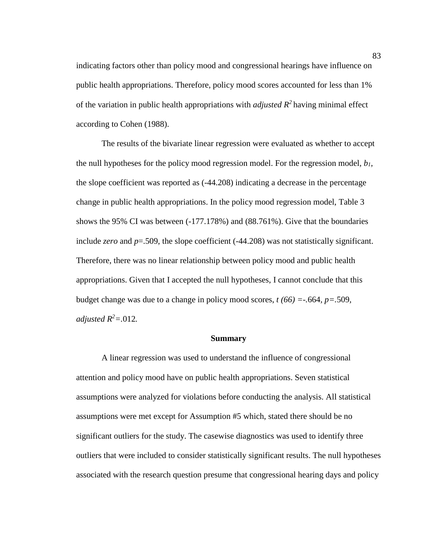indicating factors other than policy mood and congressional hearings have influence on public health appropriations. Therefore, policy mood scores accounted for less than 1% of the variation in public health appropriations with *adjusted R<sup>2</sup>* having minimal effect according to Cohen (1988).

The results of the bivariate linear regression were evaluated as whether to accept the null hypotheses for the policy mood regression model. For the regression model, *b1,* the slope coefficient was reported as (-44.208) indicating a decrease in the percentage change in public health appropriations. In the policy mood regression model, Table 3 shows the 95% CI was between (-177.178%) and (88.761%). Give that the boundaries include *zero* and *p*=.509, the slope coefficient (-44.208) was not statistically significant. Therefore, there was no linear relationship between policy mood and public health appropriations. Given that I accepted the null hypotheses, I cannot conclude that this budget change was due to a change in policy mood scores, *t (66) =-.*664*, p=.*509*, adjusted*  $R^2 = .012$ .

#### **Summary**

A linear regression was used to understand the influence of congressional attention and policy mood have on public health appropriations. Seven statistical assumptions were analyzed for violations before conducting the analysis. All statistical assumptions were met except for Assumption #5 which, stated there should be no significant outliers for the study. The casewise diagnostics was used to identify three outliers that were included to consider statistically significant results. The null hypotheses associated with the research question presume that congressional hearing days and policy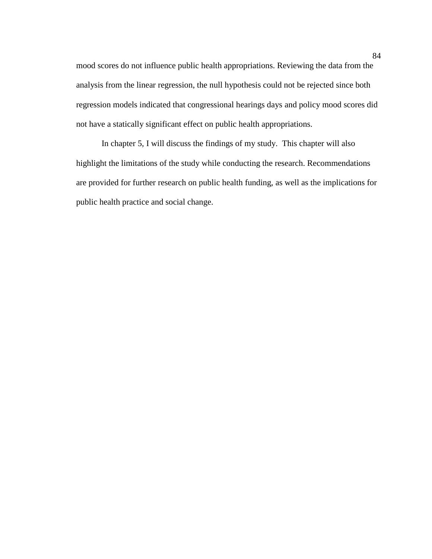mood scores do not influence public health appropriations. Reviewing the data from the analysis from the linear regression, the null hypothesis could not be rejected since both regression models indicated that congressional hearings days and policy mood scores did not have a statically significant effect on public health appropriations.

In chapter 5, I will discuss the findings of my study. This chapter will also highlight the limitations of the study while conducting the research. Recommendations are provided for further research on public health funding, as well as the implications for public health practice and social change.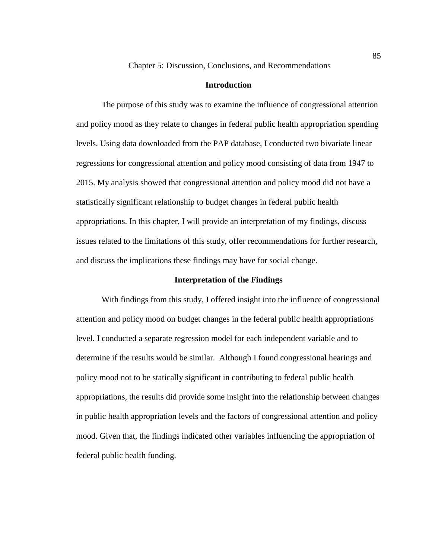# **Introduction**

The purpose of this study was to examine the influence of congressional attention and policy mood as they relate to changes in federal public health appropriation spending levels. Using data downloaded from the PAP database, I conducted two bivariate linear regressions for congressional attention and policy mood consisting of data from 1947 to 2015. My analysis showed that congressional attention and policy mood did not have a statistically significant relationship to budget changes in federal public health appropriations. In this chapter, I will provide an interpretation of my findings, discuss issues related to the limitations of this study, offer recommendations for further research, and discuss the implications these findings may have for social change.

### **Interpretation of the Findings**

With findings from this study, I offered insight into the influence of congressional attention and policy mood on budget changes in the federal public health appropriations level. I conducted a separate regression model for each independent variable and to determine if the results would be similar. Although I found congressional hearings and policy mood not to be statically significant in contributing to federal public health appropriations, the results did provide some insight into the relationship between changes in public health appropriation levels and the factors of congressional attention and policy mood. Given that, the findings indicated other variables influencing the appropriation of federal public health funding.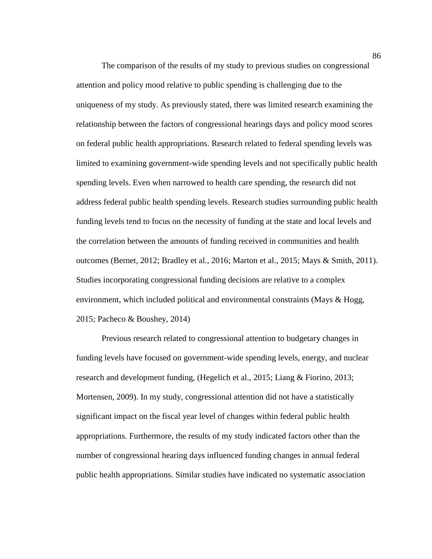The comparison of the results of my study to previous studies on congressional attention and policy mood relative to public spending is challenging due to the uniqueness of my study. As previously stated, there was limited research examining the relationship between the factors of congressional hearings days and policy mood scores on federal public health appropriations. Research related to federal spending levels was limited to examining government-wide spending levels and not specifically public health spending levels. Even when narrowed to health care spending, the research did not address federal public health spending levels. Research studies surrounding public health funding levels tend to focus on the necessity of funding at the state and local levels and the correlation between the amounts of funding received in communities and health outcomes (Bernet, 2012; Bradley et al., 2016; Marton et al., 2015; Mays & Smith, 2011). Studies incorporating congressional funding decisions are relative to a complex environment, which included political and environmental constraints (Mays & Hogg, 2015; Pacheco & Boushey, 2014)

Previous research related to congressional attention to budgetary changes in funding levels have focused on government-wide spending levels, energy, and nuclear research and development funding, (Hegelich et al., 2015; Liang & Fiorino, 2013; Mortensen, 2009). In my study, congressional attention did not have a statistically significant impact on the fiscal year level of changes within federal public health appropriations. Furthermore, the results of my study indicated factors other than the number of congressional hearing days influenced funding changes in annual federal public health appropriations. Similar studies have indicated no systematic association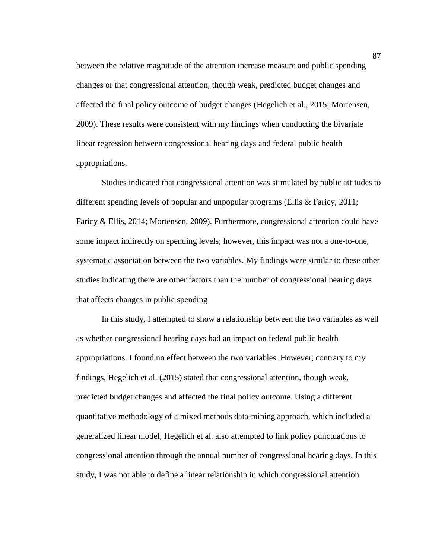between the relative magnitude of the attention increase measure and public spending changes or that congressional attention, though weak, predicted budget changes and affected the final policy outcome of budget changes (Hegelich et al., 2015; Mortensen, 2009). These results were consistent with my findings when conducting the bivariate linear regression between congressional hearing days and federal public health appropriations.

Studies indicated that congressional attention was stimulated by public attitudes to different spending levels of popular and unpopular programs (Ellis & Faricy, 2011; Faricy & Ellis, 2014; Mortensen, 2009). Furthermore, congressional attention could have some impact indirectly on spending levels; however, this impact was not a one-to-one, systematic association between the two variables. My findings were similar to these other studies indicating there are other factors than the number of congressional hearing days that affects changes in public spending

In this study, I attempted to show a relationship between the two variables as well as whether congressional hearing days had an impact on federal public health appropriations. I found no effect between the two variables. However, contrary to my findings, Hegelich et al. (2015) stated that congressional attention, though weak, predicted budget changes and affected the final policy outcome. Using a different quantitative methodology of a mixed methods data-mining approach, which included a generalized linear model, Hegelich et al. also attempted to link policy punctuations to congressional attention through the annual number of congressional hearing days. In this study, I was not able to define a linear relationship in which congressional attention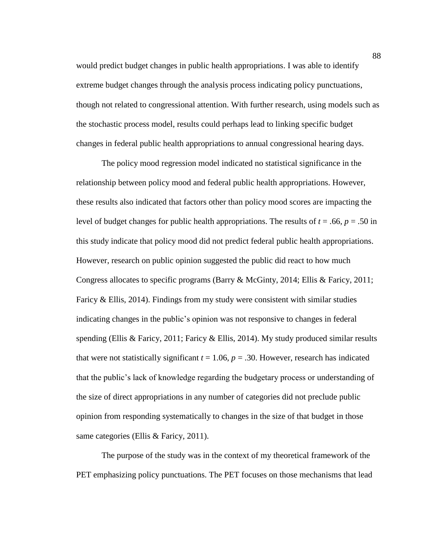would predict budget changes in public health appropriations. I was able to identify extreme budget changes through the analysis process indicating policy punctuations, though not related to congressional attention. With further research, using models such as the stochastic process model, results could perhaps lead to linking specific budget changes in federal public health appropriations to annual congressional hearing days.

The policy mood regression model indicated no statistical significance in the relationship between policy mood and federal public health appropriations. However, these results also indicated that factors other than policy mood scores are impacting the level of budget changes for public health appropriations. The results of  $t = .66$ ,  $p = .50$  in this study indicate that policy mood did not predict federal public health appropriations. However, research on public opinion suggested the public did react to how much Congress allocates to specific programs (Barry & McGinty, 2014; Ellis & Faricy, 2011; Faricy  $\&$  Ellis, 2014). Findings from my study were consistent with similar studies indicating changes in the public's opinion was not responsive to changes in federal spending (Ellis & Faricy, 2011; Faricy & Ellis, 2014). My study produced similar results that were not statistically significant  $t = 1.06$ ,  $p = .30$ . However, research has indicated that the public's lack of knowledge regarding the budgetary process or understanding of the size of direct appropriations in any number of categories did not preclude public opinion from responding systematically to changes in the size of that budget in those same categories (Ellis & Faricy, 2011).

The purpose of the study was in the context of my theoretical framework of the PET emphasizing policy punctuations. The PET focuses on those mechanisms that lead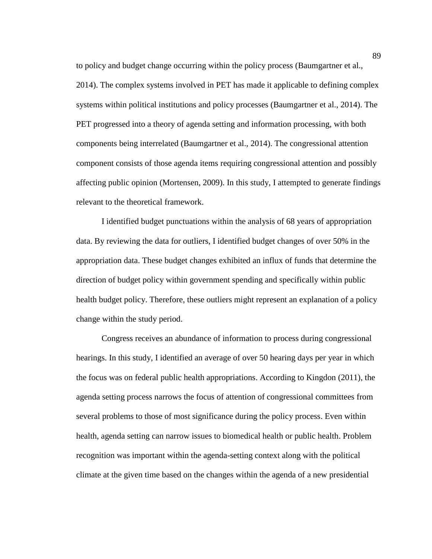to policy and budget change occurring within the policy process (Baumgartner et al., 2014). The complex systems involved in PET has made it applicable to defining complex systems within political institutions and policy processes (Baumgartner et al., 2014). The PET progressed into a theory of agenda setting and information processing, with both components being interrelated (Baumgartner et al., 2014). The congressional attention component consists of those agenda items requiring congressional attention and possibly affecting public opinion (Mortensen, 2009). In this study, I attempted to generate findings relevant to the theoretical framework.

I identified budget punctuations within the analysis of 68 years of appropriation data. By reviewing the data for outliers, I identified budget changes of over 50% in the appropriation data. These budget changes exhibited an influx of funds that determine the direction of budget policy within government spending and specifically within public health budget policy. Therefore, these outliers might represent an explanation of a policy change within the study period.

Congress receives an abundance of information to process during congressional hearings. In this study, I identified an average of over 50 hearing days per year in which the focus was on federal public health appropriations. According to Kingdon (2011), the agenda setting process narrows the focus of attention of congressional committees from several problems to those of most significance during the policy process. Even within health, agenda setting can narrow issues to biomedical health or public health. Problem recognition was important within the agenda-setting context along with the political climate at the given time based on the changes within the agenda of a new presidential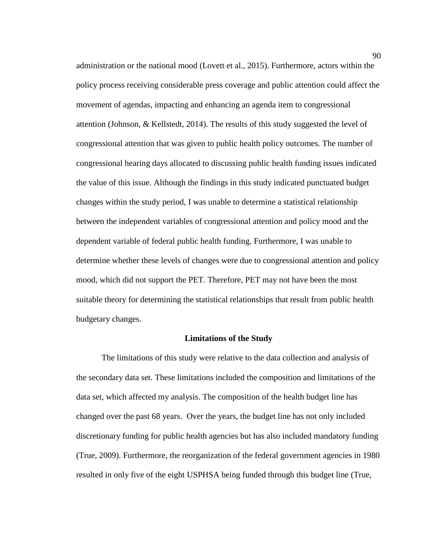administration or the national mood (Lovett et al., 2015). Furthermore, actors within the policy process receiving considerable press coverage and public attention could affect the movement of agendas, impacting and enhancing an agenda item to congressional attention (Johnson, & Kellstedt, 2014). The results of this study suggested the level of congressional attention that was given to public health policy outcomes. The number of congressional hearing days allocated to discussing public health funding issues indicated the value of this issue. Although the findings in this study indicated punctuated budget changes within the study period, I was unable to determine a statistical relationship between the independent variables of congressional attention and policy mood and the dependent variable of federal public health funding. Furthermore, I was unable to determine whether these levels of changes were due to congressional attention and policy mood, which did not support the PET. Therefore, PET may not have been the most suitable theory for determining the statistical relationships that result from public health budgetary changes.

### **Limitations of the Study**

The limitations of this study were relative to the data collection and analysis of the secondary data set. These limitations included the composition and limitations of the data set, which affected my analysis. The composition of the health budget line has changed over the past 68 years. Over the years, the budget line has not only included discretionary funding for public health agencies but has also included mandatory funding (True, 2009). Furthermore, the reorganization of the federal government agencies in 1980 resulted in only five of the eight USPHSA being funded through this budget line (True,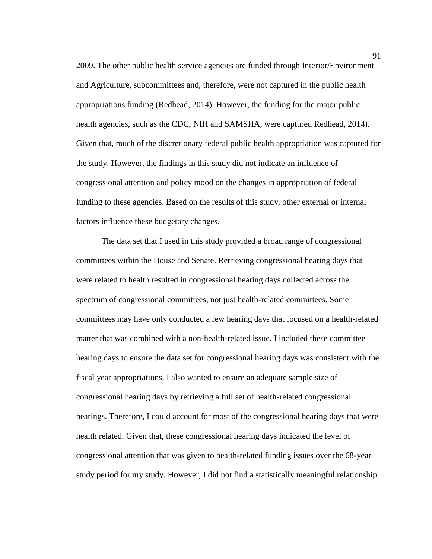2009. The other public health service agencies are funded through Interior/Environment and Agriculture, subcommittees and, therefore, were not captured in the public health appropriations funding (Redhead, 2014). However, the funding for the major public health agencies, such as the CDC, NIH and SAMSHA, were captured Redhead, 2014). Given that, much of the discretionary federal public health appropriation was captured for the study. However, the findings in this study did not indicate an influence of congressional attention and policy mood on the changes in appropriation of federal funding to these agencies. Based on the results of this study, other external or internal factors influence these budgetary changes.

The data set that I used in this study provided a broad range of congressional committees within the House and Senate. Retrieving congressional hearing days that were related to health resulted in congressional hearing days collected across the spectrum of congressional committees, not just health-related committees. Some committees may have only conducted a few hearing days that focused on a health-related matter that was combined with a non-health-related issue. I included these committee hearing days to ensure the data set for congressional hearing days was consistent with the fiscal year appropriations. I also wanted to ensure an adequate sample size of congressional hearing days by retrieving a full set of health-related congressional hearings. Therefore, I could account for most of the congressional hearing days that were health related. Given that, these congressional hearing days indicated the level of congressional attention that was given to health-related funding issues over the 68-year study period for my study. However, I did not find a statistically meaningful relationship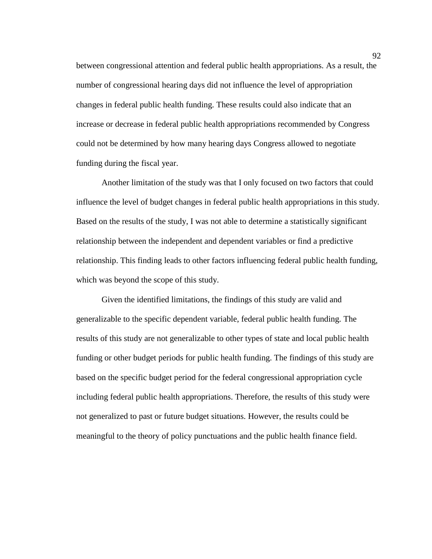between congressional attention and federal public health appropriations. As a result, the number of congressional hearing days did not influence the level of appropriation changes in federal public health funding. These results could also indicate that an increase or decrease in federal public health appropriations recommended by Congress could not be determined by how many hearing days Congress allowed to negotiate funding during the fiscal year.

Another limitation of the study was that I only focused on two factors that could influence the level of budget changes in federal public health appropriations in this study. Based on the results of the study, I was not able to determine a statistically significant relationship between the independent and dependent variables or find a predictive relationship. This finding leads to other factors influencing federal public health funding, which was beyond the scope of this study.

Given the identified limitations, the findings of this study are valid and generalizable to the specific dependent variable, federal public health funding. The results of this study are not generalizable to other types of state and local public health funding or other budget periods for public health funding. The findings of this study are based on the specific budget period for the federal congressional appropriation cycle including federal public health appropriations. Therefore, the results of this study were not generalized to past or future budget situations. However, the results could be meaningful to the theory of policy punctuations and the public health finance field.

92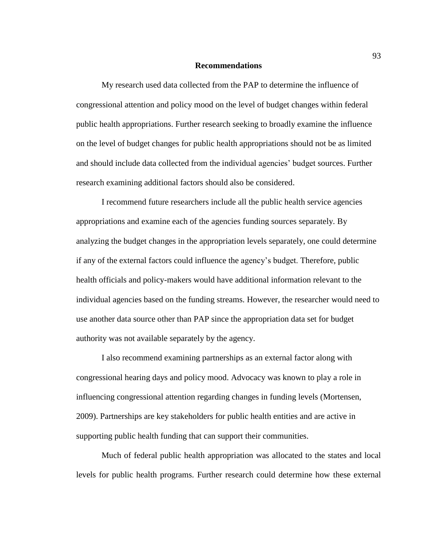#### **Recommendations**

My research used data collected from the PAP to determine the influence of congressional attention and policy mood on the level of budget changes within federal public health appropriations. Further research seeking to broadly examine the influence on the level of budget changes for public health appropriations should not be as limited and should include data collected from the individual agencies' budget sources. Further research examining additional factors should also be considered.

I recommend future researchers include all the public health service agencies appropriations and examine each of the agencies funding sources separately. By analyzing the budget changes in the appropriation levels separately, one could determine if any of the external factors could influence the agency's budget. Therefore, public health officials and policy-makers would have additional information relevant to the individual agencies based on the funding streams. However, the researcher would need to use another data source other than PAP since the appropriation data set for budget authority was not available separately by the agency.

I also recommend examining partnerships as an external factor along with congressional hearing days and policy mood. Advocacy was known to play a role in influencing congressional attention regarding changes in funding levels (Mortensen, 2009). Partnerships are key stakeholders for public health entities and are active in supporting public health funding that can support their communities.

Much of federal public health appropriation was allocated to the states and local levels for public health programs. Further research could determine how these external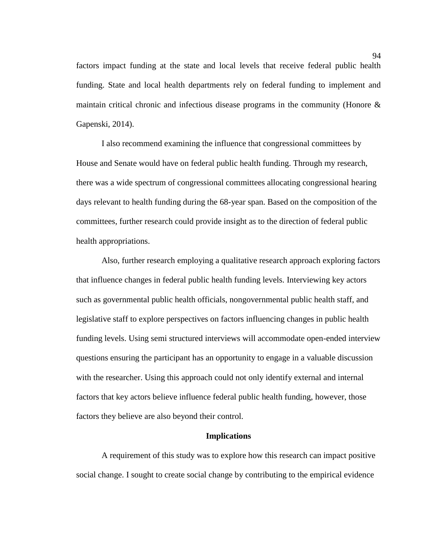factors impact funding at the state and local levels that receive federal public health funding. State and local health departments rely on federal funding to implement and maintain critical chronic and infectious disease programs in the community (Honore & Gapenski, 2014).

I also recommend examining the influence that congressional committees by House and Senate would have on federal public health funding. Through my research, there was a wide spectrum of congressional committees allocating congressional hearing days relevant to health funding during the 68-year span. Based on the composition of the committees, further research could provide insight as to the direction of federal public health appropriations.

Also, further research employing a qualitative research approach exploring factors that influence changes in federal public health funding levels. Interviewing key actors such as governmental public health officials, nongovernmental public health staff, and legislative staff to explore perspectives on factors influencing changes in public health funding levels. Using semi structured interviews will accommodate open-ended interview questions ensuring the participant has an opportunity to engage in a valuable discussion with the researcher. Using this approach could not only identify external and internal factors that key actors believe influence federal public health funding, however, those factors they believe are also beyond their control.

# **Implications**

A requirement of this study was to explore how this research can impact positive social change. I sought to create social change by contributing to the empirical evidence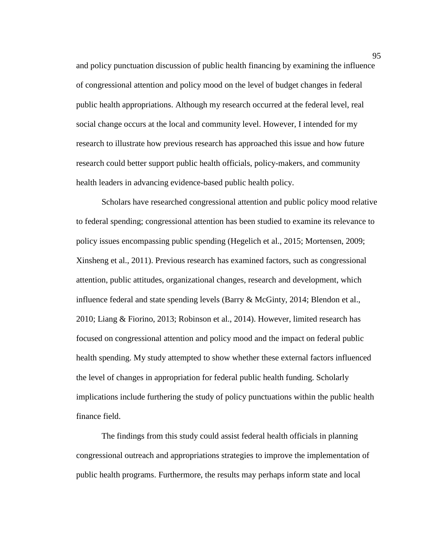and policy punctuation discussion of public health financing by examining the influence of congressional attention and policy mood on the level of budget changes in federal public health appropriations. Although my research occurred at the federal level, real social change occurs at the local and community level. However, I intended for my research to illustrate how previous research has approached this issue and how future research could better support public health officials, policy-makers, and community health leaders in advancing evidence-based public health policy.

Scholars have researched congressional attention and public policy mood relative to federal spending; congressional attention has been studied to examine its relevance to policy issues encompassing public spending (Hegelich et al., 2015; Mortensen, 2009; Xinsheng et al., 2011). Previous research has examined factors, such as congressional attention, public attitudes, organizational changes, research and development, which influence federal and state spending levels (Barry & McGinty, 2014; Blendon et al., 2010; Liang & Fiorino, 2013; Robinson et al., 2014). However, limited research has focused on congressional attention and policy mood and the impact on federal public health spending. My study attempted to show whether these external factors influenced the level of changes in appropriation for federal public health funding. Scholarly implications include furthering the study of policy punctuations within the public health finance field.

The findings from this study could assist federal health officials in planning congressional outreach and appropriations strategies to improve the implementation of public health programs. Furthermore, the results may perhaps inform state and local

95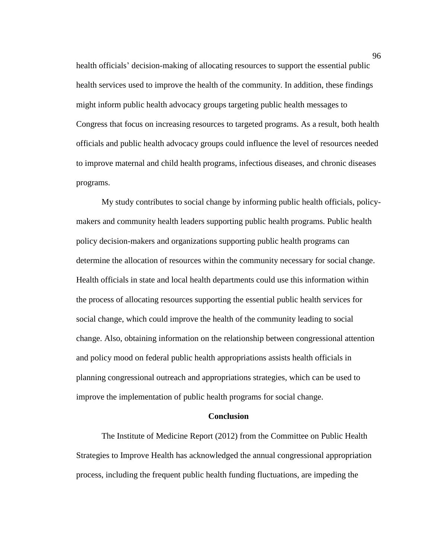health officials' decision-making of allocating resources to support the essential public health services used to improve the health of the community. In addition, these findings might inform public health advocacy groups targeting public health messages to Congress that focus on increasing resources to targeted programs. As a result, both health officials and public health advocacy groups could influence the level of resources needed to improve maternal and child health programs, infectious diseases, and chronic diseases programs.

My study contributes to social change by informing public health officials, policymakers and community health leaders supporting public health programs. Public health policy decision-makers and organizations supporting public health programs can determine the allocation of resources within the community necessary for social change. Health officials in state and local health departments could use this information within the process of allocating resources supporting the essential public health services for social change, which could improve the health of the community leading to social change. Also, obtaining information on the relationship between congressional attention and policy mood on federal public health appropriations assists health officials in planning congressional outreach and appropriations strategies, which can be used to improve the implementation of public health programs for social change.

# **Conclusion**

The Institute of Medicine Report (2012) from the Committee on Public Health Strategies to Improve Health has acknowledged the annual congressional appropriation process, including the frequent public health funding fluctuations, are impeding the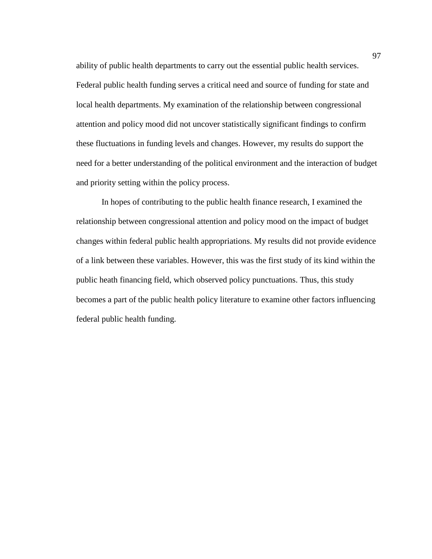ability of public health departments to carry out the essential public health services. Federal public health funding serves a critical need and source of funding for state and local health departments. My examination of the relationship between congressional attention and policy mood did not uncover statistically significant findings to confirm these fluctuations in funding levels and changes. However, my results do support the need for a better understanding of the political environment and the interaction of budget and priority setting within the policy process.

In hopes of contributing to the public health finance research, I examined the relationship between congressional attention and policy mood on the impact of budget changes within federal public health appropriations. My results did not provide evidence of a link between these variables. However, this was the first study of its kind within the public heath financing field, which observed policy punctuations. Thus, this study becomes a part of the public health policy literature to examine other factors influencing federal public health funding.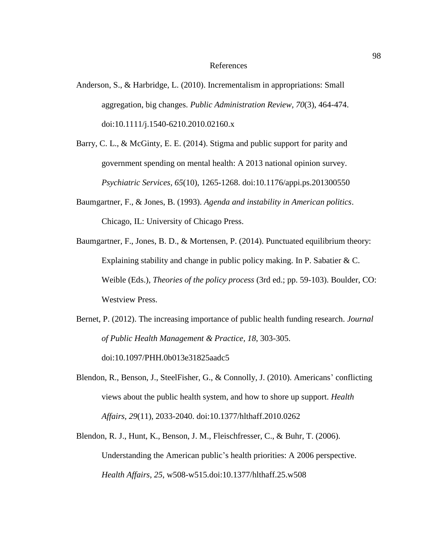#### References

- Anderson, S., & Harbridge, L. (2010). Incrementalism in appropriations: Small aggregation, big changes. *Public Administration Review, 70*(3), 464-474. doi:10.1111/j.1540-6210.2010.02160.x
- Barry, C. L., & McGinty, E. E. (2014). Stigma and public support for parity and government spending on mental health: A 2013 national opinion survey. *Psychiatric Services, 65*(10), 1265-1268. doi:10.1176/appi.ps.201300550
- Baumgartner, F., & Jones, B. (1993). *Agenda and instability in American politics*. Chicago, IL: University of Chicago Press.
- Baumgartner, F., Jones, B. D., & Mortensen, P. (2014). Punctuated equilibrium theory: Explaining stability and change in public policy making. In P. Sabatier & C. Weible (Eds.), *Theories of the policy process* (3rd ed.; pp. 59-103). Boulder, CO: Westview Press.
- Bernet, P. (2012). The increasing importance of public health funding research. *Journal of Public Health Management & Practice, 18*, 303-305. doi:10.1097/PHH.0b013e31825aadc5
- Blendon, R., Benson, J., SteelFisher, G., & Connolly, J. (2010). Americans' conflicting views about the public health system, and how to shore up support. *Health Affairs, 29*(11), 2033-2040. doi:10.1377/hlthaff.2010.0262
- Blendon, R. J., Hunt, K., Benson, J. M., Fleischfresser, C., & Buhr, T. (2006). Understanding the American public's health priorities: A 2006 perspective. *Health Affairs*, *25*, w508-w515.doi:10.1377/hlthaff.25.w508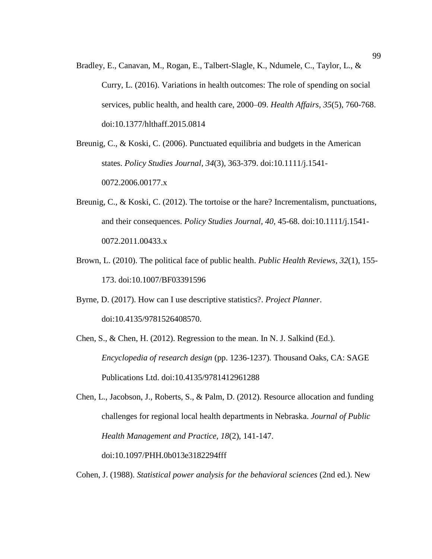Bradley, E., Canavan, M., Rogan, E., Talbert-Slagle, K., Ndumele, C., Taylor, L., & Curry, L. (2016). Variations in health outcomes: The role of spending on social services, public health, and health care, 2000–09. *Health Affairs, 35*(5), 760-768. doi:10.1377/hlthaff.2015.0814

Breunig, C., & Koski, C. (2006). Punctuated equilibria and budgets in the American states. *Policy Studies Journal, 34*(3), 363-379. doi:10.1111/j.1541- 0072.2006.00177.x

- Breunig, C., & Koski, C. (2012). The tortoise or the hare? Incrementalism, punctuations, and their consequences. *Policy Studies Journal, 40*, 45-68. doi:10.1111/j.1541- 0072.2011.00433.x
- Brown, L. (2010). The political face of public health. *Public Health Reviews, 32*(1), 155- 173. doi:10.1007/BF03391596

Byrne, D. (2017). How can I use descriptive statistics?. *Project Planner*. doi:10.4135/9781526408570.

Chen, S., & Chen, H. (2012). Regression to the mean. In N. J. Salkind (Ed.). *Encyclopedia of research design* (pp. 1236-1237)*.* Thousand Oaks, CA: SAGE Publications Ltd. doi:10.4135/9781412961288

Chen, L., Jacobson, J., Roberts, S., & Palm, D. (2012). Resource allocation and funding challenges for regional local health departments in Nebraska. *Journal of Public Health Management and Practice, 18*(2), 141-147. doi:10.1097/PHH.0b013e3182294fff

Cohen, J. (1988). *Statistical power analysis for the behavioral sciences* (2nd ed.). New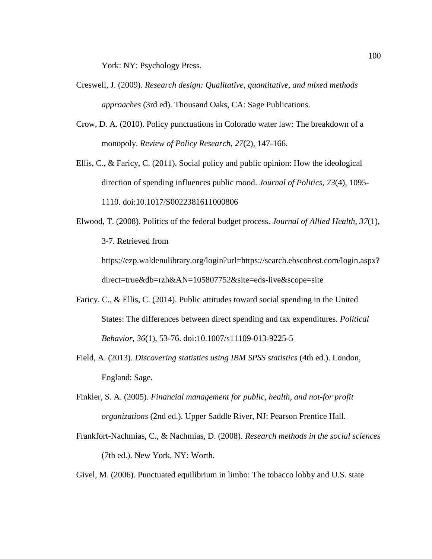York: NY: Psychology Press.

- Creswell, J. (2009). *Research design: Qualitative, quantitative, and mixed methods approaches* (3rd ed). Thousand Oaks, CA: Sage Publications.
- Crow, D. A. (2010). Policy punctuations in Colorado water law: The breakdown of a monopoly. *Review of Policy Research, 27*(2), 147-166.
- Ellis, C., & Faricy, C. (2011). Social policy and public opinion: How the ideological direction of spending influences public mood. *Journal of Politics, 73*(4), 1095- 1110. doi:10.1017/S0022381611000806

Elwood, T. (2008). Politics of the federal budget process. *Journal of Allied Health*, *37*(1)*,*  3-7. Retrieved from https://ezp.waldenulibrary.org/login?url=https://search.ebscohost.com/login.aspx?

direct=true&db=rzh&AN=105807752&site=eds-live&scope=site

- Faricy, C., & Ellis, C. (2014). Public attitudes toward social spending in the United States: The differences between direct spending and tax expenditures. *Political Behavior, 36*(1), 53-76. doi:10.1007/s11109-013-9225-5
- Field, A. (2013). *Discovering statistics using IBM SPSS statistics* (4th ed.). London, England: Sage.
- Finkler, S. A. (2005). *Financial management for public, health, and not-for profit organizations* (2nd ed.). Upper Saddle River, NJ: Pearson Prentice Hall.
- Frankfort-Nachmias, C., & Nachmias, D. (2008). *Research methods in the social sciences* (7th ed.). New York, NY: Worth.

Givel, M. (2006). Punctuated equilibrium in limbo: The tobacco lobby and U.S. state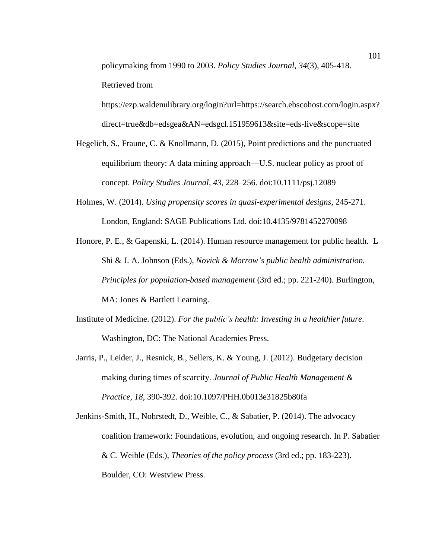policymaking from 1990 to 2003. *Policy Studies Journal, 34*(3), 405-418. Retrieved from

https://ezp.waldenulibrary.org/login?url=https://search.ebscohost.com/login.aspx? direct=true&db=edsgea&AN=edsgcl.151959613&site=eds-live&scope=site

- Hegelich, S., Fraune, C. & Knollmann, D. (2015), Point predictions and the punctuated equilibrium theory: A data mining approach—U.S. nuclear policy as proof of concept. *Policy Studies Journal, 43*, 228–256. doi:10.1111/psj.12089
- Holmes, W. (2014). *Using propensity scores in quasi-experimental designs,* 245-271. London, England: SAGE Publications Ltd. doi:10.4135/9781452270098
- Honore, P. E., & Gapenski, L. (2014). Human resource management for public health. L Shi & J. A. Johnson (Eds.), *Novick & Morrow's public health administration. Principles for population-based management* (3rd ed.; pp. 221-240). Burlington, MA: Jones & Bartlett Learning.
- Institute of Medicine. (2012). *For the public's health: Investing in a healthier future*. Washington, DC: The National Academies Press.
- Jarris, P., Leider, J., Resnick, B., Sellers, K. & Young, J. (2012). Budgetary decision making during times of scarcity. *Journal of Public Health Management & Practice, 18*, 390-392. doi:10.1097/PHH.0b013e31825b80fa
- Jenkins-Smith, H., Nohrstedt, D., Weible, C., & Sabatier, P. (2014). The advocacy coalition framework: Foundations, evolution, and ongoing research. In P. Sabatier & C. Weible (Eds.), *Theories of the policy process* (3rd ed.; pp. 183-223). Boulder, CO: Westview Press.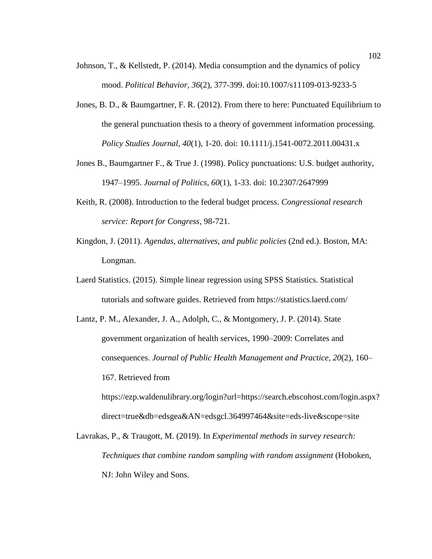- Johnson, T., & Kellstedt, P. (2014). Media consumption and the dynamics of policy mood. *Political Behavior, 36*(2), 377-399. doi:10.1007/s11109-013-9233-5
- Jones, B. D., & Baumgartner, F. R. (2012). From there to here: Punctuated Equilibrium to the general punctuation thesis to a theory of government information processing. *Policy Studies Journal, 40*(1), 1-20. doi: 10.1111/j.1541-0072.2011.00431.x
- Jones B., Baumgartner F., & True J. (1998). Policy punctuations: U.S. budget authority, 1947–1995. *Journal of Politics, 60*(1), 1-33. doi: 10.2307/2647999
- Keith, R. (2008). Introduction to the federal budget process. *Congressional research service: Report for Congress*, 98-721.
- Kingdon, J. (2011). *Agendas, alternatives, and public policies* (2nd ed.). Boston, MA: Longman.
- Laerd Statistics. (2015). Simple linear regression using SPSS Statistics. Statistical tutorials and software guides. Retrieved from https://statistics.laerd.com/
- Lantz, P. M., Alexander, J. A., Adolph, C., & Montgomery, J. P. (2014). State government organization of health services, 1990–2009: Correlates and consequences. *Journal of Public Health Management and Practice, 20*(2), 160– 167. Retrieved from

https://ezp.waldenulibrary.org/login?url=https://search.ebscohost.com/login.aspx? direct=true&db=edsgea&AN=edsgcl.364997464&site=eds-live&scope=site

Lavrakas, P., & Traugott, M. (2019). In *Experimental methods in survey research: Techniques that combine random sampling with random assignment* (Hoboken, NJ: John Wiley and Sons.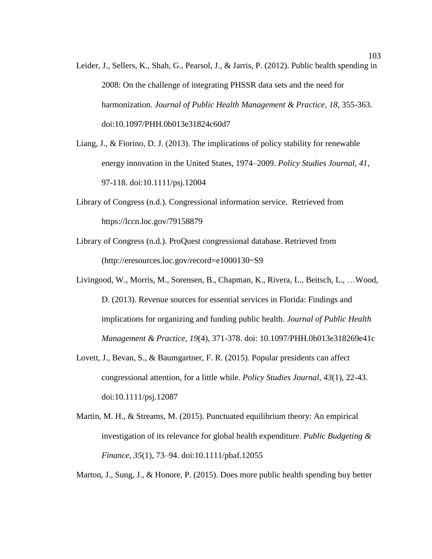- Leider, J., Sellers, K., Shah, G., Pearsol, J., & Jarris, P. (2012). Public health spending in 2008: On the challenge of integrating PHSSR data sets and the need for harmonization. *Journal of Public Health Management & Practice, 18*, 355-363. doi:10.1097/PHH.0b013e31824c60d7
- Liang, J., & Fiorino, D. J. (2013). The implications of policy stability for renewable energy innovation in the United States, 1974–2009. *Policy Studies Journal, 41*, 97-118. doi:10.1111/psj.12004
- Library of Congress (n.d.). Congressional information service. Retrieved from https://lccn.loc.gov/79158879
- Library of Congress (n.d.). ProQuest congressional database. Retrieved from (http://eresources.loc.gov/record=e1000130~S9
- Livingood, W., Morris, M., Sorensen, B., Chapman, K., Rivera, L., Beitsch, L., …Wood, D. (2013). Revenue sources for essential services in Florida: Findings and implications for organizing and funding public health. *Journal of Public Health Management & Practice, 19*(4), 371-378. doi: 10.1097/PHH.0b013e318269e41c
- Lovett, J., Bevan, S., & Baumgartner, F. R. (2015). Popular presidents can affect congressional attention, for a little while. *Policy Studies Journal, 43*(1), 22-43. doi:10.1111/psj.12087
- Martin, M. H., & Streams, M. (2015). Punctuated equilibrium theory: An empirical investigation of its relevance for global health expenditure. *Public Budgeting & Finance, 35*(1), 73–94. doi:10.1111/pbaf.12055

Marton, J., Sung, J., & Honore, P. (2015). Does more public health spending buy better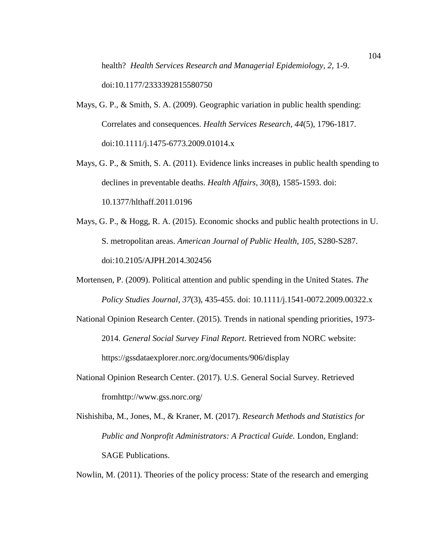health? *Health Services Research and Managerial Epidemiology, 2*, 1-9. doi:10.1177/2333392815580750

- Mays, G. P., & Smith, S. A. (2009). Geographic variation in public health spending: Correlates and consequences. *Health Services Research, 44*(5), 1796-1817. doi:10.1111/j.1475-6773.2009.01014.x
- Mays, G. P., & Smith, S. A. (2011). Evidence links increases in public health spending to declines in preventable deaths. *Health Affairs, 30*(8), 1585-1593. doi: 10.1377/hlthaff.2011.0196
- Mays, G. P., & Hogg, R. A. (2015). Economic shocks and public health protections in U. S. metropolitan areas. *American Journal of Public Health, 105*, S280-S287. doi:10.2105/AJPH.2014.302456
- Mortensen, P. (2009). Political attention and public spending in the United States. *The Policy Studies Journal, 37*(3), 435-455. doi: 10.1111/j.1541-0072.2009.00322.x
- National Opinion Research Center. (2015). Trends in national spending priorities, 1973- 2014. *General Social Survey Final Report*. Retrieved from NORC website: https://gssdataexplorer.norc.org/documents/906/display
- National Opinion Research Center. (2017). U.S. General Social Survey. Retrieved fromhttp://www.gss.norc.org/
- Nishishiba, M., Jones, M., & Kraner, M. (2017). *Research Methods and Statistics for Public and Nonprofit Administrators: A Practical Guide.* London, England: SAGE Publications.

Nowlin, M. (2011). Theories of the policy process: State of the research and emerging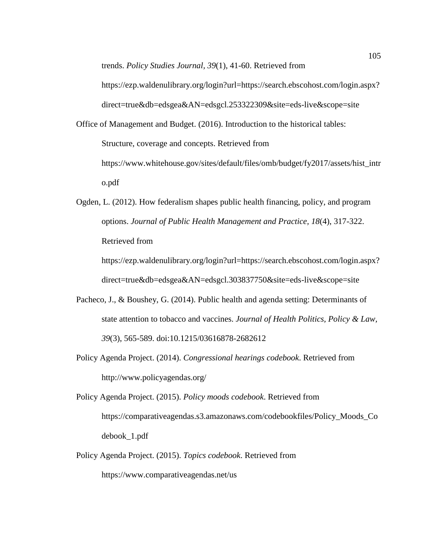trends. *Policy Studies Journal, 39*(1), 41-60. Retrieved from https://ezp.waldenulibrary.org/login?url=https://search.ebscohost.com/login.aspx?

direct=true&db=edsgea&AN=edsgcl.253322309&site=eds-live&scope=site

- Office of Management and Budget. (2016). Introduction to the historical tables: Structure, coverage and concepts. Retrieved from https://www.whitehouse.gov/sites/default/files/omb/budget/fy2017/assets/hist\_intr o.pdf
- Ogden, L. (2012). How federalism shapes public health financing, policy, and program options. *Journal of Public Health Management and Practice, 18*(4), 317-322. Retrieved from https://ezp.waldenulibrary.org/login?url=https://search.ebscohost.com/login.aspx?

direct=true&db=edsgea&AN=edsgcl.303837750&site=eds-live&scope=site

- Pacheco, J., & Boushey, G. (2014). Public health and agenda setting: Determinants of state attention to tobacco and vaccines. *Journal of Health Politics, Policy & Law, 39*(3), 565-589. doi:10.1215/03616878-2682612
- Policy Agenda Project. (2014). *Congressional hearings codebook*. Retrieved from http://www.policyagendas.org/
- Policy Agenda Project. (2015). *Policy moods codebook*. Retrieved from https://comparativeagendas.s3.amazonaws.com/codebookfiles/Policy\_Moods\_Co debook\_1.pdf
- Policy Agenda Project. (2015). *Topics codebook*. Retrieved from https://www.comparativeagendas.net/us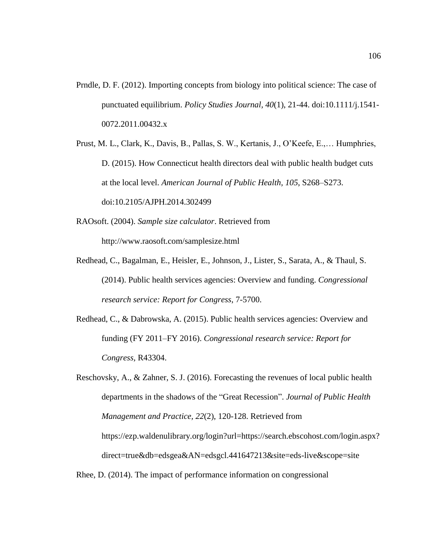- Prndle, D. F. (2012). Importing concepts from biology into political science: The case of punctuated equilibrium. *Policy Studies Journal, 40*(1), 21-44. doi:10.1111/j.1541- 0072.2011.00432.x
- Prust, M. L., Clark, K., Davis, B., Pallas, S. W., Kertanis, J., O'Keefe, E.,… Humphries, D. (2015). How Connecticut health directors deal with public health budget cuts at the local level. *American Journal of Public Health, 105*, S268–S273. doi:10.2105/AJPH.2014.302499
- RAOsoft. (2004). *Sample size calculator*. Retrieved from http://www.raosoft.com/samplesize.html
- Redhead, C., Bagalman, E., Heisler, E., Johnson, J., Lister, S., Sarata, A., & Thaul, S. (2014). Public health services agencies: Overview and funding. *Congressional research service: Report for Congress*, 7-5700.
- Redhead, C., & Dabrowska, A. (2015). Public health services agencies: Overview and funding (FY 2011–FY 2016). *Congressional research service: Report for Congress,* R43304.

Reschovsky, A., & Zahner, S. J. (2016). Forecasting the revenues of local public health departments in the shadows of the "Great Recession". *Journal of Public Health Management and Practice, 22*(2), 120-128. Retrieved from https://ezp.waldenulibrary.org/login?url=https://search.ebscohost.com/login.aspx? direct=true&db=edsgea&AN=edsgcl.441647213&site=eds-live&scope=site

Rhee, D. (2014). The impact of performance information on congressional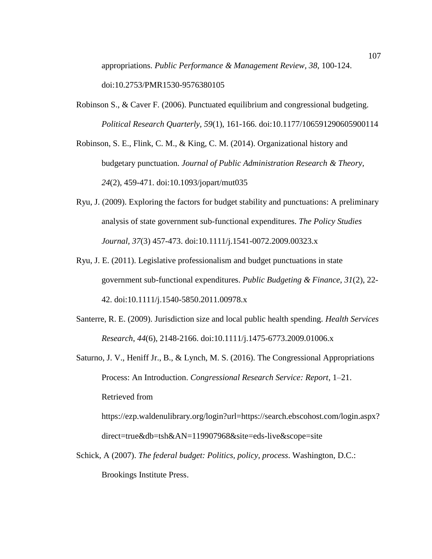appropriations. *Public Performance & Management Review, 38*, 100-124. doi:10.2753/PMR1530-9576380105

Robinson S., & Caver F. (2006). Punctuated equilibrium and congressional budgeting. *Political Research Quarterly, 59*(1), 161-166. doi:10.1177/106591290605900114

Robinson, S. E., Flink, C. M., & King, C. M. (2014). Organizational history and budgetary punctuation. *Journal of Public Administration Research & Theory, 24*(2), 459-471. doi:10.1093/jopart/mut035

- Ryu, J. (2009). Exploring the factors for budget stability and punctuations: A preliminary analysis of state government sub-functional expenditures. *The Policy Studies Journal, 37*(3) 457-473. doi:10.1111/j.1541-0072.2009.00323.x
- Ryu, J. E. (2011). Legislative professionalism and budget punctuations in state government sub-functional expenditures. *Public Budgeting & Finance*, *31*(2), 22- 42. doi:10.1111/j.1540-5850.2011.00978.x
- Santerre, R. E. (2009). Jurisdiction size and local public health spending. *Health Services Research*, *44*(6), 2148-2166. doi:10.1111/j.1475-6773.2009.01006.x
- Saturno, J. V., Heniff Jr., B., & Lynch, M. S. (2016). The Congressional Appropriations Process: An Introduction. *Congressional Research Service: Report*, 1–21. Retrieved from https://ezp.waldenulibrary.org/login?url=https://search.ebscohost.com/login.aspx?

direct=true&db=tsh&AN=119907968&site=eds-live&scope=site

Schick, A (2007). *The federal budget: Politics, policy, process*. Washington, D.C.: Brookings Institute Press.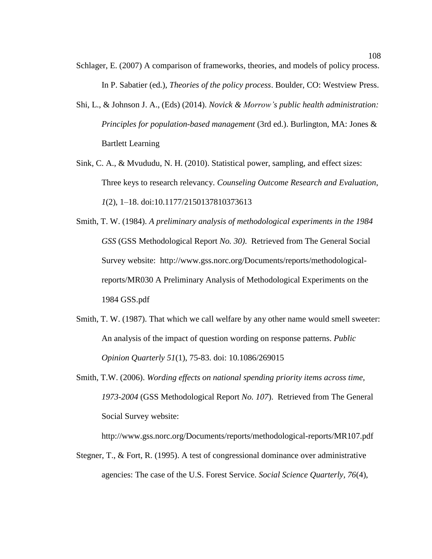- Schlager, E. (2007) A comparison of frameworks, theories, and models of policy process. In P. Sabatier (ed.), *Theories of the policy process*. Boulder, CO: Westview Press.
- Shi, L., & Johnson J. A., (Eds) (2014). *Novick & Morrow's public health administration: Principles for population-based management* (3rd ed.). Burlington, MA: Jones & Bartlett Learning
- Sink, C. A., & Mvududu, N. H. (2010). Statistical power, sampling, and effect sizes: Three keys to research relevancy. *Counseling Outcome Research and Evaluation*, *1*(2), 1–18. doi:10.1177/2150137810373613
- Smith, T. W. (1984). *A preliminary analysis of methodological experiments in the 1984 GSS* (GSS Methodological Report *No. 30)*. Retrieved from The General Social Survey website: http://www.gss.norc.org/Documents/reports/methodologicalreports/MR030 A Preliminary Analysis of Methodological Experiments on the 1984 GSS.pdf
- Smith, T. W. (1987). That which we call welfare by any other name would smell sweeter: An analysis of the impact of question wording on response patterns. *Public Opinion Quarterly 51*(1), 75-83. doi: 10.1086/269015
- Smith, T.W. (2006). *Wording effects on national spending priority items across time, 1973-2004* (GSS Methodological Report *No. 107*). Retrieved from The General Social Survey website:

http://www.gss.norc.org/Documents/reports/methodological-reports/MR107.pdf

Stegner, T., & Fort, R. (1995). A test of congressional dominance over administrative agencies: The case of the U.S. Forest Service. *Social Science Quarterly, 76*(4),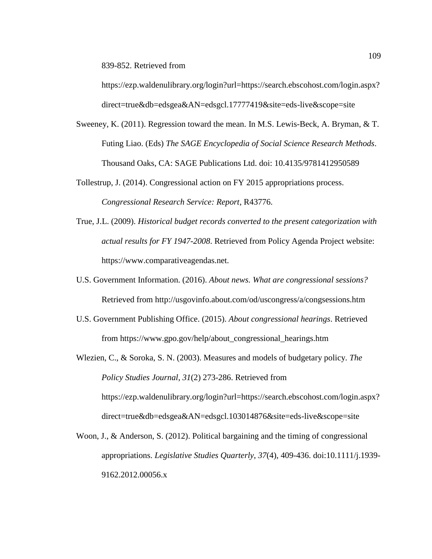839-852. Retrieved from

https://ezp.waldenulibrary.org/login?url=https://search.ebscohost.com/login.aspx? direct=true&db=edsgea&AN=edsgcl.17777419&site=eds-live&scope=site

- Sweeney, K. (2011). Regression toward the mean. In M.S. Lewis-Beck, A. Bryman, & T. Futing Liao. (Eds) *The SAGE Encyclopedia of Social Science Research Methods*. Thousand Oaks, CA: SAGE Publications Ltd. doi: 10.4135/9781412950589
- Tollestrup, J. (2014). Congressional action on FY 2015 appropriations process. *Congressional Research Service: Report*, R43776.
- True, J.L. (2009). *Historical budget records converted to the present categorization with actual results for FY 1947-2008*. Retrieved from Policy Agenda Project website: https://www.comparativeagendas.net.
- U.S. Government Information. (2016). *About news. What are congressional sessions?* Retrieved from http://usgovinfo.about.com/od/uscongress/a/congsessions.htm
- U.S. Government Publishing Office. (2015). *About congressional hearings*. Retrieved from https://www.gpo.gov/help/about\_congressional\_hearings.htm
- Wlezien, C., & Soroka, S. N. (2003). Measures and models of budgetary policy. *The Policy Studies Journal*, *31*(2) 273-286. Retrieved from https://ezp.waldenulibrary.org/login?url=https://search.ebscohost.com/login.aspx? direct=true&db=edsgea&AN=edsgcl.103014876&site=eds-live&scope=site
- Woon, J., & Anderson, S. (2012). Political bargaining and the timing of congressional appropriations. *Legislative Studies Quarterly*, *37*(4), 409-436. doi:10.1111/j.1939- 9162.2012.00056.x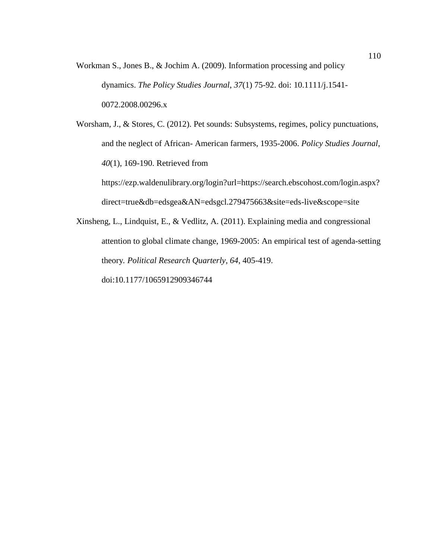Workman S., Jones B., & Jochim A. (2009). Information processing and policy dynamics. *The Policy Studies Journal*, *37*(1) 75-92. doi: 10.1111/j.1541- 0072.2008.00296.x

Worsham, J., & Stores, C. (2012). Pet sounds: Subsystems, regimes, policy punctuations, and the neglect of African- American farmers, 1935-2006. *Policy Studies Journal*, *40*(1), 169-190. Retrieved from https://ezp.waldenulibrary.org/login?url=https://search.ebscohost.com/login.aspx?

direct=true&db=edsgea&AN=edsgcl.279475663&site=eds-live&scope=site

Xinsheng, L., Lindquist, E., & Vedlitz, A. (2011). Explaining media and congressional attention to global climate change, 1969-2005: An empirical test of agenda-setting theory*. Political Research Quarterly*, *64*, 405-419.

doi:10.1177/1065912909346744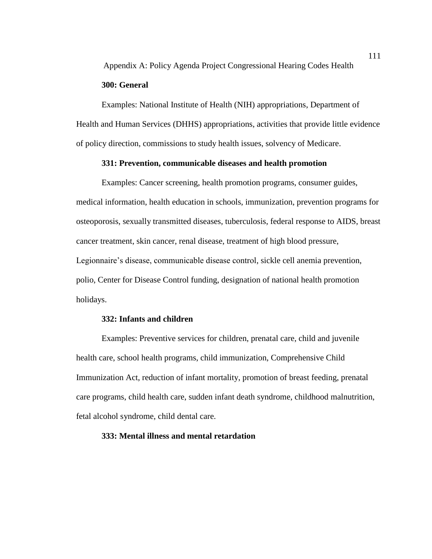Appendix A: Policy Agenda Project Congressional Hearing Codes Health

## **300: General**

Examples: National Institute of Health (NIH) appropriations, Department of Health and Human Services (DHHS) appropriations, activities that provide little evidence of policy direction, commissions to study health issues, solvency of Medicare.

### **331: Prevention, communicable diseases and health promotion**

Examples: Cancer screening, health promotion programs, consumer guides, medical information, health education in schools, immunization, prevention programs for osteoporosis, sexually transmitted diseases, tuberculosis, federal response to AIDS, breast cancer treatment, skin cancer, renal disease, treatment of high blood pressure, Legionnaire's disease, communicable disease control, sickle cell anemia prevention, polio, Center for Disease Control funding, designation of national health promotion holidays.

### **332: Infants and children**

Examples: Preventive services for children, prenatal care, child and juvenile health care, school health programs, child immunization, Comprehensive Child Immunization Act, reduction of infant mortality, promotion of breast feeding, prenatal care programs, child health care, sudden infant death syndrome, childhood malnutrition, fetal alcohol syndrome, child dental care.

# **333: Mental illness and mental retardation**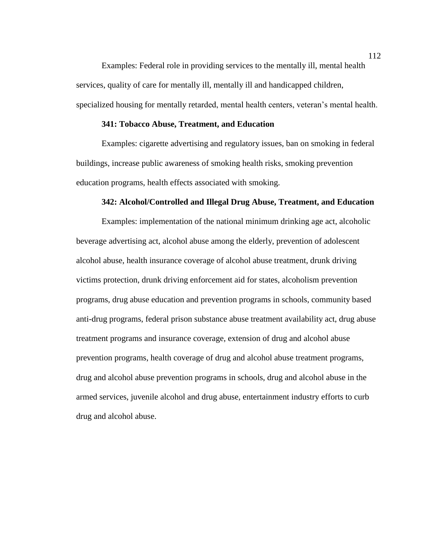Examples: Federal role in providing services to the mentally ill, mental health services, quality of care for mentally ill, mentally ill and handicapped children, specialized housing for mentally retarded, mental health centers, veteran's mental health.

### **341: Tobacco Abuse, Treatment, and Education**

Examples: cigarette advertising and regulatory issues, ban on smoking in federal buildings, increase public awareness of smoking health risks, smoking prevention education programs, health effects associated with smoking.

#### **342: Alcohol/Controlled and Illegal Drug Abuse, Treatment, and Education**

Examples: implementation of the national minimum drinking age act, alcoholic beverage advertising act, alcohol abuse among the elderly, prevention of adolescent alcohol abuse, health insurance coverage of alcohol abuse treatment, drunk driving victims protection, drunk driving enforcement aid for states, alcoholism prevention programs, drug abuse education and prevention programs in schools, community based anti-drug programs, federal prison substance abuse treatment availability act, drug abuse treatment programs and insurance coverage, extension of drug and alcohol abuse prevention programs, health coverage of drug and alcohol abuse treatment programs, drug and alcohol abuse prevention programs in schools, drug and alcohol abuse in the armed services, juvenile alcohol and drug abuse, entertainment industry efforts to curb drug and alcohol abuse.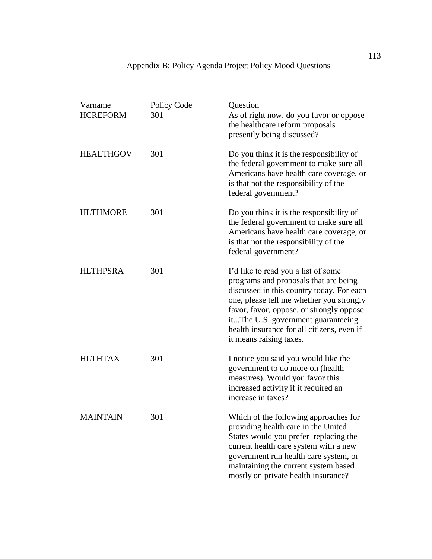| Varname          | Policy Code | Question                                                                                                                                                                                                                                                                                                                         |
|------------------|-------------|----------------------------------------------------------------------------------------------------------------------------------------------------------------------------------------------------------------------------------------------------------------------------------------------------------------------------------|
| <b>HCREFORM</b>  | 301         | As of right now, do you favor or oppose<br>the healthcare reform proposals<br>presently being discussed?                                                                                                                                                                                                                         |
| <b>HEALTHGOV</b> | 301         | Do you think it is the responsibility of<br>the federal government to make sure all<br>Americans have health care coverage, or<br>is that not the responsibility of the<br>federal government?                                                                                                                                   |
| <b>HLTHMORE</b>  | 301         | Do you think it is the responsibility of<br>the federal government to make sure all<br>Americans have health care coverage, or<br>is that not the responsibility of the<br>federal government?                                                                                                                                   |
| <b>HLTHPSRA</b>  | 301         | I'd like to read you a list of some<br>programs and proposals that are being<br>discussed in this country today. For each<br>one, please tell me whether you strongly<br>favor, favor, oppose, or strongly oppose<br>itThe U.S. government guaranteeing<br>health insurance for all citizens, even if<br>it means raising taxes. |
| <b>HLTHTAX</b>   | 301         | I notice you said you would like the<br>government to do more on (health<br>measures). Would you favor this<br>increased activity if it required an<br>increase in taxes?                                                                                                                                                        |
| <b>MAINTAIN</b>  | 301         | Which of the following approaches for<br>providing health care in the United<br>States would you prefer-replacing the<br>current health care system with a new<br>government run health care system, or<br>maintaining the current system based<br>mostly on private health insurance?                                           |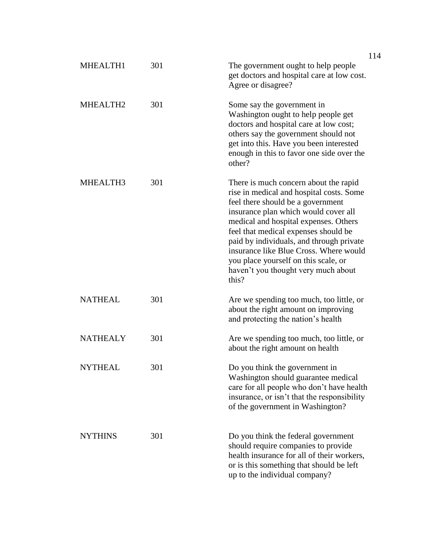|                      |     |                                                                                                                                                                                                                                                                                                                                                                                                                               | 114 |
|----------------------|-----|-------------------------------------------------------------------------------------------------------------------------------------------------------------------------------------------------------------------------------------------------------------------------------------------------------------------------------------------------------------------------------------------------------------------------------|-----|
| MHEALTH1             | 301 | The government ought to help people<br>get doctors and hospital care at low cost.<br>Agree or disagree?                                                                                                                                                                                                                                                                                                                       |     |
| MHEALTH <sub>2</sub> | 301 | Some say the government in<br>Washington ought to help people get<br>doctors and hospital care at low cost;<br>others say the government should not<br>get into this. Have you been interested<br>enough in this to favor one side over the<br>other?                                                                                                                                                                         |     |
| MHEALTH3             | 301 | There is much concern about the rapid<br>rise in medical and hospital costs. Some<br>feel there should be a government<br>insurance plan which would cover all<br>medical and hospital expenses. Others<br>feel that medical expenses should be<br>paid by individuals, and through private<br>insurance like Blue Cross. Where would<br>you place yourself on this scale, or<br>haven't you thought very much about<br>this? |     |
| <b>NATHEAL</b>       | 301 | Are we spending too much, too little, or<br>about the right amount on improving<br>and protecting the nation's health                                                                                                                                                                                                                                                                                                         |     |
| <b>NATHEALY</b>      | 301 | Are we spending too much, too little, or<br>about the right amount on health                                                                                                                                                                                                                                                                                                                                                  |     |
| <b>NYTHEAL</b>       | 301 | Do you think the government in<br>Washington should guarantee medical<br>care for all people who don't have health<br>insurance, or isn't that the responsibility<br>of the government in Washington?                                                                                                                                                                                                                         |     |
| <b>NYTHINS</b>       | 301 | Do you think the federal government<br>should require companies to provide<br>health insurance for all of their workers,<br>or is this something that should be left<br>up to the individual company?                                                                                                                                                                                                                         |     |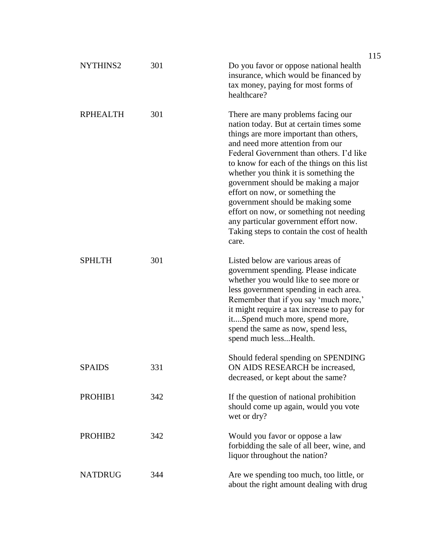| NYTHINS2        | 301 | Do you favor or oppose national health<br>insurance, which would be financed by<br>tax money, paying for most forms of<br>healthcare?                                                                                                                                                                                                                                                                                                                                                                                                                    |
|-----------------|-----|----------------------------------------------------------------------------------------------------------------------------------------------------------------------------------------------------------------------------------------------------------------------------------------------------------------------------------------------------------------------------------------------------------------------------------------------------------------------------------------------------------------------------------------------------------|
| <b>RPHEALTH</b> | 301 | There are many problems facing our<br>nation today. But at certain times some<br>things are more important than others,<br>and need more attention from our<br>Federal Government than others. I'd like<br>to know for each of the things on this list<br>whether you think it is something the<br>government should be making a major<br>effort on now, or something the<br>government should be making some<br>effort on now, or something not needing<br>any particular government effort now.<br>Taking steps to contain the cost of health<br>care. |
| <b>SPHLTH</b>   | 301 | Listed below are various areas of<br>government spending. Please indicate<br>whether you would like to see more or<br>less government spending in each area.<br>Remember that if you say 'much more,'<br>it might require a tax increase to pay for<br>itSpend much more, spend more,<br>spend the same as now, spend less,<br>spend much lessHealth.                                                                                                                                                                                                    |
| <b>SPAIDS</b>   | 331 | Should federal spending on SPENDING<br>ON AIDS RESEARCH be increased,<br>decreased, or kept about the same?                                                                                                                                                                                                                                                                                                                                                                                                                                              |
| PROHIB1         | 342 | If the question of national prohibition<br>should come up again, would you vote<br>wet or dry?                                                                                                                                                                                                                                                                                                                                                                                                                                                           |
| PROHIB2         | 342 | Would you favor or oppose a law<br>forbidding the sale of all beer, wine, and<br>liquor throughout the nation?                                                                                                                                                                                                                                                                                                                                                                                                                                           |
| <b>NATDRUG</b>  | 344 | Are we spending too much, too little, or<br>about the right amount dealing with drug                                                                                                                                                                                                                                                                                                                                                                                                                                                                     |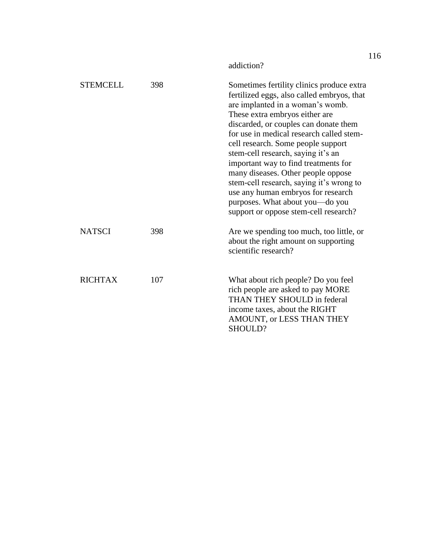|                 |     | addiction?                                                                                                                                                                                                                                                                                                                                                                                                                                                                                                                                                                 |
|-----------------|-----|----------------------------------------------------------------------------------------------------------------------------------------------------------------------------------------------------------------------------------------------------------------------------------------------------------------------------------------------------------------------------------------------------------------------------------------------------------------------------------------------------------------------------------------------------------------------------|
| <b>STEMCELL</b> | 398 | Sometimes fertility clinics produce extra<br>fertilized eggs, also called embryos, that<br>are implanted in a woman's womb.<br>These extra embryos either are<br>discarded, or couples can donate them<br>for use in medical research called stem-<br>cell research. Some people support<br>stem-cell research, saying it's an<br>important way to find treatments for<br>many diseases. Other people oppose<br>stem-cell research, saying it's wrong to<br>use any human embryos for research<br>purposes. What about you-do you<br>support or oppose stem-cell research? |
| <b>NATSCI</b>   | 398 | Are we spending too much, too little, or<br>about the right amount on supporting<br>scientific research?                                                                                                                                                                                                                                                                                                                                                                                                                                                                   |
| <b>RICHTAX</b>  | 107 | What about rich people? Do you feel<br>rich people are asked to pay MORE<br>THAN THEY SHOULD in federal<br>income taxes, about the RIGHT<br>AMOUNT, or LESS THAN THEY<br>SHOULD?                                                                                                                                                                                                                                                                                                                                                                                           |